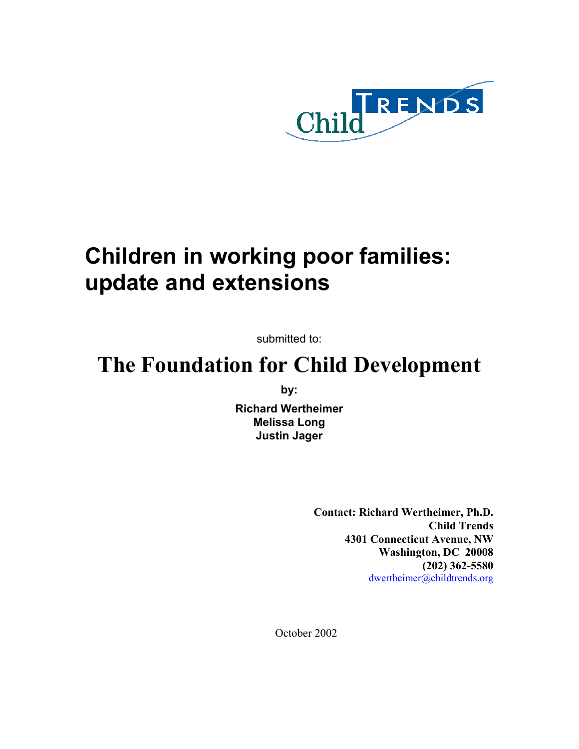

# **Children in working poor families: update and extensions**

submitted to:

## **The Foundation for Child Development**

**by:** 

**Richard Wertheimer Melissa Long Justin Jager** 

> **Contact: Richard Wertheimer, Ph.D. Child Trends 4301 Connecticut Avenue, NW Washington, DC 20008 (202) 362-5580**  dwertheimer@childtrends.org

October 2002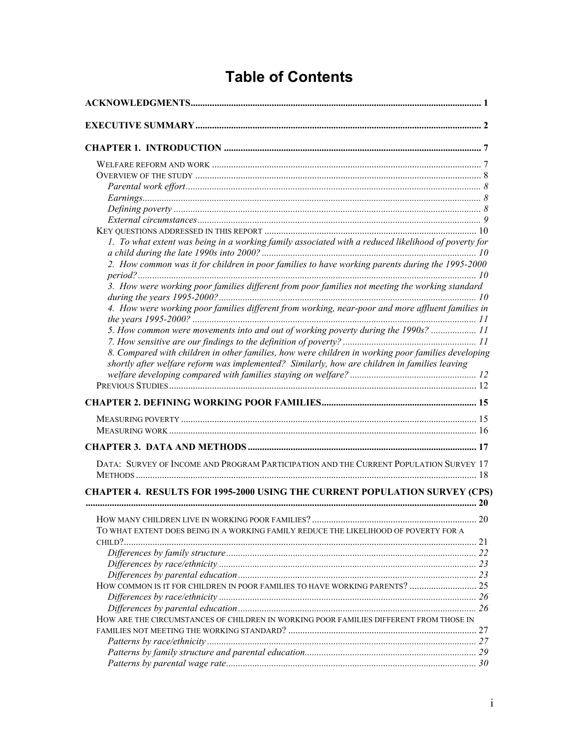## **Table of Contents**

| 1. To what extent was being in a working family associated with a reduced likelihood of poverty for |  |
|-----------------------------------------------------------------------------------------------------|--|
|                                                                                                     |  |
| 2. How common was it for children in poor families to have working parents during the 1995-2000     |  |
| 3. How were working poor families different from poor families not meeting the working standard     |  |
| 4. How were working poor families different from working, near-poor and more affluent families in   |  |
| 5. How common were movements into and out of working poverty during the 1990s?  11                  |  |
|                                                                                                     |  |
| 8. Compared with children in other families, how were children in working poor families developing  |  |
| shortly after welfare reform was implemented? Similarly, how are children in families leaving       |  |
|                                                                                                     |  |
|                                                                                                     |  |
|                                                                                                     |  |
|                                                                                                     |  |
|                                                                                                     |  |
|                                                                                                     |  |
| DATA: SURVEY OF INCOME AND PROGRAM PARTICIPATION AND THE CURRENT POPULATION SURVEY 17               |  |
| <b>CHAPTER 4. RESULTS FOR 1995-2000 USING THE CURRENT POPULATION SURVEY (CPS)</b>                   |  |
|                                                                                                     |  |
| TO WHAT EXTENT DOES BEING IN A WORKING FAMILY REDUCE THE LIKELIHOOD OF POVERTY FOR A                |  |
|                                                                                                     |  |
|                                                                                                     |  |
|                                                                                                     |  |
|                                                                                                     |  |
| HOW COMMON IS IT FOR CHILDREN IN POOR FAMILIES TO HAVE WORKING PARENTS?  25                         |  |
|                                                                                                     |  |
|                                                                                                     |  |
| HOW ARE THE CIRCUMSTANCES OF CHILDREN IN WORKING POOR FAMILIES DIFFERENT FROM THOSE IN              |  |
|                                                                                                     |  |
|                                                                                                     |  |
|                                                                                                     |  |
|                                                                                                     |  |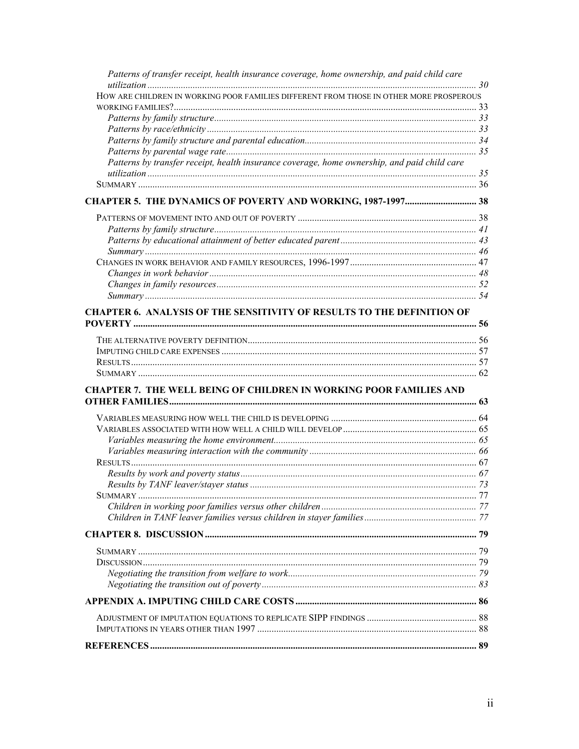| Patterns of transfer receipt, health insurance coverage, home ownership, and paid child care |  |
|----------------------------------------------------------------------------------------------|--|
| HOW ARE CHILDREN IN WORKING POOR FAMILIES DIFFERENT FROM THOSE IN OTHER MORE PROSPEROUS      |  |
|                                                                                              |  |
|                                                                                              |  |
|                                                                                              |  |
|                                                                                              |  |
|                                                                                              |  |
| Patterns by transfer receipt, health insurance coverage, home ownership, and paid child care |  |
|                                                                                              |  |
| CHAPTER 5. THE DYNAMICS OF POVERTY AND WORKING, 1987-1997 38                                 |  |
|                                                                                              |  |
|                                                                                              |  |
|                                                                                              |  |
|                                                                                              |  |
|                                                                                              |  |
|                                                                                              |  |
|                                                                                              |  |
|                                                                                              |  |
| <b>CHAPTER 6. ANALYSIS OF THE SENSITIVITY OF RESULTS TO THE DEFINITION OF</b>                |  |
|                                                                                              |  |
|                                                                                              |  |
|                                                                                              |  |
|                                                                                              |  |
|                                                                                              |  |
| <b>CHAPTER 7. THE WELL BEING OF CHILDREN IN WORKING POOR FAMILIES AND</b>                    |  |
|                                                                                              |  |
|                                                                                              |  |
|                                                                                              |  |
|                                                                                              |  |
|                                                                                              |  |
|                                                                                              |  |
|                                                                                              |  |
|                                                                                              |  |
|                                                                                              |  |
|                                                                                              |  |
|                                                                                              |  |
|                                                                                              |  |
|                                                                                              |  |
|                                                                                              |  |
|                                                                                              |  |
|                                                                                              |  |
|                                                                                              |  |
|                                                                                              |  |
|                                                                                              |  |
|                                                                                              |  |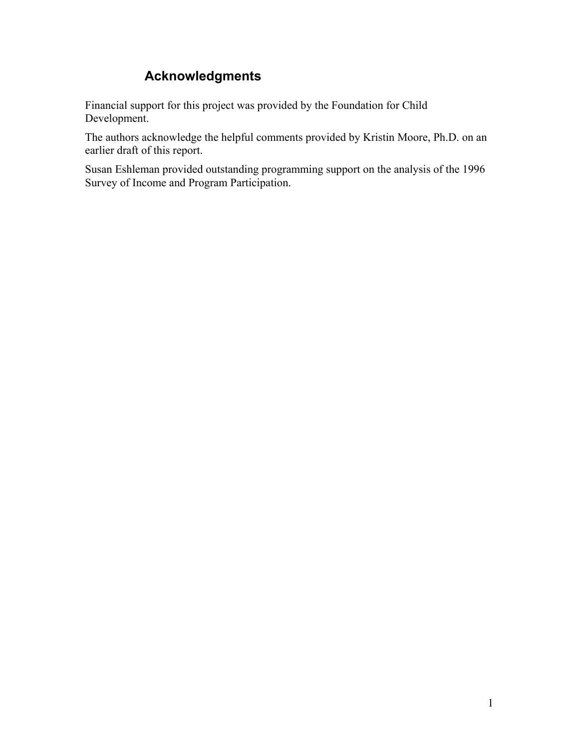### **Acknowledgments**

Financial support for this project was provided by the Foundation for Child Development.

The authors acknowledge the helpful comments provided by Kristin Moore, Ph.D. on an earlier draft of this report.

Susan Eshleman provided outstanding programming support on the analysis of the 1996 Survey of Income and Program Participation.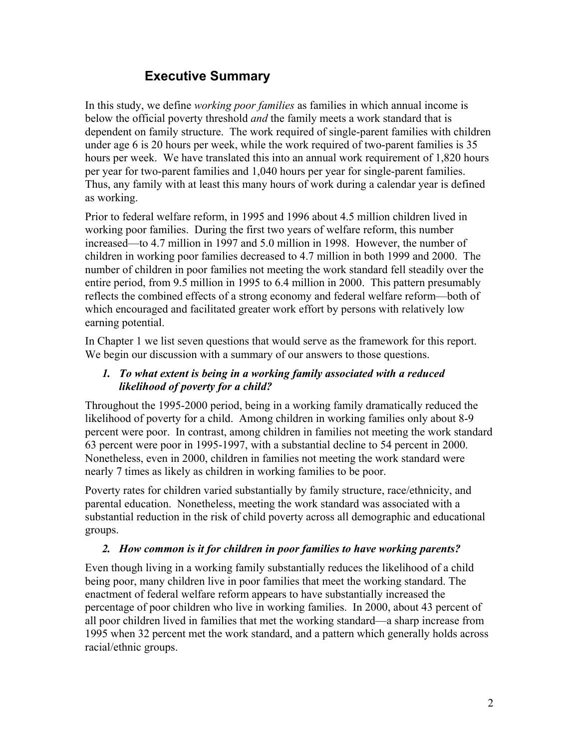### **Executive Summary**

In this study, we define *working poor families* as families in which annual income is below the official poverty threshold *and* the family meets a work standard that is dependent on family structure. The work required of single-parent families with children under age 6 is 20 hours per week, while the work required of two-parent families is 35 hours per week. We have translated this into an annual work requirement of 1,820 hours per year for two-parent families and 1,040 hours per year for single-parent families. Thus, any family with at least this many hours of work during a calendar year is defined as working.

Prior to federal welfare reform, in 1995 and 1996 about 4.5 million children lived in working poor families. During the first two years of welfare reform, this number increased—to 4.7 million in 1997 and 5.0 million in 1998. However, the number of children in working poor families decreased to 4.7 million in both 1999 and 2000. The number of children in poor families not meeting the work standard fell steadily over the entire period, from 9.5 million in 1995 to 6.4 million in 2000. This pattern presumably reflects the combined effects of a strong economy and federal welfare reform—both of which encouraged and facilitated greater work effort by persons with relatively low earning potential.

In Chapter 1 we list seven questions that would serve as the framework for this report. We begin our discussion with a summary of our answers to those questions.

### *1. To what extent is being in a working family associated with a reduced likelihood of poverty for a child?*

Throughout the 1995-2000 period, being in a working family dramatically reduced the likelihood of poverty for a child. Among children in working families only about 8-9 percent were poor. In contrast, among children in families not meeting the work standard 63 percent were poor in 1995-1997, with a substantial decline to 54 percent in 2000. Nonetheless, even in 2000, children in families not meeting the work standard were nearly 7 times as likely as children in working families to be poor.

Poverty rates for children varied substantially by family structure, race/ethnicity, and parental education. Nonetheless, meeting the work standard was associated with a substantial reduction in the risk of child poverty across all demographic and educational groups.

### *2. How common is it for children in poor families to have working parents?*

Even though living in a working family substantially reduces the likelihood of a child being poor, many children live in poor families that meet the working standard. The enactment of federal welfare reform appears to have substantially increased the percentage of poor children who live in working families. In 2000, about 43 percent of all poor children lived in families that met the working standard—a sharp increase from 1995 when 32 percent met the work standard, and a pattern which generally holds across racial/ethnic groups.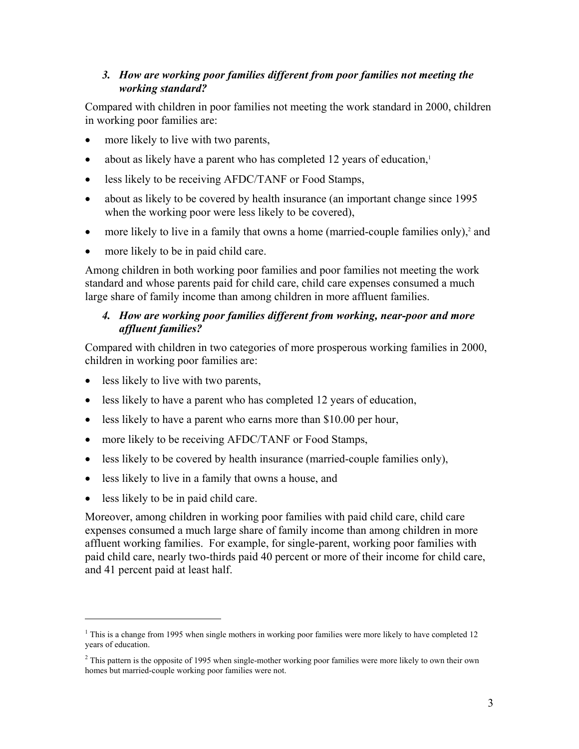### *3. How are working poor families different from poor families not meeting the working standard?*

Compared with children in poor families not meeting the work standard in 2000, children in working poor families are:

- more likely to live with two parents,
- about as likely have a parent who has completed 12 years of education, $\frac{1}{2}$
- less likely to be receiving AFDC/TANF or Food Stamps,
- about as likely to be covered by health insurance (an important change since 1995 when the working poor were less likely to be covered),
- more likely to live in a family that owns a home (married-couple families only), $2$  and
- more likely to be in paid child care.

Among children in both working poor families and poor families not meeting the work standard and whose parents paid for child care, child care expenses consumed a much large share of family income than among children in more affluent families.

### *4. How are working poor families different from working, near-poor and more affluent families?*

Compared with children in two categories of more prosperous working families in 2000, children in working poor families are:

- less likely to live with two parents,
- less likely to have a parent who has completed 12 years of education,
- less likely to have a parent who earns more than \$10.00 per hour,
- more likely to be receiving AFDC/TANF or Food Stamps,
- less likely to be covered by health insurance (married-couple families only),
- less likely to live in a family that owns a house, and
- less likely to be in paid child care.

1

Moreover, among children in working poor families with paid child care, child care expenses consumed a much large share of family income than among children in more affluent working families. For example, for single-parent, working poor families with paid child care, nearly two-thirds paid 40 percent or more of their income for child care, and 41 percent paid at least half.

<sup>&</sup>lt;sup>1</sup> This is a change from 1995 when single mothers in working poor families were more likely to have completed 12 years of education.

 $<sup>2</sup>$  This pattern is the opposite of 1995 when single-mother working poor families were more likely to own their own</sup> homes but married-couple working poor families were not.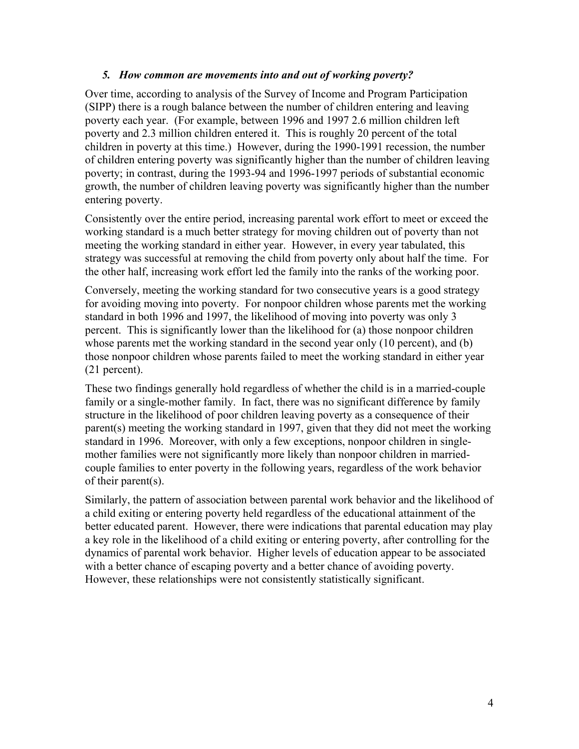#### *5. How common are movements into and out of working poverty?*

Over time, according to analysis of the Survey of Income and Program Participation (SIPP) there is a rough balance between the number of children entering and leaving poverty each year. (For example, between 1996 and 1997 2.6 million children left poverty and 2.3 million children entered it. This is roughly 20 percent of the total children in poverty at this time.) However, during the 1990-1991 recession, the number of children entering poverty was significantly higher than the number of children leaving poverty; in contrast, during the 1993-94 and 1996-1997 periods of substantial economic growth, the number of children leaving poverty was significantly higher than the number entering poverty.

Consistently over the entire period, increasing parental work effort to meet or exceed the working standard is a much better strategy for moving children out of poverty than not meeting the working standard in either year. However, in every year tabulated, this strategy was successful at removing the child from poverty only about half the time. For the other half, increasing work effort led the family into the ranks of the working poor.

Conversely, meeting the working standard for two consecutive years is a good strategy for avoiding moving into poverty. For nonpoor children whose parents met the working standard in both 1996 and 1997, the likelihood of moving into poverty was only 3 percent. This is significantly lower than the likelihood for (a) those nonpoor children whose parents met the working standard in the second year only (10 percent), and (b) those nonpoor children whose parents failed to meet the working standard in either year (21 percent).

These two findings generally hold regardless of whether the child is in a married-couple family or a single-mother family. In fact, there was no significant difference by family structure in the likelihood of poor children leaving poverty as a consequence of their parent(s) meeting the working standard in 1997, given that they did not meet the working standard in 1996. Moreover, with only a few exceptions, nonpoor children in singlemother families were not significantly more likely than nonpoor children in marriedcouple families to enter poverty in the following years, regardless of the work behavior of their parent(s).

Similarly, the pattern of association between parental work behavior and the likelihood of a child exiting or entering poverty held regardless of the educational attainment of the better educated parent. However, there were indications that parental education may play a key role in the likelihood of a child exiting or entering poverty, after controlling for the dynamics of parental work behavior. Higher levels of education appear to be associated with a better chance of escaping poverty and a better chance of avoiding poverty. However, these relationships were not consistently statistically significant.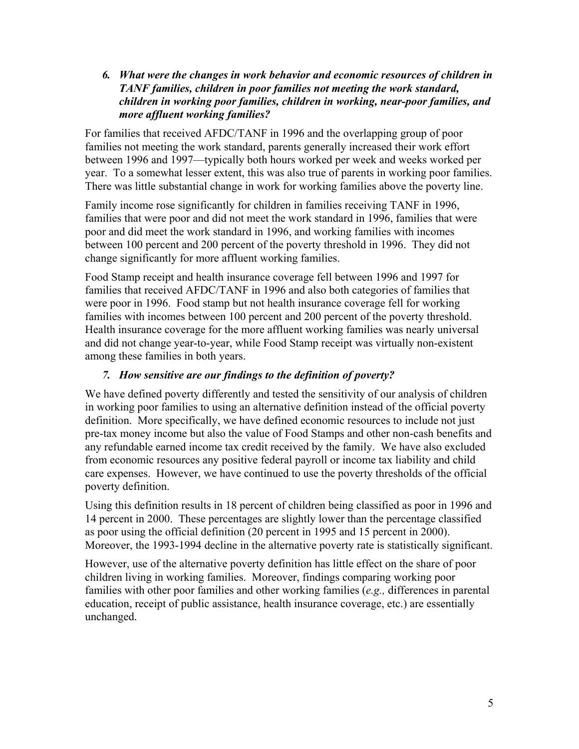*6. What were the changes in work behavior and economic resources of children in TANF families, children in poor families not meeting the work standard, children in working poor families, children in working, near-poor families, and more affluent working families?* 

For families that received AFDC/TANF in 1996 and the overlapping group of poor families not meeting the work standard, parents generally increased their work effort between 1996 and 1997—typically both hours worked per week and weeks worked per year. To a somewhat lesser extent, this was also true of parents in working poor families. There was little substantial change in work for working families above the poverty line.

Family income rose significantly for children in families receiving TANF in 1996, families that were poor and did not meet the work standard in 1996, families that were poor and did meet the work standard in 1996, and working families with incomes between 100 percent and 200 percent of the poverty threshold in 1996. They did not change significantly for more affluent working families.

Food Stamp receipt and health insurance coverage fell between 1996 and 1997 for families that received AFDC/TANF in 1996 and also both categories of families that were poor in 1996. Food stamp but not health insurance coverage fell for working families with incomes between 100 percent and 200 percent of the poverty threshold. Health insurance coverage for the more affluent working families was nearly universal and did not change year-to-year, while Food Stamp receipt was virtually non-existent among these families in both years.

### *7. How sensitive are our findings to the definition of poverty?*

We have defined poverty differently and tested the sensitivity of our analysis of children in working poor families to using an alternative definition instead of the official poverty definition. More specifically, we have defined economic resources to include not just pre-tax money income but also the value of Food Stamps and other non-cash benefits and any refundable earned income tax credit received by the family. We have also excluded from economic resources any positive federal payroll or income tax liability and child care expenses. However, we have continued to use the poverty thresholds of the official poverty definition.

Using this definition results in 18 percent of children being classified as poor in 1996 and 14 percent in 2000. These percentages are slightly lower than the percentage classified as poor using the official definition (20 percent in 1995 and 15 percent in 2000). Moreover, the 1993-1994 decline in the alternative poverty rate is statistically significant.

However, use of the alternative poverty definition has little effect on the share of poor children living in working families. Moreover, findings comparing working poor families with other poor families and other working families (*e.g.,* differences in parental education, receipt of public assistance, health insurance coverage, etc.) are essentially unchanged.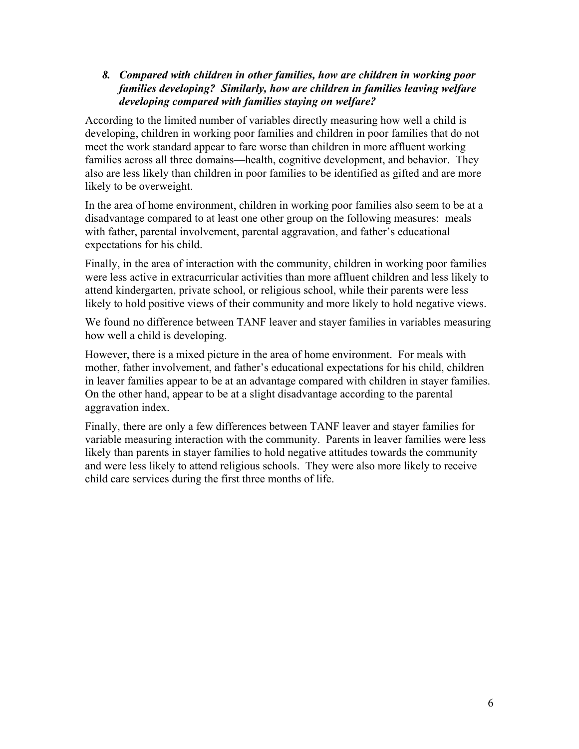### *8. Compared with children in other families, how are children in working poor families developing? Similarly, how are children in families leaving welfare developing compared with families staying on welfare?*

According to the limited number of variables directly measuring how well a child is developing, children in working poor families and children in poor families that do not meet the work standard appear to fare worse than children in more affluent working families across all three domains—health, cognitive development, and behavior. They also are less likely than children in poor families to be identified as gifted and are more likely to be overweight.

In the area of home environment, children in working poor families also seem to be at a disadvantage compared to at least one other group on the following measures: meals with father, parental involvement, parental aggravation, and father's educational expectations for his child.

Finally, in the area of interaction with the community, children in working poor families were less active in extracurricular activities than more affluent children and less likely to attend kindergarten, private school, or religious school, while their parents were less likely to hold positive views of their community and more likely to hold negative views.

We found no difference between TANF leaver and stayer families in variables measuring how well a child is developing.

However, there is a mixed picture in the area of home environment. For meals with mother, father involvement, and father's educational expectations for his child, children in leaver families appear to be at an advantage compared with children in stayer families. On the other hand, appear to be at a slight disadvantage according to the parental aggravation index.

Finally, there are only a few differences between TANF leaver and stayer families for variable measuring interaction with the community. Parents in leaver families were less likely than parents in stayer families to hold negative attitudes towards the community and were less likely to attend religious schools. They were also more likely to receive child care services during the first three months of life.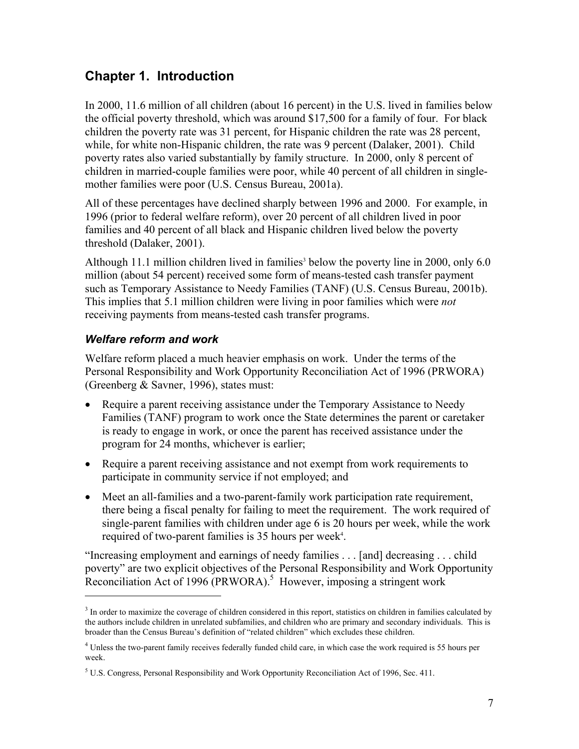### **Chapter 1. Introduction**

In 2000, 11.6 million of all children (about 16 percent) in the U.S. lived in families below the official poverty threshold, which was around \$17,500 for a family of four. For black children the poverty rate was 31 percent, for Hispanic children the rate was 28 percent, while, for white non-Hispanic children, the rate was 9 percent (Dalaker, 2001). Child poverty rates also varied substantially by family structure. In 2000, only 8 percent of children in married-couple families were poor, while 40 percent of all children in singlemother families were poor (U.S. Census Bureau, 2001a).

All of these percentages have declined sharply between 1996 and 2000. For example, in 1996 (prior to federal welfare reform), over 20 percent of all children lived in poor families and 40 percent of all black and Hispanic children lived below the poverty threshold (Dalaker, 2001).

Although 11.1 million children lived in families<sup>3</sup> below the poverty line in 2000, only 6.0 million (about 54 percent) received some form of means-tested cash transfer payment such as Temporary Assistance to Needy Families (TANF) (U.S. Census Bureau, 2001b). This implies that 5.1 million children were living in poor families which were *not* receiving payments from means-tested cash transfer programs.

### *Welfare reform and work*

 $\overline{a}$ 

Welfare reform placed a much heavier emphasis on work. Under the terms of the Personal Responsibility and Work Opportunity Reconciliation Act of 1996 (PRWORA) (Greenberg & Savner, 1996), states must:

- Require a parent receiving assistance under the Temporary Assistance to Needy Families (TANF) program to work once the State determines the parent or caretaker is ready to engage in work, or once the parent has received assistance under the program for 24 months, whichever is earlier;
- Require a parent receiving assistance and not exempt from work requirements to participate in community service if not employed; and
- Meet an all-families and a two-parent-family work participation rate requirement, there being a fiscal penalty for failing to meet the requirement. The work required of single-parent families with children under age 6 is 20 hours per week, while the work required of two-parent families is 35 hours per week<sup>4</sup>.

"Increasing employment and earnings of needy families . . . [and] decreasing . . . child poverty" are two explicit objectives of the Personal Responsibility and Work Opportunity Reconciliation Act of 1996 (PRWORA).<sup>5</sup> However, imposing a stringent work

<sup>&</sup>lt;sup>3</sup> In order to maximize the coverage of children considered in this report, statistics on children in families calculated by the authors include children in unrelated subfamilies, and children who are primary and secondary individuals. This is broader than the Census Bureau's definition of "related children" which excludes these children.

<sup>&</sup>lt;sup>4</sup> Unless the two-parent family receives federally funded child care, in which case the work required is 55 hours per week.

 $5$  U.S. Congress, Personal Responsibility and Work Opportunity Reconciliation Act of 1996, Sec. 411.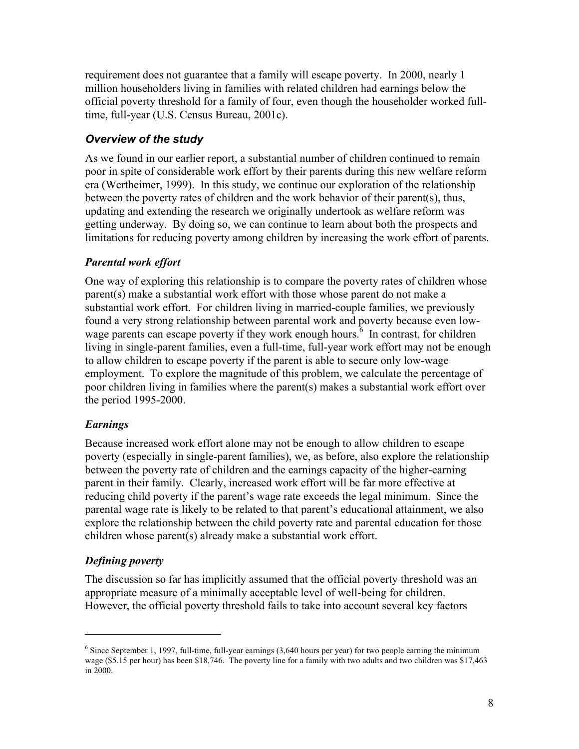requirement does not guarantee that a family will escape poverty. In 2000, nearly 1 million householders living in families with related children had earnings below the official poverty threshold for a family of four, even though the householder worked fulltime, full-year (U.S. Census Bureau, 2001c).

### *Overview of the study*

As we found in our earlier report, a substantial number of children continued to remain poor in spite of considerable work effort by their parents during this new welfare reform era (Wertheimer, 1999). In this study, we continue our exploration of the relationship between the poverty rates of children and the work behavior of their parent(s), thus, updating and extending the research we originally undertook as welfare reform was getting underway. By doing so, we can continue to learn about both the prospects and limitations for reducing poverty among children by increasing the work effort of parents.

### *Parental work effort*

One way of exploring this relationship is to compare the poverty rates of children whose parent(s) make a substantial work effort with those whose parent do not make a substantial work effort. For children living in married-couple families, we previously found a very strong relationship between parental work and poverty because even lowwage parents can escape poverty if they work enough hours. $\delta$  In contrast, for children living in single-parent families, even a full-time, full-year work effort may not be enough to allow children to escape poverty if the parent is able to secure only low-wage employment. To explore the magnitude of this problem, we calculate the percentage of poor children living in families where the parent(s) makes a substantial work effort over the period 1995-2000.

### *Earnings*

Because increased work effort alone may not be enough to allow children to escape poverty (especially in single-parent families), we, as before, also explore the relationship between the poverty rate of children and the earnings capacity of the higher-earning parent in their family. Clearly, increased work effort will be far more effective at reducing child poverty if the parent's wage rate exceeds the legal minimum. Since the parental wage rate is likely to be related to that parent's educational attainment, we also explore the relationship between the child poverty rate and parental education for those children whose parent(s) already make a substantial work effort.

### *Defining poverty*

 $\overline{a}$ 

The discussion so far has implicitly assumed that the official poverty threshold was an appropriate measure of a minimally acceptable level of well-being for children. However, the official poverty threshold fails to take into account several key factors

<sup>&</sup>lt;sup>6</sup> Since September 1, 1997, full-time, full-year earnings (3,640 hours per year) for two people earning the minimum wage (\$5.15 per hour) has been \$18,746. The poverty line for a family with two adults and two children was \$17,463 in 2000.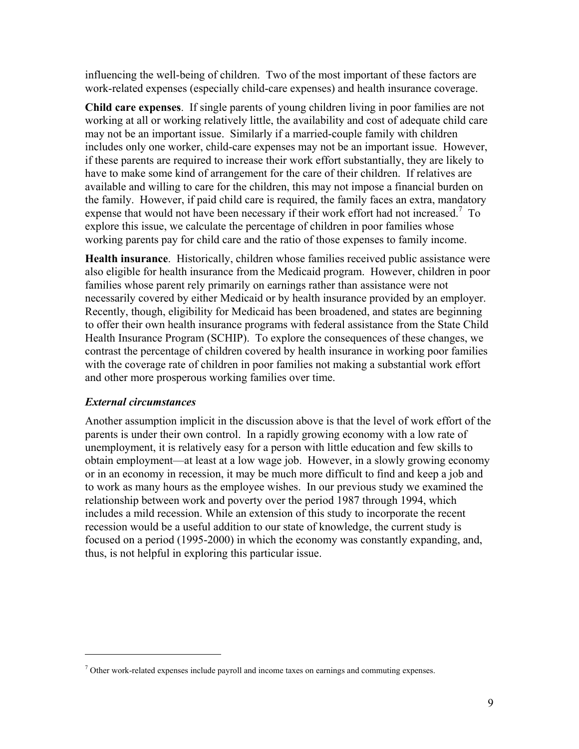influencing the well-being of children. Two of the most important of these factors are work-related expenses (especially child-care expenses) and health insurance coverage.

**Child care expenses**. If single parents of young children living in poor families are not working at all or working relatively little, the availability and cost of adequate child care may not be an important issue. Similarly if a married-couple family with children includes only one worker, child-care expenses may not be an important issue. However, if these parents are required to increase their work effort substantially, they are likely to have to make some kind of arrangement for the care of their children. If relatives are available and willing to care for the children, this may not impose a financial burden on the family. However, if paid child care is required, the family faces an extra, mandatory expense that would not have been necessary if their work effort had not increased.<sup>7</sup> To explore this issue, we calculate the percentage of children in poor families whose working parents pay for child care and the ratio of those expenses to family income.

**Health insurance**. Historically, children whose families received public assistance were also eligible for health insurance from the Medicaid program. However, children in poor families whose parent rely primarily on earnings rather than assistance were not necessarily covered by either Medicaid or by health insurance provided by an employer. Recently, though, eligibility for Medicaid has been broadened, and states are beginning to offer their own health insurance programs with federal assistance from the State Child Health Insurance Program (SCHIP). To explore the consequences of these changes, we contrast the percentage of children covered by health insurance in working poor families with the coverage rate of children in poor families not making a substantial work effort and other more prosperous working families over time.

### *External circumstances*

 $\overline{a}$ 

Another assumption implicit in the discussion above is that the level of work effort of the parents is under their own control. In a rapidly growing economy with a low rate of unemployment, it is relatively easy for a person with little education and few skills to obtain employment—at least at a low wage job. However, in a slowly growing economy or in an economy in recession, it may be much more difficult to find and keep a job and to work as many hours as the employee wishes. In our previous study we examined the relationship between work and poverty over the period 1987 through 1994, which includes a mild recession. While an extension of this study to incorporate the recent recession would be a useful addition to our state of knowledge, the current study is focused on a period (1995-2000) in which the economy was constantly expanding, and, thus, is not helpful in exploring this particular issue.

 $<sup>7</sup>$  Other work-related expenses include payroll and income taxes on earnings and commuting expenses.</sup>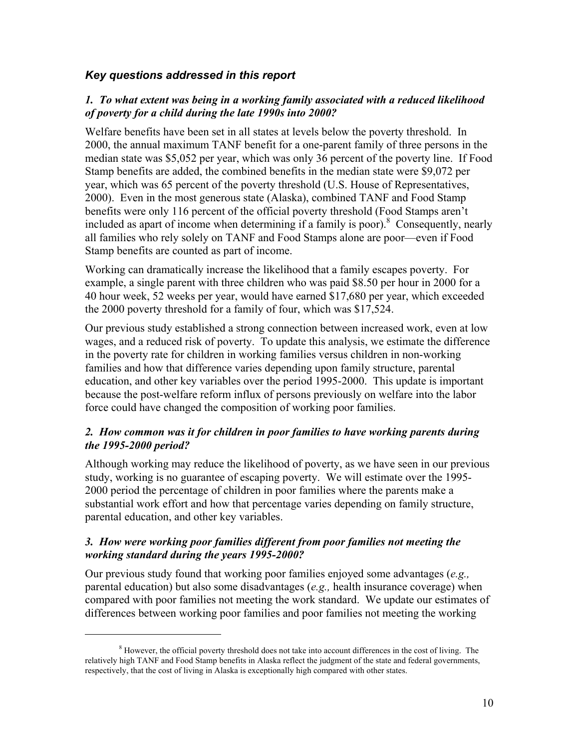### *Key questions addressed in this report*

### *1. To what extent was being in a working family associated with a reduced likelihood of poverty for a child during the late 1990s into 2000?*

Welfare benefits have been set in all states at levels below the poverty threshold. In 2000, the annual maximum TANF benefit for a one-parent family of three persons in the median state was \$5,052 per year, which was only 36 percent of the poverty line. If Food Stamp benefits are added, the combined benefits in the median state were \$9,072 per year, which was 65 percent of the poverty threshold (U.S. House of Representatives, 2000). Even in the most generous state (Alaska), combined TANF and Food Stamp benefits were only 116 percent of the official poverty threshold (Food Stamps aren't included as apart of income when determining if a family is poor).<sup>8</sup> Consequently, nearly all families who rely solely on TANF and Food Stamps alone are poor—even if Food Stamp benefits are counted as part of income.

Working can dramatically increase the likelihood that a family escapes poverty. For example, a single parent with three children who was paid \$8.50 per hour in 2000 for a 40 hour week, 52 weeks per year, would have earned \$17,680 per year, which exceeded the 2000 poverty threshold for a family of four, which was \$17,524.

Our previous study established a strong connection between increased work, even at low wages, and a reduced risk of poverty. To update this analysis, we estimate the difference in the poverty rate for children in working families versus children in non-working families and how that difference varies depending upon family structure, parental education, and other key variables over the period 1995-2000. This update is important because the post-welfare reform influx of persons previously on welfare into the labor force could have changed the composition of working poor families.

### *2. How common was it for children in poor families to have working parents during the 1995-2000 period?*

Although working may reduce the likelihood of poverty, as we have seen in our previous study, working is no guarantee of escaping poverty. We will estimate over the 1995- 2000 period the percentage of children in poor families where the parents make a substantial work effort and how that percentage varies depending on family structure, parental education, and other key variables.

### *3. How were working poor families different from poor families not meeting the working standard during the years 1995-2000?*

Our previous study found that working poor families enjoyed some advantages (*e.g.,* parental education) but also some disadvantages (*e.g.,* health insurance coverage) when compared with poor families not meeting the work standard. We update our estimates of differences between working poor families and poor families not meeting the working

1

<sup>&</sup>lt;sup>8</sup> However, the official poverty threshold does not take into account differences in the cost of living. The relatively high TANF and Food Stamp benefits in Alaska reflect the judgment of the state and federal governments, respectively, that the cost of living in Alaska is exceptionally high compared with other states.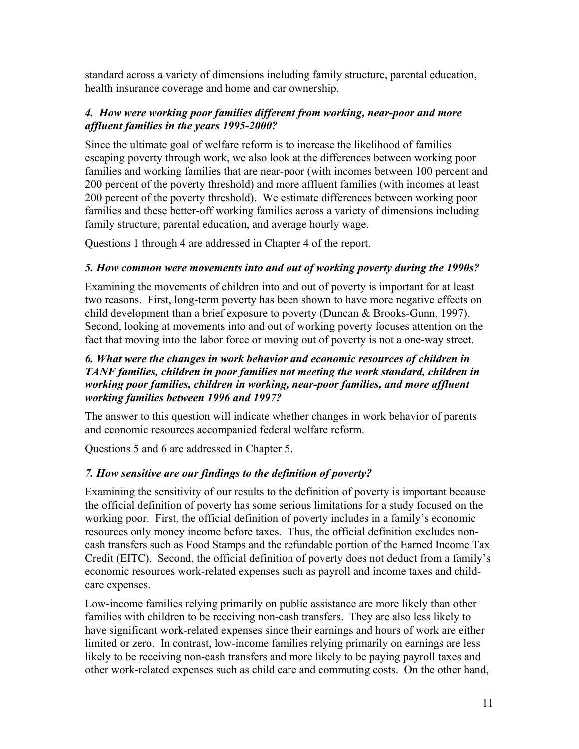standard across a variety of dimensions including family structure, parental education, health insurance coverage and home and car ownership.

### *4. How were working poor families different from working, near-poor and more affluent families in the years 1995-2000?*

Since the ultimate goal of welfare reform is to increase the likelihood of families escaping poverty through work, we also look at the differences between working poor families and working families that are near-poor (with incomes between 100 percent and 200 percent of the poverty threshold) and more affluent families (with incomes at least 200 percent of the poverty threshold). We estimate differences between working poor families and these better-off working families across a variety of dimensions including family structure, parental education, and average hourly wage.

Questions 1 through 4 are addressed in Chapter 4 of the report.

### *5. How common were movements into and out of working poverty during the 1990s?*

Examining the movements of children into and out of poverty is important for at least two reasons. First, long-term poverty has been shown to have more negative effects on child development than a brief exposure to poverty (Duncan & Brooks-Gunn, 1997). Second, looking at movements into and out of working poverty focuses attention on the fact that moving into the labor force or moving out of poverty is not a one-way street.

### *6. What were the changes in work behavior and economic resources of children in TANF families, children in poor families not meeting the work standard, children in working poor families, children in working, near-poor families, and more affluent working families between 1996 and 1997?*

The answer to this question will indicate whether changes in work behavior of parents and economic resources accompanied federal welfare reform.

Questions 5 and 6 are addressed in Chapter 5.

### *7. How sensitive are our findings to the definition of poverty?*

Examining the sensitivity of our results to the definition of poverty is important because the official definition of poverty has some serious limitations for a study focused on the working poor. First, the official definition of poverty includes in a family's economic resources only money income before taxes. Thus, the official definition excludes noncash transfers such as Food Stamps and the refundable portion of the Earned Income Tax Credit (EITC). Second, the official definition of poverty does not deduct from a family's economic resources work-related expenses such as payroll and income taxes and childcare expenses.

Low-income families relying primarily on public assistance are more likely than other families with children to be receiving non-cash transfers. They are also less likely to have significant work-related expenses since their earnings and hours of work are either limited or zero. In contrast, low-income families relying primarily on earnings are less likely to be receiving non-cash transfers and more likely to be paying payroll taxes and other work-related expenses such as child care and commuting costs. On the other hand,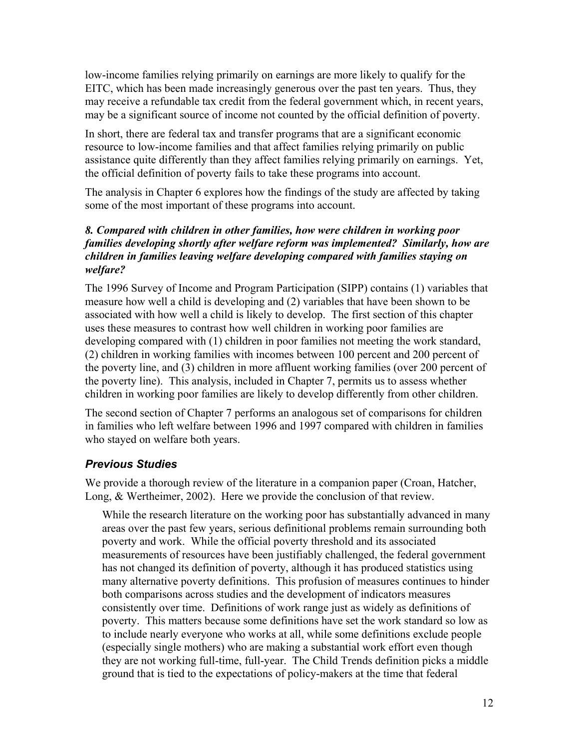low-income families relying primarily on earnings are more likely to qualify for the EITC, which has been made increasingly generous over the past ten years. Thus, they may receive a refundable tax credit from the federal government which, in recent years, may be a significant source of income not counted by the official definition of poverty.

In short, there are federal tax and transfer programs that are a significant economic resource to low-income families and that affect families relying primarily on public assistance quite differently than they affect families relying primarily on earnings. Yet, the official definition of poverty fails to take these programs into account.

The analysis in Chapter 6 explores how the findings of the study are affected by taking some of the most important of these programs into account.

### *8. Compared with children in other families, how were children in working poor families developing shortly after welfare reform was implemented? Similarly, how are children in families leaving welfare developing compared with families staying on welfare?*

The 1996 Survey of Income and Program Participation (SIPP) contains (1) variables that measure how well a child is developing and (2) variables that have been shown to be associated with how well a child is likely to develop. The first section of this chapter uses these measures to contrast how well children in working poor families are developing compared with (1) children in poor families not meeting the work standard, (2) children in working families with incomes between 100 percent and 200 percent of the poverty line, and (3) children in more affluent working families (over 200 percent of the poverty line). This analysis, included in Chapter 7, permits us to assess whether children in working poor families are likely to develop differently from other children.

The second section of Chapter 7 performs an analogous set of comparisons for children in families who left welfare between 1996 and 1997 compared with children in families who stayed on welfare both years.

### *Previous Studies*

We provide a thorough review of the literature in a companion paper (Croan, Hatcher, Long, & Wertheimer, 2002). Here we provide the conclusion of that review.

While the research literature on the working poor has substantially advanced in many areas over the past few years, serious definitional problems remain surrounding both poverty and work. While the official poverty threshold and its associated measurements of resources have been justifiably challenged, the federal government has not changed its definition of poverty, although it has produced statistics using many alternative poverty definitions. This profusion of measures continues to hinder both comparisons across studies and the development of indicators measures consistently over time. Definitions of work range just as widely as definitions of poverty. This matters because some definitions have set the work standard so low as to include nearly everyone who works at all, while some definitions exclude people (especially single mothers) who are making a substantial work effort even though they are not working full-time, full-year. The Child Trends definition picks a middle ground that is tied to the expectations of policy-makers at the time that federal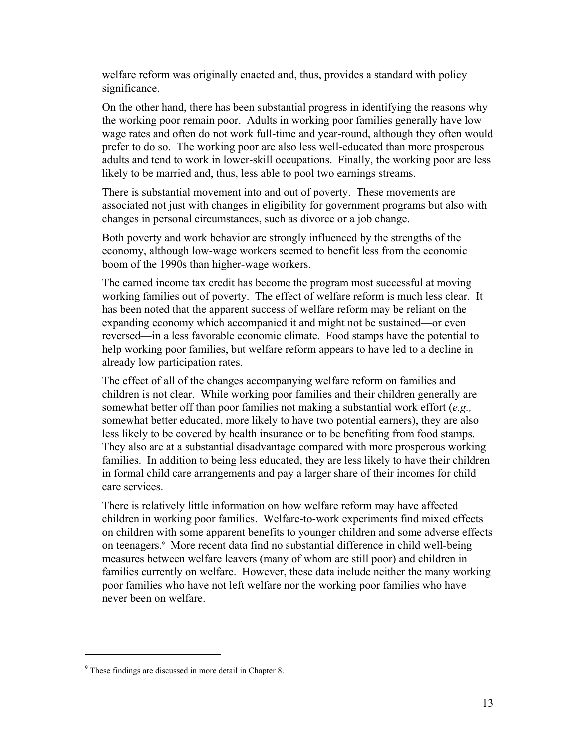welfare reform was originally enacted and, thus, provides a standard with policy significance.

On the other hand, there has been substantial progress in identifying the reasons why the working poor remain poor. Adults in working poor families generally have low wage rates and often do not work full-time and year-round, although they often would prefer to do so. The working poor are also less well-educated than more prosperous adults and tend to work in lower-skill occupations. Finally, the working poor are less likely to be married and, thus, less able to pool two earnings streams.

There is substantial movement into and out of poverty. These movements are associated not just with changes in eligibility for government programs but also with changes in personal circumstances, such as divorce or a job change.

Both poverty and work behavior are strongly influenced by the strengths of the economy, although low-wage workers seemed to benefit less from the economic boom of the 1990s than higher-wage workers.

The earned income tax credit has become the program most successful at moving working families out of poverty. The effect of welfare reform is much less clear. It has been noted that the apparent success of welfare reform may be reliant on the expanding economy which accompanied it and might not be sustained—or even reversed—in a less favorable economic climate. Food stamps have the potential to help working poor families, but welfare reform appears to have led to a decline in already low participation rates.

The effect of all of the changes accompanying welfare reform on families and children is not clear. While working poor families and their children generally are somewhat better off than poor families not making a substantial work effort (*e.g.,* somewhat better educated, more likely to have two potential earners), they are also less likely to be covered by health insurance or to be benefiting from food stamps. They also are at a substantial disadvantage compared with more prosperous working families. In addition to being less educated, they are less likely to have their children in formal child care arrangements and pay a larger share of their incomes for child care services.

There is relatively little information on how welfare reform may have affected children in working poor families. Welfare-to-work experiments find mixed effects on children with some apparent benefits to younger children and some adverse effects on teenagers.9 More recent data find no substantial difference in child well-being measures between welfare leavers (many of whom are still poor) and children in families currently on welfare. However, these data include neither the many working poor families who have not left welfare nor the working poor families who have never been on welfare.

1

<sup>&</sup>lt;sup>9</sup> These findings are discussed in more detail in Chapter 8.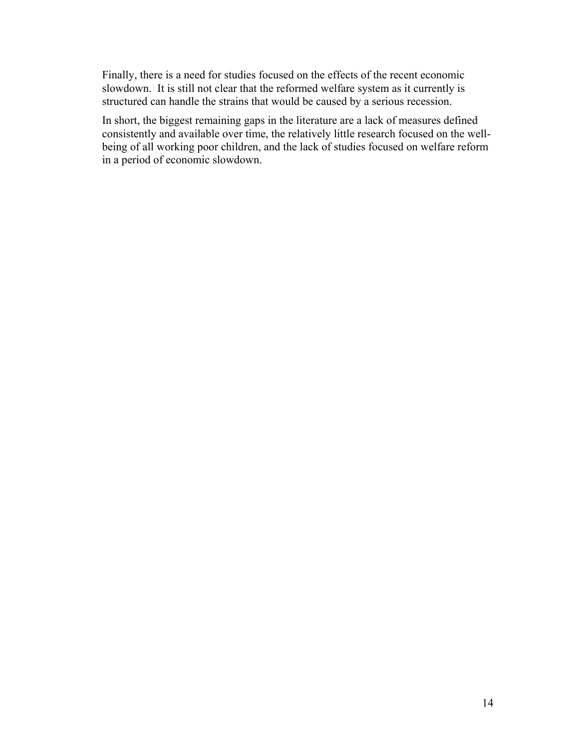Finally, there is a need for studies focused on the effects of the recent economic slowdown. It is still not clear that the reformed welfare system as it currently is structured can handle the strains that would be caused by a serious recession.

In short, the biggest remaining gaps in the literature are a lack of measures defined consistently and available over time, the relatively little research focused on the wellbeing of all working poor children, and the lack of studies focused on welfare reform in a period of economic slowdown.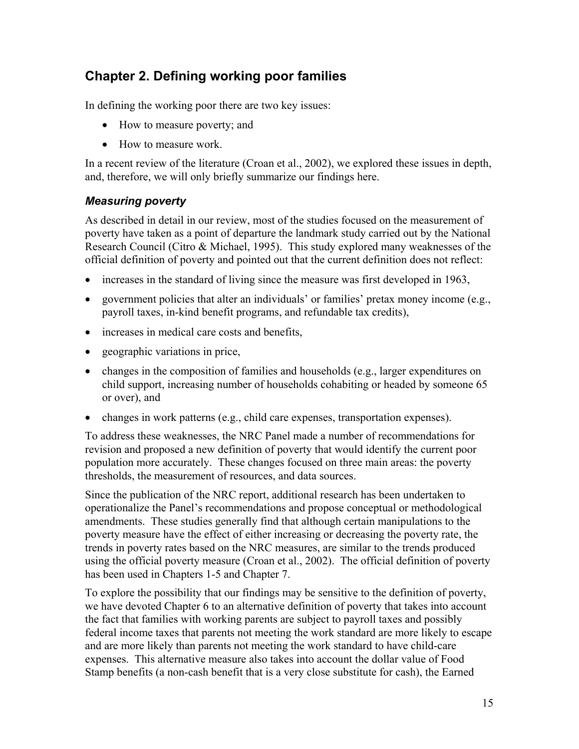### **Chapter 2. Defining working poor families**

In defining the working poor there are two key issues:

- How to measure poverty; and
- How to measure work.

In a recent review of the literature (Croan et al., 2002), we explored these issues in depth, and, therefore, we will only briefly summarize our findings here.

### *Measuring poverty*

As described in detail in our review, most of the studies focused on the measurement of poverty have taken as a point of departure the landmark study carried out by the National Research Council (Citro & Michael, 1995). This study explored many weaknesses of the official definition of poverty and pointed out that the current definition does not reflect:

- increases in the standard of living since the measure was first developed in 1963,
- government policies that alter an individuals' or families' pretax money income  $(e.g.,)$ payroll taxes, in-kind benefit programs, and refundable tax credits),
- increases in medical care costs and benefits,
- geographic variations in price,
- changes in the composition of families and households (e.g., larger expenditures on child support, increasing number of households cohabiting or headed by someone 65 or over), and
- changes in work patterns (e.g., child care expenses, transportation expenses).

To address these weaknesses, the NRC Panel made a number of recommendations for revision and proposed a new definition of poverty that would identify the current poor population more accurately. These changes focused on three main areas: the poverty thresholds, the measurement of resources, and data sources.

Since the publication of the NRC report, additional research has been undertaken to operationalize the Panel's recommendations and propose conceptual or methodological amendments. These studies generally find that although certain manipulations to the poverty measure have the effect of either increasing or decreasing the poverty rate, the trends in poverty rates based on the NRC measures, are similar to the trends produced using the official poverty measure (Croan et al., 2002). The official definition of poverty has been used in Chapters 1-5 and Chapter 7.

To explore the possibility that our findings may be sensitive to the definition of poverty, we have devoted Chapter 6 to an alternative definition of poverty that takes into account the fact that families with working parents are subject to payroll taxes and possibly federal income taxes that parents not meeting the work standard are more likely to escape and are more likely than parents not meeting the work standard to have child-care expenses. This alternative measure also takes into account the dollar value of Food Stamp benefits (a non-cash benefit that is a very close substitute for cash), the Earned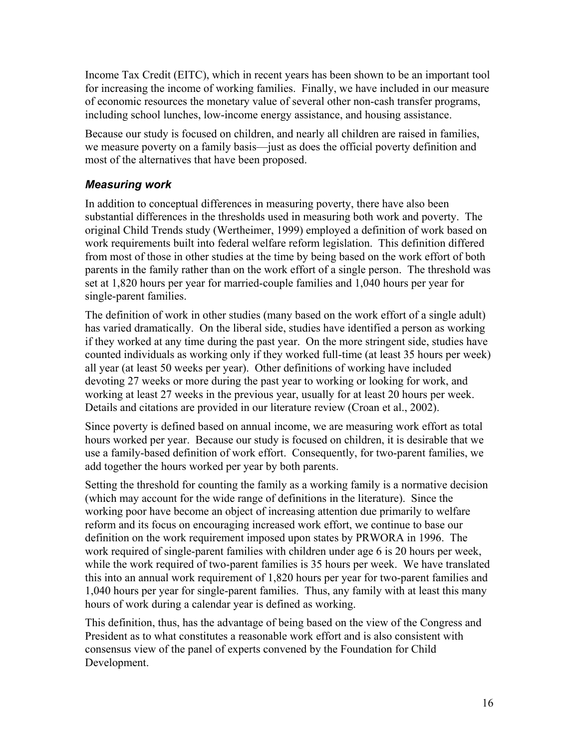Income Tax Credit (EITC), which in recent years has been shown to be an important tool for increasing the income of working families. Finally, we have included in our measure of economic resources the monetary value of several other non-cash transfer programs, including school lunches, low-income energy assistance, and housing assistance.

Because our study is focused on children, and nearly all children are raised in families, we measure poverty on a family basis—just as does the official poverty definition and most of the alternatives that have been proposed.

### *Measuring work*

In addition to conceptual differences in measuring poverty, there have also been substantial differences in the thresholds used in measuring both work and poverty. The original Child Trends study (Wertheimer, 1999) employed a definition of work based on work requirements built into federal welfare reform legislation. This definition differed from most of those in other studies at the time by being based on the work effort of both parents in the family rather than on the work effort of a single person. The threshold was set at 1,820 hours per year for married-couple families and 1,040 hours per year for single-parent families.

The definition of work in other studies (many based on the work effort of a single adult) has varied dramatically. On the liberal side, studies have identified a person as working if they worked at any time during the past year. On the more stringent side, studies have counted individuals as working only if they worked full-time (at least 35 hours per week) all year (at least 50 weeks per year). Other definitions of working have included devoting 27 weeks or more during the past year to working or looking for work, and working at least 27 weeks in the previous year, usually for at least 20 hours per week. Details and citations are provided in our literature review (Croan et al., 2002).

Since poverty is defined based on annual income, we are measuring work effort as total hours worked per year. Because our study is focused on children, it is desirable that we use a family-based definition of work effort. Consequently, for two-parent families, we add together the hours worked per year by both parents.

Setting the threshold for counting the family as a working family is a normative decision (which may account for the wide range of definitions in the literature). Since the working poor have become an object of increasing attention due primarily to welfare reform and its focus on encouraging increased work effort, we continue to base our definition on the work requirement imposed upon states by PRWORA in 1996. The work required of single-parent families with children under age 6 is 20 hours per week, while the work required of two-parent families is 35 hours per week. We have translated this into an annual work requirement of 1,820 hours per year for two-parent families and 1,040 hours per year for single-parent families. Thus, any family with at least this many hours of work during a calendar year is defined as working.

This definition, thus, has the advantage of being based on the view of the Congress and President as to what constitutes a reasonable work effort and is also consistent with consensus view of the panel of experts convened by the Foundation for Child Development.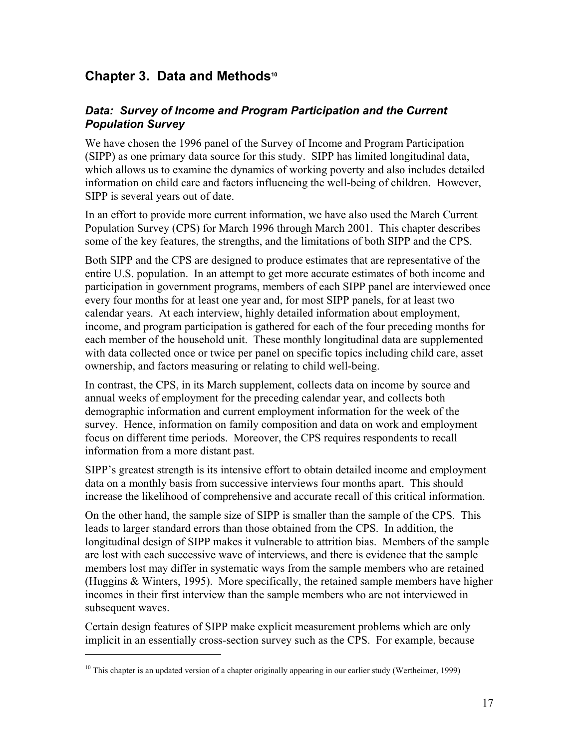### **Chapter 3. Data and Methods<sup>10</sup>**

### *Data: Survey of Income and Program Participation and the Current Population Survey*

We have chosen the 1996 panel of the Survey of Income and Program Participation (SIPP) as one primary data source for this study. SIPP has limited longitudinal data, which allows us to examine the dynamics of working poverty and also includes detailed information on child care and factors influencing the well-being of children. However, SIPP is several years out of date.

In an effort to provide more current information, we have also used the March Current Population Survey (CPS) for March 1996 through March 2001. This chapter describes some of the key features, the strengths, and the limitations of both SIPP and the CPS.

Both SIPP and the CPS are designed to produce estimates that are representative of the entire U.S. population. In an attempt to get more accurate estimates of both income and participation in government programs, members of each SIPP panel are interviewed once every four months for at least one year and, for most SIPP panels, for at least two calendar years. At each interview, highly detailed information about employment, income, and program participation is gathered for each of the four preceding months for each member of the household unit. These monthly longitudinal data are supplemented with data collected once or twice per panel on specific topics including child care, asset ownership, and factors measuring or relating to child well-being.

In contrast, the CPS, in its March supplement, collects data on income by source and annual weeks of employment for the preceding calendar year, and collects both demographic information and current employment information for the week of the survey. Hence, information on family composition and data on work and employment focus on different time periods. Moreover, the CPS requires respondents to recall information from a more distant past.

SIPP's greatest strength is its intensive effort to obtain detailed income and employment data on a monthly basis from successive interviews four months apart. This should increase the likelihood of comprehensive and accurate recall of this critical information.

On the other hand, the sample size of SIPP is smaller than the sample of the CPS. This leads to larger standard errors than those obtained from the CPS. In addition, the longitudinal design of SIPP makes it vulnerable to attrition bias. Members of the sample are lost with each successive wave of interviews, and there is evidence that the sample members lost may differ in systematic ways from the sample members who are retained (Huggins & Winters, 1995). More specifically, the retained sample members have higher incomes in their first interview than the sample members who are not interviewed in subsequent waves.

Certain design features of SIPP make explicit measurement problems which are only implicit in an essentially cross-section survey such as the CPS. For example, because

 $\overline{a}$ 

 $10$  This chapter is an updated version of a chapter originally appearing in our earlier study (Wertheimer, 1999)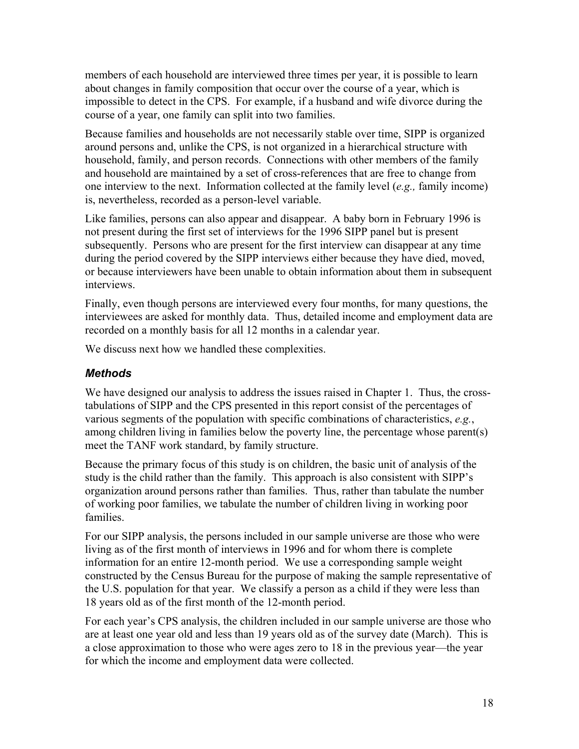members of each household are interviewed three times per year, it is possible to learn about changes in family composition that occur over the course of a year, which is impossible to detect in the CPS. For example, if a husband and wife divorce during the course of a year, one family can split into two families.

Because families and households are not necessarily stable over time, SIPP is organized around persons and, unlike the CPS, is not organized in a hierarchical structure with household, family, and person records. Connections with other members of the family and household are maintained by a set of cross-references that are free to change from one interview to the next. Information collected at the family level (*e.g.,* family income) is, nevertheless, recorded as a person-level variable.

Like families, persons can also appear and disappear. A baby born in February 1996 is not present during the first set of interviews for the 1996 SIPP panel but is present subsequently. Persons who are present for the first interview can disappear at any time during the period covered by the SIPP interviews either because they have died, moved, or because interviewers have been unable to obtain information about them in subsequent interviews.

Finally, even though persons are interviewed every four months, for many questions, the interviewees are asked for monthly data. Thus, detailed income and employment data are recorded on a monthly basis for all 12 months in a calendar year.

We discuss next how we handled these complexities.

### *Methods*

We have designed our analysis to address the issues raised in Chapter 1. Thus, the crosstabulations of SIPP and the CPS presented in this report consist of the percentages of various segments of the population with specific combinations of characteristics, *e.g.*, among children living in families below the poverty line, the percentage whose parent(s) meet the TANF work standard, by family structure.

Because the primary focus of this study is on children, the basic unit of analysis of the study is the child rather than the family. This approach is also consistent with SIPP's organization around persons rather than families. Thus, rather than tabulate the number of working poor families, we tabulate the number of children living in working poor families.

For our SIPP analysis, the persons included in our sample universe are those who were living as of the first month of interviews in 1996 and for whom there is complete information for an entire 12-month period. We use a corresponding sample weight constructed by the Census Bureau for the purpose of making the sample representative of the U.S. population for that year. We classify a person as a child if they were less than 18 years old as of the first month of the 12-month period.

For each year's CPS analysis, the children included in our sample universe are those who are at least one year old and less than 19 years old as of the survey date (March). This is a close approximation to those who were ages zero to 18 in the previous year—the year for which the income and employment data were collected.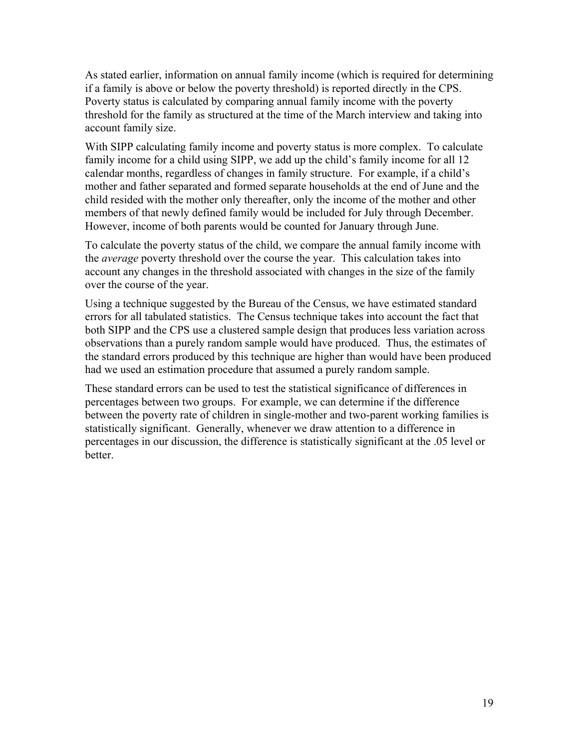As stated earlier, information on annual family income (which is required for determining if a family is above or below the poverty threshold) is reported directly in the CPS. Poverty status is calculated by comparing annual family income with the poverty threshold for the family as structured at the time of the March interview and taking into account family size.

With SIPP calculating family income and poverty status is more complex. To calculate family income for a child using SIPP, we add up the child's family income for all 12 calendar months, regardless of changes in family structure. For example, if a child's mother and father separated and formed separate households at the end of June and the child resided with the mother only thereafter, only the income of the mother and other members of that newly defined family would be included for July through December. However, income of both parents would be counted for January through June.

To calculate the poverty status of the child, we compare the annual family income with the *average* poverty threshold over the course the year. This calculation takes into account any changes in the threshold associated with changes in the size of the family over the course of the year.

Using a technique suggested by the Bureau of the Census, we have estimated standard errors for all tabulated statistics. The Census technique takes into account the fact that both SIPP and the CPS use a clustered sample design that produces less variation across observations than a purely random sample would have produced. Thus, the estimates of the standard errors produced by this technique are higher than would have been produced had we used an estimation procedure that assumed a purely random sample.

These standard errors can be used to test the statistical significance of differences in percentages between two groups. For example, we can determine if the difference between the poverty rate of children in single-mother and two-parent working families is statistically significant. Generally, whenever we draw attention to a difference in percentages in our discussion, the difference is statistically significant at the .05 level or **better**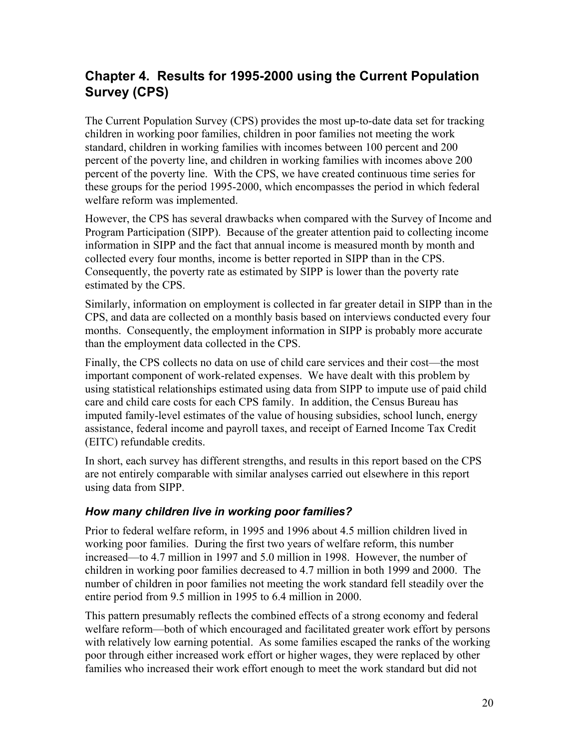### **Chapter 4. Results for 1995-2000 using the Current Population Survey (CPS)**

The Current Population Survey (CPS) provides the most up-to-date data set for tracking children in working poor families, children in poor families not meeting the work standard, children in working families with incomes between 100 percent and 200 percent of the poverty line, and children in working families with incomes above 200 percent of the poverty line. With the CPS, we have created continuous time series for these groups for the period 1995-2000, which encompasses the period in which federal welfare reform was implemented.

However, the CPS has several drawbacks when compared with the Survey of Income and Program Participation (SIPP). Because of the greater attention paid to collecting income information in SIPP and the fact that annual income is measured month by month and collected every four months, income is better reported in SIPP than in the CPS. Consequently, the poverty rate as estimated by SIPP is lower than the poverty rate estimated by the CPS.

Similarly, information on employment is collected in far greater detail in SIPP than in the CPS, and data are collected on a monthly basis based on interviews conducted every four months. Consequently, the employment information in SIPP is probably more accurate than the employment data collected in the CPS.

Finally, the CPS collects no data on use of child care services and their cost—the most important component of work-related expenses. We have dealt with this problem by using statistical relationships estimated using data from SIPP to impute use of paid child care and child care costs for each CPS family. In addition, the Census Bureau has imputed family-level estimates of the value of housing subsidies, school lunch, energy assistance, federal income and payroll taxes, and receipt of Earned Income Tax Credit (EITC) refundable credits.

In short, each survey has different strengths, and results in this report based on the CPS are not entirely comparable with similar analyses carried out elsewhere in this report using data from SIPP.

### *How many children live in working poor families?*

Prior to federal welfare reform, in 1995 and 1996 about 4.5 million children lived in working poor families. During the first two years of welfare reform, this number increased—to 4.7 million in 1997 and 5.0 million in 1998. However, the number of children in working poor families decreased to 4.7 million in both 1999 and 2000. The number of children in poor families not meeting the work standard fell steadily over the entire period from 9.5 million in 1995 to 6.4 million in 2000.

This pattern presumably reflects the combined effects of a strong economy and federal welfare reform—both of which encouraged and facilitated greater work effort by persons with relatively low earning potential. As some families escaped the ranks of the working poor through either increased work effort or higher wages, they were replaced by other families who increased their work effort enough to meet the work standard but did not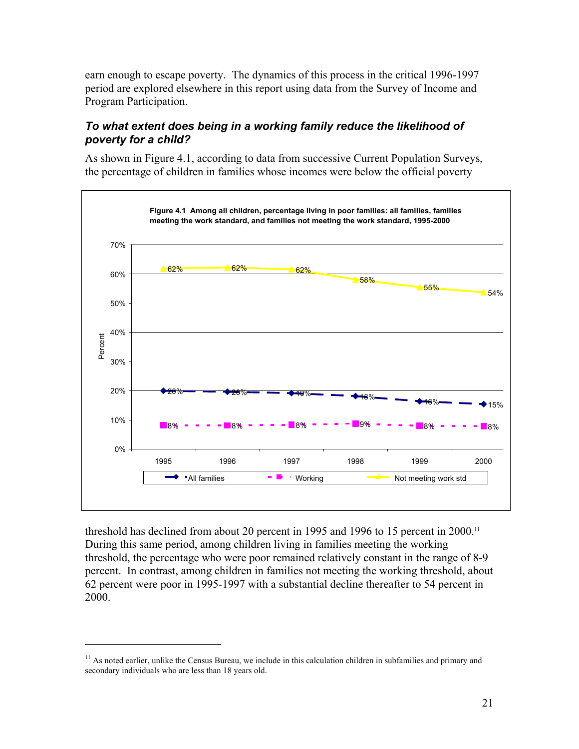earn enough to escape poverty. The dynamics of this process in the critical 1996-1997 period are explored elsewhere in this report using data from the Survey of Income and Program Participation.

### *To what extent does being in a working family reduce the likelihood of poverty for a child?*

As shown in Figure 4.1, according to data from successive Current Population Surveys, the percentage of children in families whose incomes were below the official poverty



threshold has declined from about 20 percent in 1995 and 1996 to 15 percent in 2000.<sup>11</sup> During this same period, among children living in families meeting the working threshold, the percentage who were poor remained relatively constant in the range of 8-9 percent. In contrast, among children in families not meeting the working threshold, about 62 percent were poor in 1995-1997 with a substantial decline thereafter to 54 percent in 2000.

1

 $<sup>11</sup>$  As noted earlier, unlike the Census Bureau, we include in this calculation children in subfamilies and primary and</sup> secondary individuals who are less than 18 years old.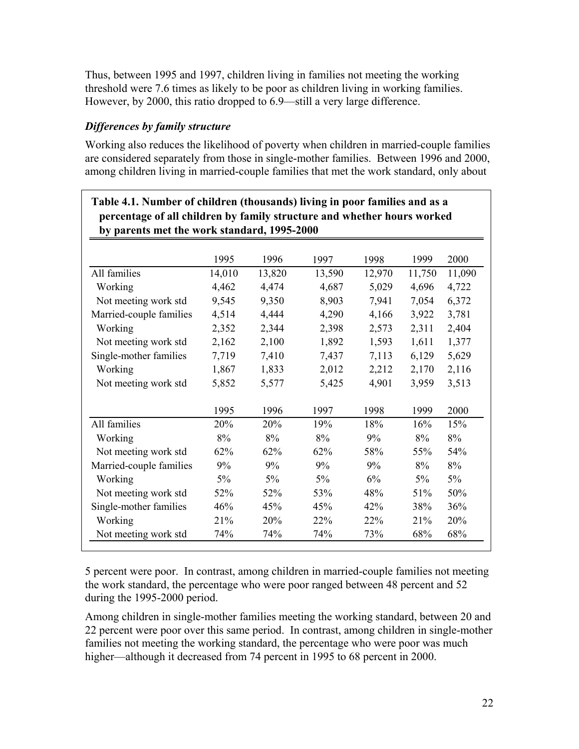Thus, between 1995 and 1997, children living in families not meeting the working threshold were 7.6 times as likely to be poor as children living in working families. However, by 2000, this ratio dropped to 6.9—still a very large difference.

### *Differences by family structure*

Working also reduces the likelihood of poverty when children in married-couple families are considered separately from those in single-mother families. Between 1996 and 2000, among children living in married-couple families that met the work standard, only about

|                         | 1995   | 1996   | 1997   | 1998   | 1999   | 2000   |
|-------------------------|--------|--------|--------|--------|--------|--------|
| All families            | 14,010 | 13,820 | 13,590 | 12,970 | 11,750 | 11,090 |
| Working                 | 4,462  | 4,474  | 4,687  | 5,029  | 4,696  | 4,722  |
| Not meeting work std    | 9,545  | 9,350  | 8,903  | 7,941  | 7,054  | 6,372  |
| Married-couple families | 4,514  | 4,444  | 4,290  | 4,166  | 3,922  | 3,781  |
| Working                 | 2,352  | 2,344  | 2,398  | 2,573  | 2,311  | 2,404  |
| Not meeting work std    | 2,162  | 2,100  | 1,892  | 1,593  | 1,611  | 1,377  |
| Single-mother families  | 7,719  | 7,410  | 7,437  | 7,113  | 6,129  | 5,629  |
| Working                 | 1,867  | 1,833  | 2,012  | 2,212  | 2,170  | 2,116  |
| Not meeting work std    | 5,852  | 5,577  | 5,425  | 4,901  | 3,959  | 3,513  |
|                         | 1995   | 1996   | 1997   | 1998   | 1999   | 2000   |
| All families            | 20%    | 20%    | 19%    | 18%    | 16%    | 15%    |
| Working                 | 8%     | 8%     | 8%     | 9%     | 8%     | 8%     |
| Not meeting work std    | 62%    | 62%    | 62%    | 58%    | 55%    | 54%    |
| Married-couple families | 9%     | 9%     | 9%     | 9%     | 8%     | 8%     |
| Working                 | $5\%$  | $5\%$  | $5\%$  | 6%     | $5\%$  | $5\%$  |
| Not meeting work std    | 52%    | 52%    | 53%    | 48%    | 51%    | 50%    |
| Single-mother families  | 46%    | 45%    | 45%    | 42%    | 38%    | 36%    |
| Working                 | 21%    | 20%    | 22%    | 22%    | 21%    | 20%    |
| Not meeting work std    | 74%    | 74%    | 74%    | 73%    | 68%    | 68%    |

5 percent were poor. In contrast, among children in married-couple families not meeting the work standard, the percentage who were poor ranged between 48 percent and 52 during the 1995-2000 period.

Among children in single-mother families meeting the working standard, between 20 and 22 percent were poor over this same period. In contrast, among children in single-mother families not meeting the working standard, the percentage who were poor was much higher—although it decreased from 74 percent in 1995 to 68 percent in 2000.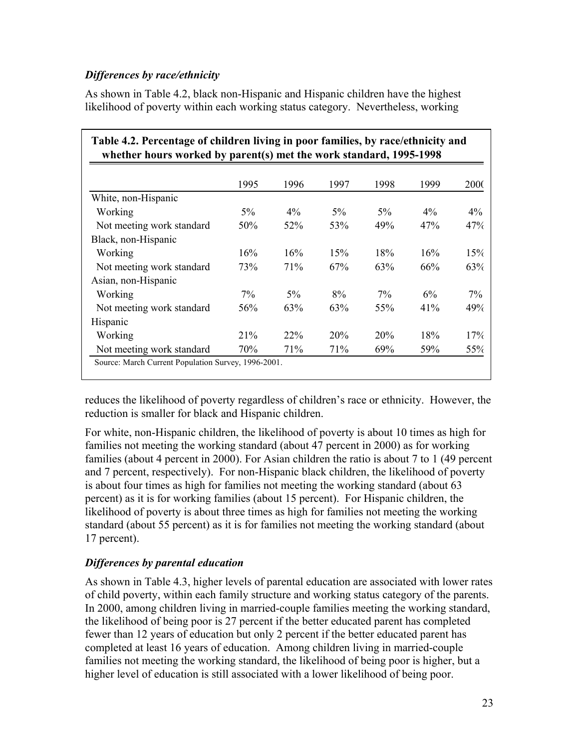### *Differences by race/ethnicity*

As shown in Table 4.2, black non-Hispanic and Hispanic children have the highest likelihood of poverty within each working status category. Nevertheless, working

| whether hours worked by parent(s) met the work standard, 1995-1998 |       |       |       |       |       |             |
|--------------------------------------------------------------------|-------|-------|-------|-------|-------|-------------|
|                                                                    | 1995  | 1996  | 1997  | 1998  | 1999  | <b>2000</b> |
| White, non-Hispanic                                                |       |       |       |       |       |             |
| Working                                                            | $5\%$ | $4\%$ | $5\%$ | 5%    | $4\%$ | $4\%$       |
| Not meeting work standard                                          | 50%   | 52%   | 53%   | 49%   | 47%   | 47%         |
| Black, non-Hispanic                                                |       |       |       |       |       |             |
| Working                                                            | 16%   | 16%   | 15%   | 18%   | 16%   | 15%         |
| Not meeting work standard                                          | 73%   | 71\%  | 67%   | 63%   | 66%   | 63%         |
| Asian, non-Hispanic                                                |       |       |       |       |       |             |
| Working                                                            | 7%    | $5\%$ | 8%    | $7\%$ | 6%    | $7\%$       |
| Not meeting work standard                                          | 56%   | 63%   | 63%   | 55%   | 41%   | 49%         |
| Hispanic                                                           |       |       |       |       |       |             |
| Working                                                            | 21%   | 22%   | 20%   | 20%   | 18%   | 17%         |
| Not meeting work standard                                          | 70%   | 71%   | 71%   | 69%   | 59%   | 55%         |

reduces the likelihood of poverty regardless of children's race or ethnicity. However, the reduction is smaller for black and Hispanic children.

For white, non-Hispanic children, the likelihood of poverty is about 10 times as high for families not meeting the working standard (about 47 percent in 2000) as for working families (about 4 percent in 2000). For Asian children the ratio is about 7 to 1 (49 percent and 7 percent, respectively). For non-Hispanic black children, the likelihood of poverty is about four times as high for families not meeting the working standard (about 63 percent) as it is for working families (about 15 percent). For Hispanic children, the likelihood of poverty is about three times as high for families not meeting the working standard (about 55 percent) as it is for families not meeting the working standard (about 17 percent).

### *Differences by parental education*

As shown in Table 4.3, higher levels of parental education are associated with lower rates of child poverty, within each family structure and working status category of the parents. In 2000, among children living in married-couple families meeting the working standard, the likelihood of being poor is 27 percent if the better educated parent has completed fewer than 12 years of education but only 2 percent if the better educated parent has completed at least 16 years of education. Among children living in married-couple families not meeting the working standard, the likelihood of being poor is higher, but a higher level of education is still associated with a lower likelihood of being poor.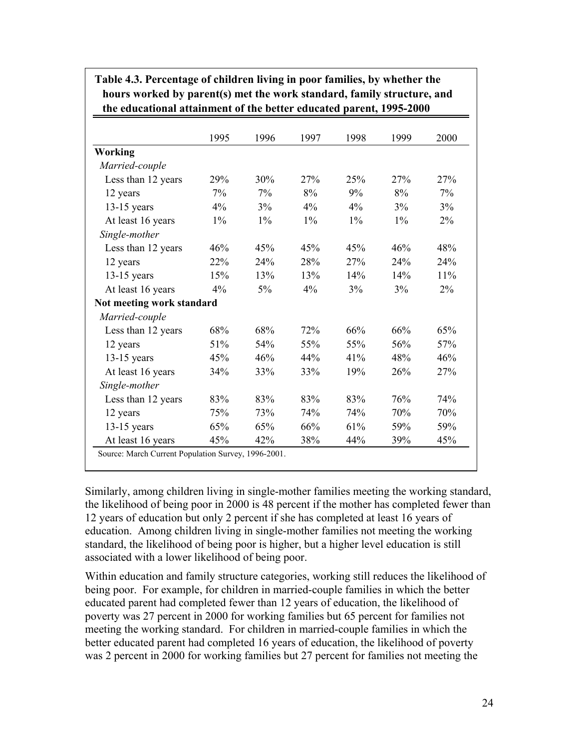|                           | 1995  | 1996  | 1997  | 1998  | 1999  | 2000  |
|---------------------------|-------|-------|-------|-------|-------|-------|
| Working                   |       |       |       |       |       |       |
| Married-couple            |       |       |       |       |       |       |
| Less than 12 years        | 29%   | 30%   | 27%   | 25%   | 27%   | 27%   |
| 12 years                  | 7%    | 7%    | 8%    | 9%    | 8%    | 7%    |
| $13-15$ years             | 4%    | 3%    | 4%    | 4%    | 3%    | 3%    |
| At least 16 years         | $1\%$ | $1\%$ | $1\%$ | $1\%$ | $1\%$ | 2%    |
| Single-mother             |       |       |       |       |       |       |
| Less than 12 years        | 46%   | 45%   | 45%   | 45%   | 46%   | 48%   |
| 12 years                  | 22%   | 24%   | 28%   | 27%   | 24%   | 24%   |
| $13-15$ years             | 15%   | 13%   | 13%   | 14%   | 14%   | 11%   |
| At least 16 years         | 4%    | 5%    | 4%    | 3%    | 3%    | $2\%$ |
| Not meeting work standard |       |       |       |       |       |       |
| Married-couple            |       |       |       |       |       |       |
| Less than 12 years        | 68%   | 68%   | 72%   | 66%   | 66%   | 65%   |
| 12 years                  | 51%   | 54%   | 55%   | 55%   | 56%   | 57%   |
| $13-15$ years             | 45%   | 46%   | 44%   | 41%   | 48%   | 46%   |
| At least 16 years         | 34%   | 33%   | 33%   | 19%   | 26%   | 27%   |
| Single-mother             |       |       |       |       |       |       |
| Less than 12 years        | 83%   | 83%   | 83%   | 83%   | 76%   | 74%   |
| 12 years                  | 75%   | 73%   | 74%   | 74%   | 70%   | 70%   |
| $13-15$ years             | 65%   | 65%   | 66%   | 61%   | 59%   | 59%   |
| At least 16 years         | 45%   | 42%   | 38%   | 44%   | 39%   | 45%   |

**Table 4.3. Percentage of children living in poor families, by whether the hours worked by parent(s) met the work standard, family structure, and the educational attainment of the better educated parent, 1995-2000**

Similarly, among children living in single-mother families meeting the working standard, the likelihood of being poor in 2000 is 48 percent if the mother has completed fewer than 12 years of education but only 2 percent if she has completed at least 16 years of education. Among children living in single-mother families not meeting the working standard, the likelihood of being poor is higher, but a higher level education is still associated with a lower likelihood of being poor.

Within education and family structure categories, working still reduces the likelihood of being poor. For example, for children in married-couple families in which the better educated parent had completed fewer than 12 years of education, the likelihood of poverty was 27 percent in 2000 for working families but 65 percent for families not meeting the working standard. For children in married-couple families in which the better educated parent had completed 16 years of education, the likelihood of poverty was 2 percent in 2000 for working families but 27 percent for families not meeting the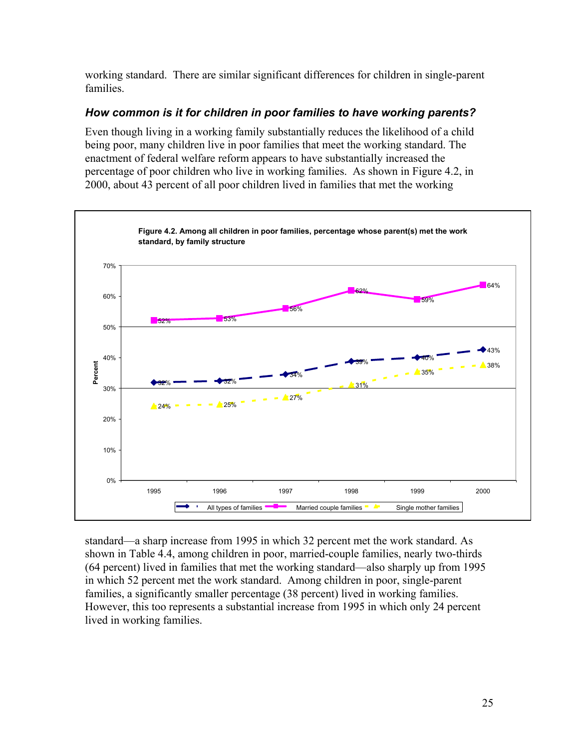working standard. There are similar significant differences for children in single-parent families.

### *How common is it for children in poor families to have working parents?*

Even though living in a working family substantially reduces the likelihood of a child being poor, many children live in poor families that meet the working standard. The enactment of federal welfare reform appears to have substantially increased the percentage of poor children who live in working families. As shown in Figure 4.2, in 2000, about 43 percent of all poor children lived in families that met the working



standard—a sharp increase from 1995 in which 32 percent met the work standard. As shown in Table 4.4, among children in poor, married-couple families, nearly two-thirds (64 percent) lived in families that met the working standard—also sharply up from 1995 in which 52 percent met the work standard. Among children in poor, single-parent families, a significantly smaller percentage (38 percent) lived in working families. However, this too represents a substantial increase from 1995 in which only 24 percent lived in working families.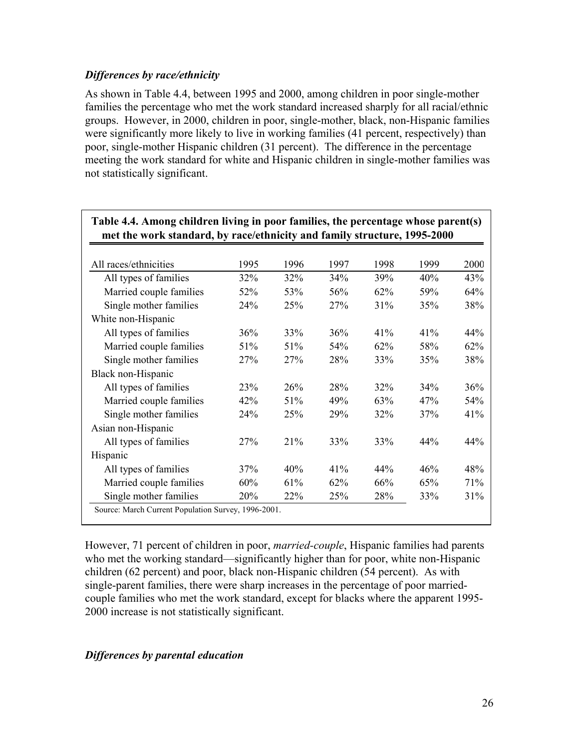### *Differences by race/ethnicity*

As shown in Table 4.4, between 1995 and 2000, among children in poor single-mother families the percentage who met the work standard increased sharply for all racial/ethnic groups. However, in 2000, children in poor, single-mother, black, non-Hispanic families were significantly more likely to live in working families (41 percent, respectively) than poor, single-mother Hispanic children (31 percent). The difference in the percentage meeting the work standard for white and Hispanic children in single-mother families was not statistically significant.

| met the work standard, by race/ethnicity and family structure, 1995-2000 |      |      |      |      |      |      |  |
|--------------------------------------------------------------------------|------|------|------|------|------|------|--|
|                                                                          |      |      |      |      |      |      |  |
| All races/ethnicities                                                    | 1995 | 1996 | 1997 | 1998 | 1999 | 2000 |  |
| All types of families                                                    | 32%  | 32%  | 34%  | 39%  | 40%  | 43%  |  |
| Married couple families                                                  | 52%  | 53%  | 56%  | 62%  | 59%  | 64%  |  |
| Single mother families                                                   | 24%  | 25%  | 27%  | 31%  | 35%  | 38%  |  |
| White non-Hispanic                                                       |      |      |      |      |      |      |  |
| All types of families                                                    | 36%  | 33%  | 36%  | 41%  | 41%  | 44%  |  |
| Married couple families                                                  | 51%  | 51%  | 54%  | 62%  | 58%  | 62%  |  |
| Single mother families                                                   | 27%  | 27%  | 28%  | 33%  | 35%  | 38%  |  |
| Black non-Hispanic                                                       |      |      |      |      |      |      |  |
| All types of families                                                    | 23%  | 26%  | 28%  | 32%  | 34%  | 36%  |  |
| Married couple families                                                  | 42%  | 51%  | 49%  | 63%  | 47%  | 54%  |  |
| Single mother families                                                   | 24%  | 25%  | 29%  | 32%  | 37%  | 41%  |  |
| Asian non-Hispanic                                                       |      |      |      |      |      |      |  |
| All types of families                                                    | 27%  | 21%  | 33%  | 33%  | 44%  | 44%  |  |
| Hispanic                                                                 |      |      |      |      |      |      |  |
| All types of families                                                    | 37%  | 40%  | 41%  | 44%  | 46%  | 48%  |  |
| Married couple families                                                  | 60%  | 61%  | 62%  | 66%  | 65%  | 71%  |  |
| Single mother families                                                   | 20%  | 22%  | 25%  | 28%  | 33%  | 31%  |  |
| Source: March Current Population Survey, 1996-2001.                      |      |      |      |      |      |      |  |

### **Table 4.4. Among children living in poor families, the percentage whose parent(s) met the work standard, by race/ethnicity and family structure, 1995-2000**

However, 71 percent of children in poor, *married-couple*, Hispanic families had parents who met the working standard—significantly higher than for poor, white non-Hispanic children (62 percent) and poor, black non-Hispanic children (54 percent). As with single-parent families, there were sharp increases in the percentage of poor marriedcouple families who met the work standard, except for blacks where the apparent 1995- 2000 increase is not statistically significant.

### *Differences by parental education*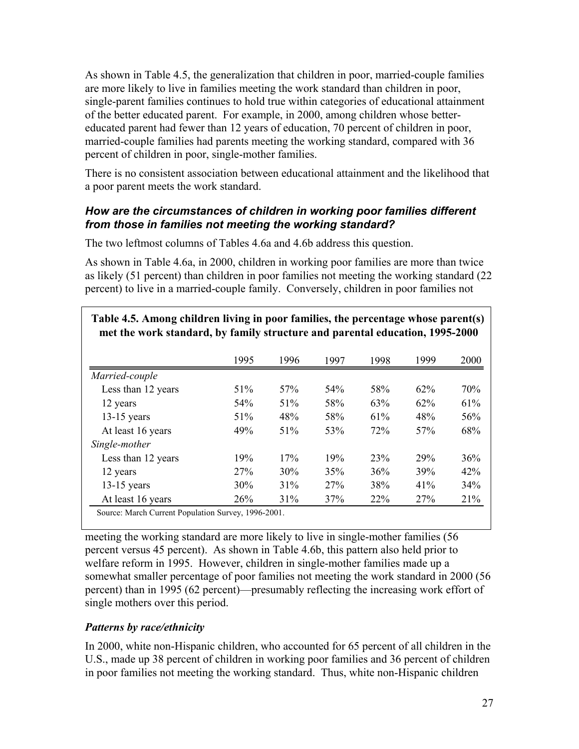As shown in Table 4.5, the generalization that children in poor, married-couple families are more likely to live in families meeting the work standard than children in poor, single-parent families continues to hold true within categories of educational attainment of the better educated parent. For example, in 2000, among children whose bettereducated parent had fewer than 12 years of education, 70 percent of children in poor, married-couple families had parents meeting the working standard, compared with 36 percent of children in poor, single-mother families.

There is no consistent association between educational attainment and the likelihood that a poor parent meets the work standard.

### *How are the circumstances of children in working poor families different from those in families not meeting the working standard?*

The two leftmost columns of Tables 4.6a and 4.6b address this question.

As shown in Table 4.6a, in 2000, children in working poor families are more than twice as likely (51 percent) than children in poor families not meeting the working standard (22 percent) to live in a married-couple family. Conversely, children in poor families not

|                    | 1995 | 1996            | 1997 | 1998 | 1999 | 2000 |
|--------------------|------|-----------------|------|------|------|------|
| Married-couple     |      |                 |      |      |      |      |
| Less than 12 years | 51%  | 57 <sub>%</sub> | 54%  | 58%  | 62%  | 70%  |
| 12 years           | 54%  | 51%             | 58%  | 63%  | 62%  | 61%  |
| $13-15$ years      | 51%  | 48%             | 58%  | 61%  | 48%  | 56%  |
| At least 16 years  | 49%  | 51%             | 53%  | 72%  | 57%  | 68%  |
| Single-mother      |      |                 |      |      |      |      |
| Less than 12 years | 19%  | 17%             | 19%  | 23%  | 29%  | 36%  |
| 12 years           | 27%  | 30%             | 35%  | 36%  | 39%  | 42%  |
| $13-15$ years      | 30%  | 31%             | 27%  | 38%  | 41%  | 34%  |
| At least 16 years  | 26%  | 31%             | 37%  | 22%  | 27%  | 21%  |

**Table 4.5. Among children living in poor families, the percentage whose parent(s) met the work standard, by family structure and parental education, 1995-2000**

meeting the working standard are more likely to live in single-mother families (56 percent versus 45 percent). As shown in Table 4.6b, this pattern also held prior to welfare reform in 1995. However, children in single-mother families made up a somewhat smaller percentage of poor families not meeting the work standard in 2000 (56 percent) than in 1995 (62 percent)—presumably reflecting the increasing work effort of single mothers over this period.

### *Patterns by race/ethnicity*

In 2000, white non-Hispanic children, who accounted for 65 percent of all children in the U.S., made up 38 percent of children in working poor families and 36 percent of children in poor families not meeting the working standard. Thus, white non-Hispanic children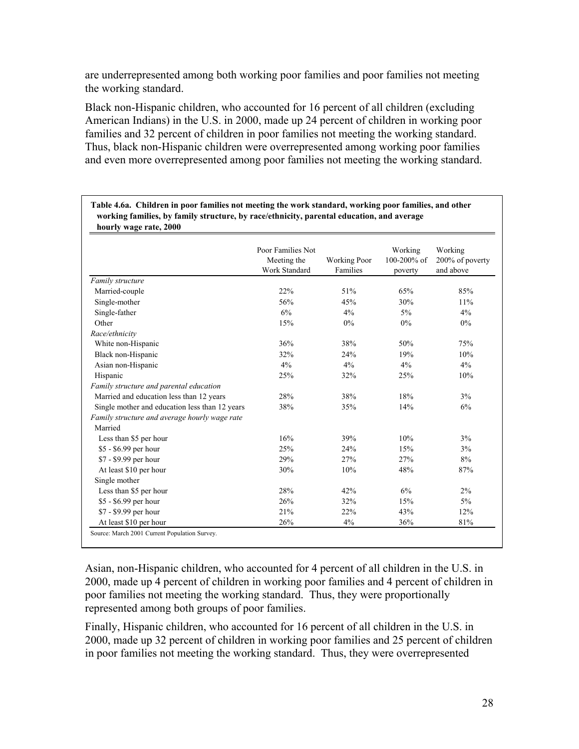are underrepresented among both working poor families and poor families not meeting the working standard.

Black non-Hispanic children, who accounted for 16 percent of all children (excluding American Indians) in the U.S. in 2000, made up 24 percent of children in working poor families and 32 percent of children in poor families not meeting the working standard. Thus, black non-Hispanic children were overrepresented among working poor families and even more overrepresented among poor families not meeting the working standard.

|                                                          | Poor Families Not<br>Meeting the<br><b>Work Standard</b> | <b>Working Poor</b><br>Families | Working<br>100-200% of<br>poverty | Working<br>200% of poverty<br>and above |
|----------------------------------------------------------|----------------------------------------------------------|---------------------------------|-----------------------------------|-----------------------------------------|
| Family structure                                         |                                                          |                                 |                                   |                                         |
| Married-couple                                           | 22%                                                      | 51%                             | 65%                               | 85%                                     |
| Single-mother                                            | 56%                                                      | 45%                             | 30%                               | 11%                                     |
| Single-father                                            | 6%                                                       | 4%                              | $5\%$                             | 4%                                      |
| Other                                                    | 15%                                                      | $0\%$                           | 0%                                | $0\%$                                   |
| Race/ethnicity                                           |                                                          |                                 |                                   |                                         |
| White non-Hispanic                                       | 36%                                                      | 38%                             | 50%                               | 75%                                     |
| Black non-Hispanic                                       | 32%                                                      | 24%                             | 19%                               | 10%                                     |
| Asian non-Hispanic                                       | 4%                                                       | 4%                              | 4%                                | 4%                                      |
| Hispanic                                                 | 25%                                                      | 32%                             | 25%                               | 10%                                     |
| Family structure and parental education                  |                                                          |                                 |                                   |                                         |
| Married and education less than 12 years                 | 28%                                                      | 38%                             | 18%                               | 3%                                      |
| Single mother and education less than 12 years           | 38%                                                      | 35%                             | 14%                               | 6%                                      |
| Family structure and average hourly wage rate<br>Married |                                                          |                                 |                                   |                                         |
| Less than \$5 per hour                                   | 16%                                                      | 39%                             | 10%                               | 3%                                      |
| \$5 - \$6.99 per hour                                    | 25%                                                      | 24%                             | 15%                               | 3%                                      |
| \$7 - \$9.99 per hour                                    | 29%                                                      | 27%                             | 27%                               | 8%                                      |
| At least \$10 per hour                                   | 30%                                                      | 10%                             | 48%                               | 87%                                     |
| Single mother                                            |                                                          |                                 |                                   |                                         |
| Less than \$5 per hour                                   | 28%                                                      | 42%                             | 6%                                | $2\%$                                   |
| \$5 - \$6.99 per hour                                    | 26%                                                      | 32%                             | 15%                               | $5\%$                                   |
| \$7 - \$9.99 per hour                                    | 21%                                                      | 22%                             | 43%                               | 12%                                     |
| At least \$10 per hour                                   | 26%                                                      | 4%                              | 36%                               | 81%                                     |

**Table 4.6a. Children in poor families not meeting the work standard, working poor families, and other working families, by family structure, by race/ethnicity, parental education, and average**

Asian, non-Hispanic children, who accounted for 4 percent of all children in the U.S. in 2000, made up 4 percent of children in working poor families and 4 percent of children in poor families not meeting the working standard. Thus, they were proportionally represented among both groups of poor families.

Finally, Hispanic children, who accounted for 16 percent of all children in the U.S. in 2000, made up 32 percent of children in working poor families and 25 percent of children in poor families not meeting the working standard. Thus, they were overrepresented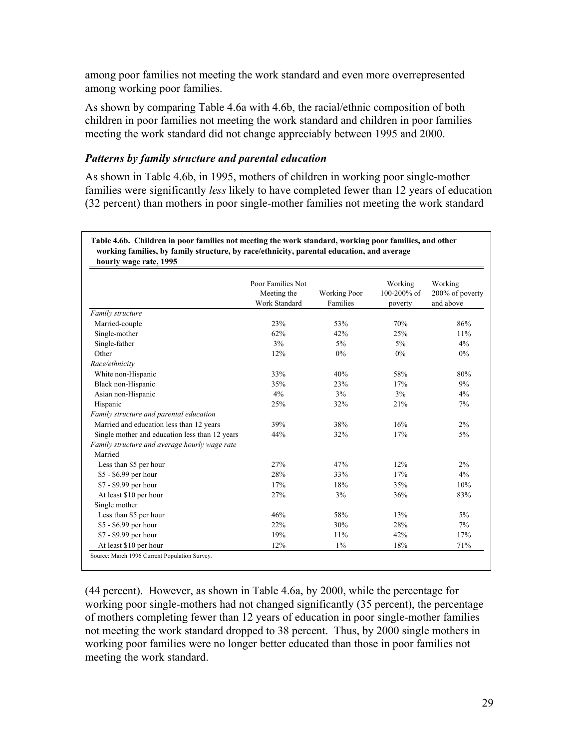among poor families not meeting the work standard and even more overrepresented among working poor families.

As shown by comparing Table 4.6a with 4.6b, the racial/ethnic composition of both children in poor families not meeting the work standard and children in poor families meeting the work standard did not change appreciably between 1995 and 2000.

#### *Patterns by family structure and parental education*

As shown in Table 4.6b, in 1995, mothers of children in working poor single-mother families were significantly *less* likely to have completed fewer than 12 years of education (32 percent) than mothers in poor single-mother families not meeting the work standard

**Table 4.6b. Children in poor families not meeting the work standard, working poor families, and other working families, by family structure, by race/ethnicity, parental education, and average hourly wage rate, 1995**

|                                                          | Poor Families Not            |                                 | Working                | Working                      |
|----------------------------------------------------------|------------------------------|---------------------------------|------------------------|------------------------------|
|                                                          | Meeting the<br>Work Standard | <b>Working Poor</b><br>Families | 100-200% of<br>poverty | 200% of poverty<br>and above |
| Family structure                                         |                              |                                 |                        |                              |
| Married-couple                                           | 23%                          | 53%                             | 70%                    | 86%                          |
| Single-mother                                            | 62%                          | 42%                             | 25%                    | 11%                          |
| Single-father                                            | 3%                           | 5%                              | $5\%$                  | 4%                           |
| Other                                                    | 12%                          | 0%                              | $0\%$                  | $0\%$                        |
| Race/ethnicity                                           |                              |                                 |                        |                              |
| White non-Hispanic                                       | 33%                          | 40%                             | 58%                    | 80%                          |
| Black non-Hispanic                                       | 35%                          | 23%                             | 17%                    | 9%                           |
| Asian non-Hispanic                                       | 4%                           | 3%                              | 3%                     | 4%                           |
| Hispanic                                                 | 25%                          | 32%                             | 21%                    | 7%                           |
| Family structure and parental education                  |                              |                                 |                        |                              |
| Married and education less than 12 years                 | 39%                          | 38%                             | 16%                    | 2%                           |
| Single mother and education less than 12 years           | 44%                          | 32%                             | 17%                    | $5\%$                        |
| Family structure and average hourly wage rate<br>Married |                              |                                 |                        |                              |
| Less than \$5 per hour                                   | 27%                          | 47%                             | 12%                    | $2\%$                        |
| \$5 - \$6.99 per hour                                    | 28%                          | 33%                             | 17%                    | 4%                           |
| \$7 - \$9.99 per hour                                    | 17%                          | 18%                             | 35%                    | 10%                          |
| At least \$10 per hour                                   | 27%                          | 3%                              | 36%                    | 83%                          |
| Single mother                                            |                              |                                 |                        |                              |
| Less than \$5 per hour                                   | 46%                          | 58%                             | 13%                    | $5\%$                        |
| \$5 - \$6.99 per hour                                    | 22%                          | 30%                             | 28%                    | 7%                           |
| \$7 - \$9.99 per hour                                    | 19%                          | 11%                             | 42%                    | 17%                          |
| At least \$10 per hour                                   | 12%                          | $1\%$                           | 18%                    | 71%                          |

(44 percent). However, as shown in Table 4.6a, by 2000, while the percentage for working poor single-mothers had not changed significantly (35 percent), the percentage of mothers completing fewer than 12 years of education in poor single-mother families not meeting the work standard dropped to 38 percent. Thus, by 2000 single mothers in working poor families were no longer better educated than those in poor families not meeting the work standard.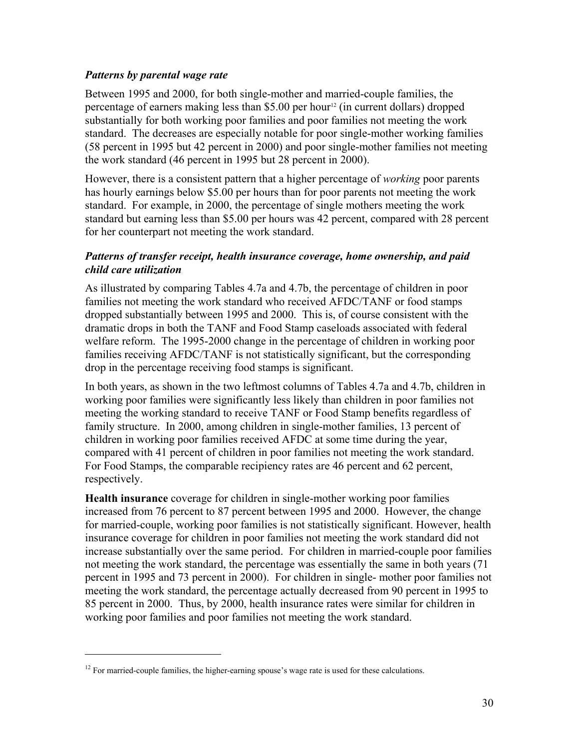#### *Patterns by parental wage rate*

Between 1995 and 2000, for both single-mother and married-couple families, the percentage of earners making less than \$5.00 per hour<sup>12</sup> (in current dollars) dropped substantially for both working poor families and poor families not meeting the work standard. The decreases are especially notable for poor single-mother working families (58 percent in 1995 but 42 percent in 2000) and poor single-mother families not meeting the work standard (46 percent in 1995 but 28 percent in 2000).

However, there is a consistent pattern that a higher percentage of *working* poor parents has hourly earnings below \$5.00 per hours than for poor parents not meeting the work standard. For example, in 2000, the percentage of single mothers meeting the work standard but earning less than \$5.00 per hours was 42 percent, compared with 28 percent for her counterpart not meeting the work standard.

#### *Patterns of transfer receipt, health insurance coverage, home ownership, and paid child care utilization*

As illustrated by comparing Tables 4.7a and 4.7b, the percentage of children in poor families not meeting the work standard who received AFDC/TANF or food stamps dropped substantially between 1995 and 2000. This is, of course consistent with the dramatic drops in both the TANF and Food Stamp caseloads associated with federal welfare reform. The 1995-2000 change in the percentage of children in working poor families receiving AFDC/TANF is not statistically significant, but the corresponding drop in the percentage receiving food stamps is significant.

In both years, as shown in the two leftmost columns of Tables 4.7a and 4.7b, children in working poor families were significantly less likely than children in poor families not meeting the working standard to receive TANF or Food Stamp benefits regardless of family structure. In 2000, among children in single-mother families, 13 percent of children in working poor families received AFDC at some time during the year, compared with 41 percent of children in poor families not meeting the work standard. For Food Stamps, the comparable recipiency rates are 46 percent and 62 percent, respectively.

**Health insurance** coverage for children in single-mother working poor families increased from 76 percent to 87 percent between 1995 and 2000. However, the change for married-couple, working poor families is not statistically significant. However, health insurance coverage for children in poor families not meeting the work standard did not increase substantially over the same period. For children in married-couple poor families not meeting the work standard, the percentage was essentially the same in both years (71 percent in 1995 and 73 percent in 2000). For children in single- mother poor families not meeting the work standard, the percentage actually decreased from 90 percent in 1995 to 85 percent in 2000. Thus, by 2000, health insurance rates were similar for children in working poor families and poor families not meeting the work standard.

 $\overline{a}$ 

 $12$  For married-couple families, the higher-earning spouse's wage rate is used for these calculations.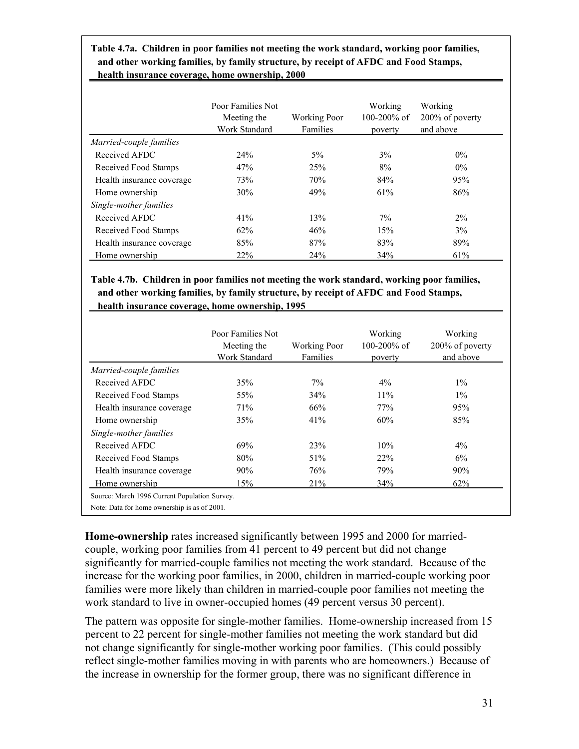**Table 4.7a. Children in poor families not meeting the work standard, working poor families, and other working families, by family structure, by receipt of AFDC and Food Stamps, health insurance coverage, home ownership, 2000**

I

|                           | Poor Families Not<br>Meeting the<br>Work Standard | <b>Working Poor</b><br>Families | Working<br>$100 - 200\%$ of<br>poverty | Working<br>200% of poverty<br>and above |
|---------------------------|---------------------------------------------------|---------------------------------|----------------------------------------|-----------------------------------------|
| Married-couple families   |                                                   |                                 |                                        |                                         |
| Received AFDC             | 24%                                               | $5\%$                           | 3%                                     | $0\%$                                   |
| Received Food Stamps      | 47%                                               | 25%                             | 8%                                     | $0\%$                                   |
| Health insurance coverage | 73%                                               | 70%                             | 84%                                    | 95%                                     |
| Home ownership            | 30%                                               | 49%                             | 61%                                    | 86%                                     |
| Single-mother families    |                                                   |                                 |                                        |                                         |
| Received AFDC             | 41%                                               | 13%                             | $7\%$                                  | $2\%$                                   |
| Received Food Stamps      | 62%                                               | 46%                             | 15%                                    | 3%                                      |
| Health insurance coverage | 85%                                               | 87%                             | 83%                                    | 89%                                     |
| Home ownership            | 22%                                               | 24%                             | 34%                                    | 61%                                     |

**Table 4.7b. Children in poor families not meeting the work standard, working poor families, and other working families, by family structure, by receipt of AFDC and Food Stamps, health insurance coverage, home ownership, 1995**

|                           | Poor Families Not<br>Meeting the<br><b>Work Standard</b> | <b>Working Poor</b><br>Families | Working<br>$100 - 200\%$ of<br>poverty | Working<br>200% of poverty<br>and above |
|---------------------------|----------------------------------------------------------|---------------------------------|----------------------------------------|-----------------------------------------|
| Married-couple families   |                                                          |                                 |                                        |                                         |
| Received AFDC             | 35%                                                      | $7\%$                           | $4\%$                                  | $1\%$                                   |
| Received Food Stamps      | 55%                                                      | 34%                             | 11%                                    | $1\%$                                   |
| Health insurance coverage | 71%                                                      | 66%                             | 77%                                    | 95%                                     |
| Home ownership            | 35%                                                      | 41%                             | 60%                                    | 85%                                     |
| Single-mother families    |                                                          |                                 |                                        |                                         |
| Received AFDC             | 69%                                                      | 23%                             | 10%                                    | $4\%$                                   |
| Received Food Stamps      | 80%                                                      | 51%                             | 22%                                    | 6%                                      |
| Health insurance coverage | 90%                                                      | 76%                             | 79%                                    | 90%                                     |
| Home ownership            | 15%                                                      | 21%                             | 34%                                    | 62%                                     |

**Home-ownership** rates increased significantly between 1995 and 2000 for marriedcouple, working poor families from 41 percent to 49 percent but did not change significantly for married-couple families not meeting the work standard. Because of the increase for the working poor families, in 2000, children in married-couple working poor families were more likely than children in married-couple poor families not meeting the work standard to live in owner-occupied homes (49 percent versus 30 percent).

The pattern was opposite for single-mother families. Home-ownership increased from 15 percent to 22 percent for single-mother families not meeting the work standard but did not change significantly for single-mother working poor families. (This could possibly reflect single-mother families moving in with parents who are homeowners.) Because of the increase in ownership for the former group, there was no significant difference in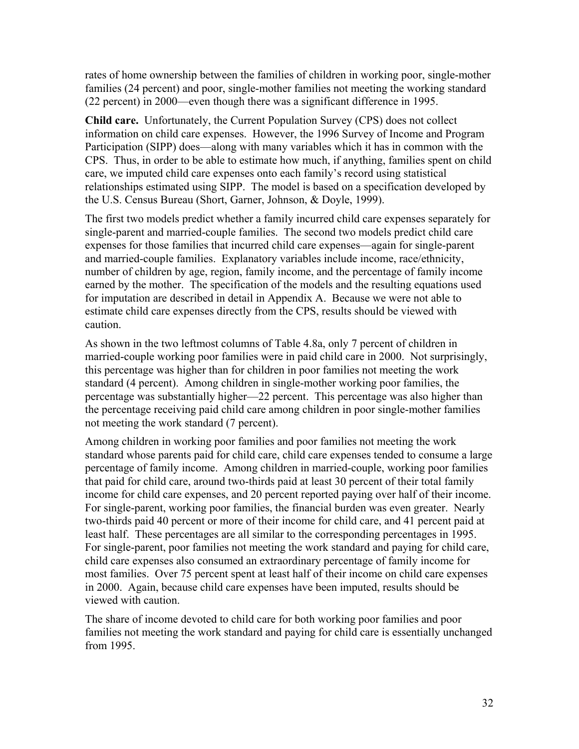rates of home ownership between the families of children in working poor, single-mother families (24 percent) and poor, single-mother families not meeting the working standard (22 percent) in 2000—even though there was a significant difference in 1995.

**Child care.** Unfortunately, the Current Population Survey (CPS) does not collect information on child care expenses. However, the 1996 Survey of Income and Program Participation (SIPP) does—along with many variables which it has in common with the CPS. Thus, in order to be able to estimate how much, if anything, families spent on child care, we imputed child care expenses onto each family's record using statistical relationships estimated using SIPP. The model is based on a specification developed by the U.S. Census Bureau (Short, Garner, Johnson, & Doyle, 1999).

The first two models predict whether a family incurred child care expenses separately for single-parent and married-couple families. The second two models predict child care expenses for those families that incurred child care expenses—again for single-parent and married-couple families. Explanatory variables include income, race/ethnicity, number of children by age, region, family income, and the percentage of family income earned by the mother. The specification of the models and the resulting equations used for imputation are described in detail in Appendix A. Because we were not able to estimate child care expenses directly from the CPS, results should be viewed with caution.

As shown in the two leftmost columns of Table 4.8a, only 7 percent of children in married-couple working poor families were in paid child care in 2000. Not surprisingly, this percentage was higher than for children in poor families not meeting the work standard (4 percent). Among children in single-mother working poor families, the percentage was substantially higher—22 percent. This percentage was also higher than the percentage receiving paid child care among children in poor single-mother families not meeting the work standard (7 percent).

Among children in working poor families and poor families not meeting the work standard whose parents paid for child care, child care expenses tended to consume a large percentage of family income. Among children in married-couple, working poor families that paid for child care, around two-thirds paid at least 30 percent of their total family income for child care expenses, and 20 percent reported paying over half of their income. For single-parent, working poor families, the financial burden was even greater. Nearly two-thirds paid 40 percent or more of their income for child care, and 41 percent paid at least half. These percentages are all similar to the corresponding percentages in 1995. For single-parent, poor families not meeting the work standard and paying for child care, child care expenses also consumed an extraordinary percentage of family income for most families. Over 75 percent spent at least half of their income on child care expenses in 2000. Again, because child care expenses have been imputed, results should be viewed with caution.

The share of income devoted to child care for both working poor families and poor families not meeting the work standard and paying for child care is essentially unchanged from 1995.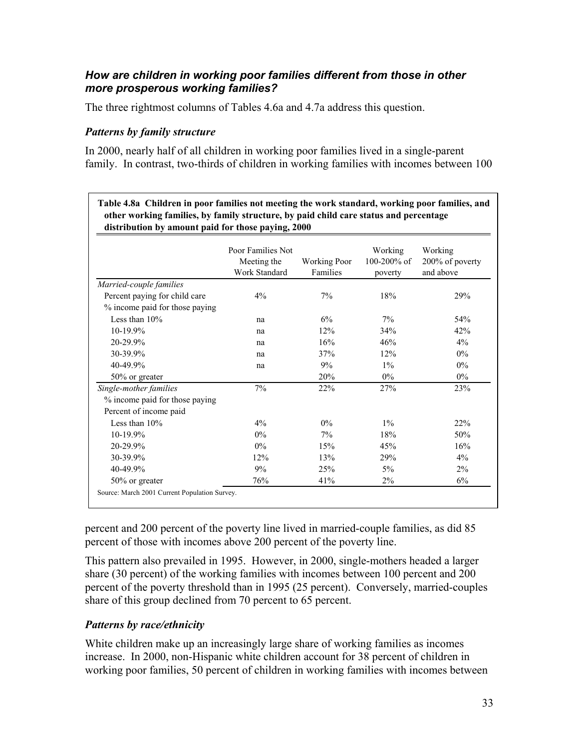### *How are children in working poor families different from those in other more prosperous working families?*

The three rightmost columns of Tables 4.6a and 4.7a address this question.

#### *Patterns by family structure*

In 2000, nearly half of all children in working poor families lived in a single-parent family. In contrast, two-thirds of children in working families with incomes between 100

| distribution by amount paid for those paying, 2000 | other working families, by family structure, by paid child care status and percentage<br>Poor Families Not |                                 | Working<br>100-200% of | Working                      |
|----------------------------------------------------|------------------------------------------------------------------------------------------------------------|---------------------------------|------------------------|------------------------------|
|                                                    | Meeting the<br><b>Work Standard</b>                                                                        | <b>Working Poor</b><br>Families | poverty                | 200% of poverty<br>and above |
| Married-couple families                            |                                                                                                            |                                 |                        |                              |
| Percent paying for child care                      | 4%                                                                                                         | 7%                              | 18%                    | 29%                          |
| % income paid for those paying                     |                                                                                                            |                                 |                        |                              |
| Less than $10%$                                    | na                                                                                                         | 6%                              | $7\%$                  | 54%                          |
| $10-19.9%$                                         | na                                                                                                         | 12%                             | 34%                    | 42%                          |
| 20-29.9%                                           | na                                                                                                         | 16%                             | 46%                    | 4%                           |
| 30-39.9%                                           | na                                                                                                         | 37%                             | 12%                    | $0\%$                        |
| 40-49.9%                                           | na                                                                                                         | 9%                              | $1\%$                  | $0\%$                        |
| 50% or greater                                     |                                                                                                            | 20%                             | $0\%$                  | $0\%$                        |
| Single-mother families                             | 7%                                                                                                         | 22%                             | 27%                    | 23%                          |
| % income paid for those paying                     |                                                                                                            |                                 |                        |                              |
| Percent of income paid                             |                                                                                                            |                                 |                        |                              |
| Less than $10%$                                    | 4%                                                                                                         | $0\%$                           | $1\%$                  | 22%                          |
| $10-19.9%$                                         | $0\%$                                                                                                      | 7%                              | 18%                    | 50%                          |
| 20-29.9%                                           | $0\%$                                                                                                      | 15%                             | 45%                    | 16%                          |
| 30-39.9%                                           | 12%                                                                                                        | 13%                             | 29%                    | 4%                           |
| 40-49.9%                                           | 9%                                                                                                         | 25%                             | $5\%$                  | 2%                           |
| 50% or greater                                     | 76%                                                                                                        | 41%                             | $2\%$                  | 6%                           |

percent and 200 percent of the poverty line lived in married-couple families, as did 85 percent of those with incomes above 200 percent of the poverty line.

This pattern also prevailed in 1995. However, in 2000, single-mothers headed a larger share (30 percent) of the working families with incomes between 100 percent and 200 percent of the poverty threshold than in 1995 (25 percent). Conversely, married-couples share of this group declined from 70 percent to 65 percent.

### *Patterns by race/ethnicity*

White children make up an increasingly large share of working families as incomes increase. In 2000, non-Hispanic white children account for 38 percent of children in working poor families, 50 percent of children in working families with incomes between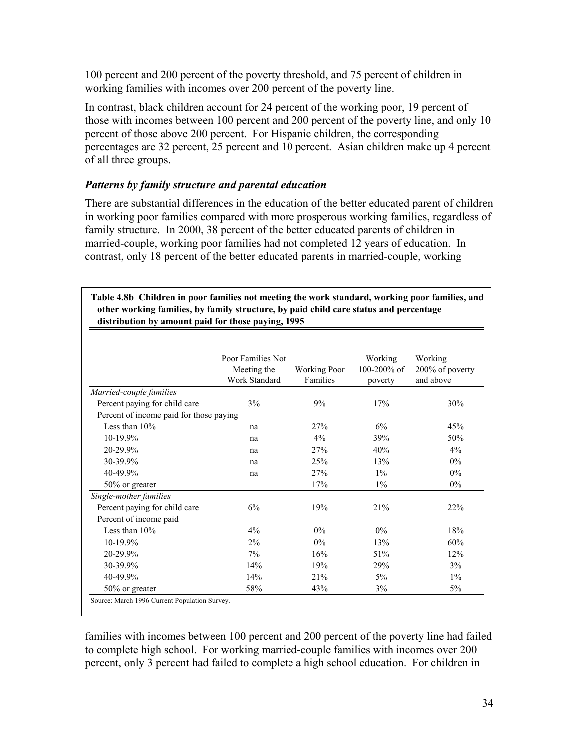100 percent and 200 percent of the poverty threshold, and 75 percent of children in working families with incomes over 200 percent of the poverty line.

In contrast, black children account for 24 percent of the working poor, 19 percent of those with incomes between 100 percent and 200 percent of the poverty line, and only 10 percent of those above 200 percent. For Hispanic children, the corresponding percentages are 32 percent, 25 percent and 10 percent. Asian children make up 4 percent of all three groups.

### *Patterns by family structure and parental education*

There are substantial differences in the education of the better educated parent of children in working poor families compared with more prosperous working families, regardless of family structure. In 2000, 38 percent of the better educated parents of children in married-couple, working poor families had not completed 12 years of education. In contrast, only 18 percent of the better educated parents in married-couple, working

| Table 4.8b Children in poor families not meeting the work standard, working poor families, and |
|------------------------------------------------------------------------------------------------|
| other working families, by family structure, by paid child care status and percentage          |
| distribution by amount paid for those paying, 1995                                             |

|                                         | Poor Families Not<br>Meeting the<br>Work Standard | <b>Working Poor</b><br>Families | Working<br>100-200% of<br>poverty | Working<br>200% of poverty<br>and above |
|-----------------------------------------|---------------------------------------------------|---------------------------------|-----------------------------------|-----------------------------------------|
| Married-couple families                 |                                                   |                                 |                                   |                                         |
| Percent paying for child care           | 3%                                                | 9%                              | 17%                               | 30%                                     |
| Percent of income paid for those paying |                                                   |                                 |                                   |                                         |
| Less than $10\%$                        | na                                                | 27%                             | 6%                                | 45%                                     |
| $10-19.9%$                              | na                                                | $4\%$                           | 39%                               | 50%                                     |
| 20-29.9%                                | na                                                | 27%                             | 40%                               | $4\%$                                   |
| 30-39.9%                                | na                                                | 25%                             | 13%                               | $0\%$                                   |
| 40-49.9%                                | na                                                | 27%                             | $1\%$                             | $0\%$                                   |
| 50% or greater                          |                                                   | 17%                             | $1\%$                             | $0\%$                                   |
| Single-mother families                  |                                                   |                                 |                                   |                                         |
| Percent paying for child care           | 6%                                                | 19%                             | 21%                               | 22%                                     |
| Percent of income paid                  |                                                   |                                 |                                   |                                         |
| Less than $10\%$                        | $4\%$                                             | $0\%$                           | $0\%$                             | 18%                                     |
| 10-19.9%                                | $2\%$                                             | $0\%$                           | 13%                               | 60%                                     |
| 20-29.9%                                | 7%                                                | 16%                             | 51%                               | 12%                                     |
| 30-39.9%                                | 14%                                               | 19%                             | 29%                               | 3%                                      |
| 40-49.9%                                | 14%                                               | 21%                             | $5\%$                             | $1\%$                                   |
| 50% or greater                          | 58%                                               | 43%                             | 3%                                | $5\%$                                   |

families with incomes between 100 percent and 200 percent of the poverty line had failed to complete high school. For working married-couple families with incomes over 200 percent, only 3 percent had failed to complete a high school education. For children in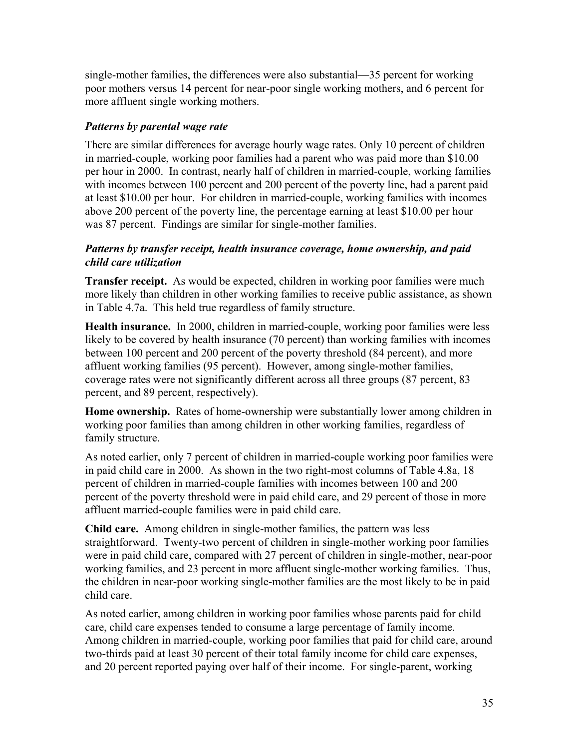single-mother families, the differences were also substantial—35 percent for working poor mothers versus 14 percent for near-poor single working mothers, and 6 percent for more affluent single working mothers.

### *Patterns by parental wage rate*

There are similar differences for average hourly wage rates. Only 10 percent of children in married-couple, working poor families had a parent who was paid more than \$10.00 per hour in 2000. In contrast, nearly half of children in married-couple, working families with incomes between 100 percent and 200 percent of the poverty line, had a parent paid at least \$10.00 per hour. For children in married-couple, working families with incomes above 200 percent of the poverty line, the percentage earning at least \$10.00 per hour was 87 percent. Findings are similar for single-mother families.

### *Patterns by transfer receipt, health insurance coverage, home ownership, and paid child care utilization*

**Transfer receipt.** As would be expected, children in working poor families were much more likely than children in other working families to receive public assistance, as shown in Table 4.7a. This held true regardless of family structure.

**Health insurance.** In 2000, children in married-couple, working poor families were less likely to be covered by health insurance (70 percent) than working families with incomes between 100 percent and 200 percent of the poverty threshold (84 percent), and more affluent working families (95 percent). However, among single-mother families, coverage rates were not significantly different across all three groups (87 percent, 83 percent, and 89 percent, respectively).

**Home ownership.** Rates of home-ownership were substantially lower among children in working poor families than among children in other working families, regardless of family structure.

As noted earlier, only 7 percent of children in married-couple working poor families were in paid child care in 2000. As shown in the two right-most columns of Table 4.8a, 18 percent of children in married-couple families with incomes between 100 and 200 percent of the poverty threshold were in paid child care, and 29 percent of those in more affluent married-couple families were in paid child care.

**Child care.** Among children in single-mother families, the pattern was less straightforward. Twenty-two percent of children in single-mother working poor families were in paid child care, compared with 27 percent of children in single-mother, near-poor working families, and 23 percent in more affluent single-mother working families. Thus, the children in near-poor working single-mother families are the most likely to be in paid child care.

As noted earlier, among children in working poor families whose parents paid for child care, child care expenses tended to consume a large percentage of family income. Among children in married-couple, working poor families that paid for child care, around two-thirds paid at least 30 percent of their total family income for child care expenses, and 20 percent reported paying over half of their income. For single-parent, working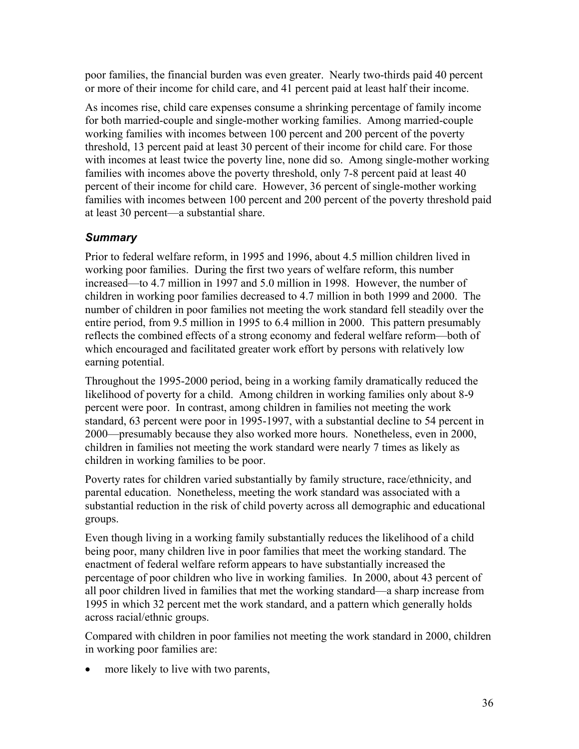poor families, the financial burden was even greater. Nearly two-thirds paid 40 percent or more of their income for child care, and 41 percent paid at least half their income.

As incomes rise, child care expenses consume a shrinking percentage of family income for both married-couple and single-mother working families. Among married-couple working families with incomes between 100 percent and 200 percent of the poverty threshold, 13 percent paid at least 30 percent of their income for child care. For those with incomes at least twice the poverty line, none did so. Among single-mother working families with incomes above the poverty threshold, only 7-8 percent paid at least 40 percent of their income for child care. However, 36 percent of single-mother working families with incomes between 100 percent and 200 percent of the poverty threshold paid at least 30 percent—a substantial share.

## *Summary*

Prior to federal welfare reform, in 1995 and 1996, about 4.5 million children lived in working poor families. During the first two years of welfare reform, this number increased—to 4.7 million in 1997 and 5.0 million in 1998. However, the number of children in working poor families decreased to 4.7 million in both 1999 and 2000. The number of children in poor families not meeting the work standard fell steadily over the entire period, from 9.5 million in 1995 to 6.4 million in 2000. This pattern presumably reflects the combined effects of a strong economy and federal welfare reform—both of which encouraged and facilitated greater work effort by persons with relatively low earning potential.

Throughout the 1995-2000 period, being in a working family dramatically reduced the likelihood of poverty for a child. Among children in working families only about 8-9 percent were poor. In contrast, among children in families not meeting the work standard, 63 percent were poor in 1995-1997, with a substantial decline to 54 percent in 2000—presumably because they also worked more hours. Nonetheless, even in 2000, children in families not meeting the work standard were nearly 7 times as likely as children in working families to be poor.

Poverty rates for children varied substantially by family structure, race/ethnicity, and parental education. Nonetheless, meeting the work standard was associated with a substantial reduction in the risk of child poverty across all demographic and educational groups.

Even though living in a working family substantially reduces the likelihood of a child being poor, many children live in poor families that meet the working standard. The enactment of federal welfare reform appears to have substantially increased the percentage of poor children who live in working families. In 2000, about 43 percent of all poor children lived in families that met the working standard—a sharp increase from 1995 in which 32 percent met the work standard, and a pattern which generally holds across racial/ethnic groups.

Compared with children in poor families not meeting the work standard in 2000, children in working poor families are:

• more likely to live with two parents,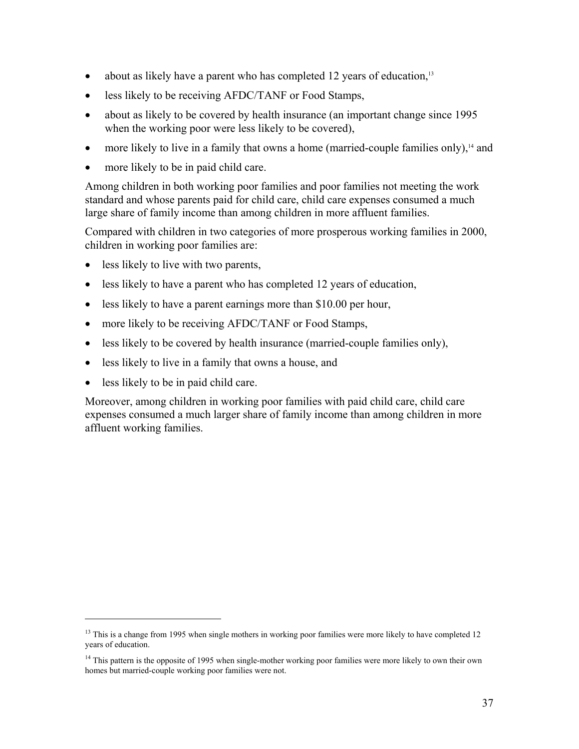- about as likely have a parent who has completed 12 years of education, $13$
- less likely to be receiving AFDC/TANF or Food Stamps,
- about as likely to be covered by health insurance (an important change since 1995 when the working poor were less likely to be covered),
- more likely to live in a family that owns a home (married-couple families only), $<sup>14</sup>$  and</sup>
- more likely to be in paid child care.

Among children in both working poor families and poor families not meeting the work standard and whose parents paid for child care, child care expenses consumed a much large share of family income than among children in more affluent families.

Compared with children in two categories of more prosperous working families in 2000, children in working poor families are:

- less likely to live with two parents,
- less likely to have a parent who has completed 12 years of education,
- less likely to have a parent earnings more than \$10.00 per hour,
- more likely to be receiving AFDC/TANF or Food Stamps,
- less likely to be covered by health insurance (married-couple families only),
- less likely to live in a family that owns a house, and
- less likely to be in paid child care.

1

Moreover, among children in working poor families with paid child care, child care expenses consumed a much larger share of family income than among children in more affluent working families.

 $13$  This is a change from 1995 when single mothers in working poor families were more likely to have completed 12 years of education.

<sup>&</sup>lt;sup>14</sup> This pattern is the opposite of 1995 when single-mother working poor families were more likely to own their own homes but married-couple working poor families were not.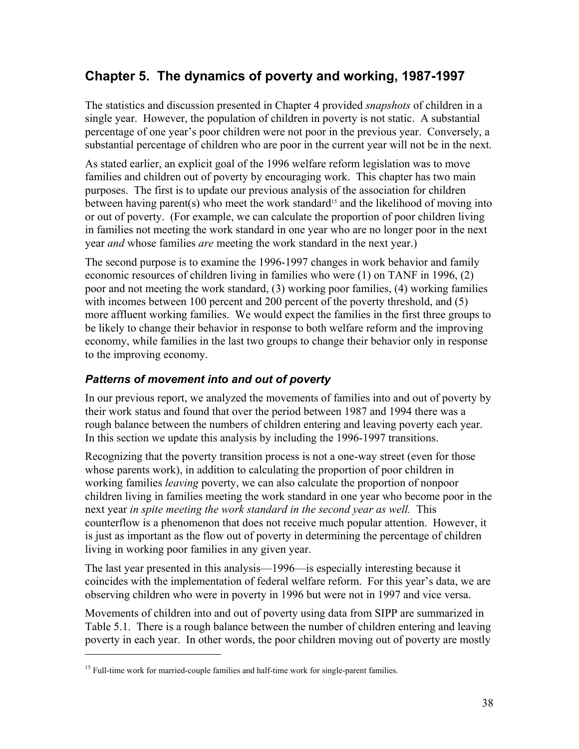# **Chapter 5. The dynamics of poverty and working, 1987-1997**

The statistics and discussion presented in Chapter 4 provided *snapshots* of children in a single year. However, the population of children in poverty is not static. A substantial percentage of one year's poor children were not poor in the previous year. Conversely, a substantial percentage of children who are poor in the current year will not be in the next.

As stated earlier, an explicit goal of the 1996 welfare reform legislation was to move families and children out of poverty by encouraging work. This chapter has two main purposes. The first is to update our previous analysis of the association for children between having parent(s) who meet the work standard<sup>15</sup> and the likelihood of moving into or out of poverty. (For example, we can calculate the proportion of poor children living in families not meeting the work standard in one year who are no longer poor in the next year *and* whose families *are* meeting the work standard in the next year.)

The second purpose is to examine the 1996-1997 changes in work behavior and family economic resources of children living in families who were (1) on TANF in 1996, (2) poor and not meeting the work standard, (3) working poor families, (4) working families with incomes between 100 percent and 200 percent of the poverty threshold, and (5) more affluent working families. We would expect the families in the first three groups to be likely to change their behavior in response to both welfare reform and the improving economy, while families in the last two groups to change their behavior only in response to the improving economy.

## *Patterns of movement into and out of poverty*

In our previous report, we analyzed the movements of families into and out of poverty by their work status and found that over the period between 1987 and 1994 there was a rough balance between the numbers of children entering and leaving poverty each year. In this section we update this analysis by including the 1996-1997 transitions.

Recognizing that the poverty transition process is not a one-way street (even for those whose parents work), in addition to calculating the proportion of poor children in working families *leaving* poverty, we can also calculate the proportion of nonpoor children living in families meeting the work standard in one year who become poor in the next year *in spite meeting the work standard in the second year as well.* This counterflow is a phenomenon that does not receive much popular attention. However, it is just as important as the flow out of poverty in determining the percentage of children living in working poor families in any given year.

The last year presented in this analysis—1996—is especially interesting because it coincides with the implementation of federal welfare reform. For this year's data, we are observing children who were in poverty in 1996 but were not in 1997 and vice versa.

Movements of children into and out of poverty using data from SIPP are summarized in Table 5.1. There is a rough balance between the number of children entering and leaving poverty in each year. In other words, the poor children moving out of poverty are mostly

1

<sup>&</sup>lt;sup>15</sup> Full-time work for married-couple families and half-time work for single-parent families.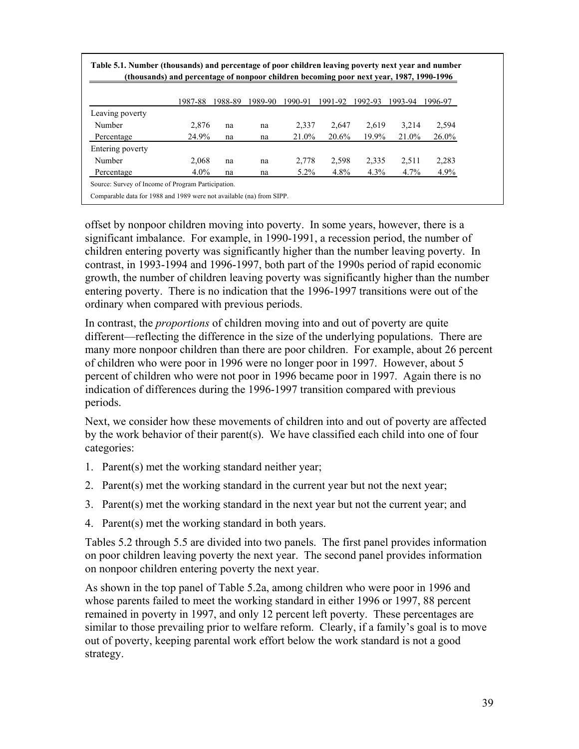|                  | (thousands) and percentage of nonpoor children becoming poor next year, 1987, 1990-1996 |         |         |         |         |         |         |          |  |  |  |  |
|------------------|-----------------------------------------------------------------------------------------|---------|---------|---------|---------|---------|---------|----------|--|--|--|--|
|                  | 1987-88                                                                                 | 1988-89 | 1989-90 | 1990-91 | 1991-92 | 1992-93 | 1993-94 | 1996-97  |  |  |  |  |
| Leaving poverty  |                                                                                         |         |         |         |         |         |         |          |  |  |  |  |
| Number           | 2,876                                                                                   | na      | na      | 2,337   | 2,647   | 2,619   | 3,214   | 2,594    |  |  |  |  |
| Percentage       | 24.9%                                                                                   | na      | na      | 21.0%   | 20.6%   | 19.9%   | 21.0%   | $26.0\%$ |  |  |  |  |
| Entering poverty |                                                                                         |         |         |         |         |         |         |          |  |  |  |  |
| Number           | 2,068                                                                                   | na      | na      | 2,778   | 2,598   | 2,335   | 2,511   | 2,283    |  |  |  |  |
| Percentage       | $4.0\%$                                                                                 | na      | na      | $5.2\%$ | 4.8%    | 4.3%    | 4.7%    | $4.9\%$  |  |  |  |  |

offset by nonpoor children moving into poverty. In some years, however, there is a significant imbalance. For example, in 1990-1991, a recession period, the number of children entering poverty was significantly higher than the number leaving poverty. In contrast, in 1993-1994 and 1996-1997, both part of the 1990s period of rapid economic growth, the number of children leaving poverty was significantly higher than the number entering poverty. There is no indication that the 1996-1997 transitions were out of the ordinary when compared with previous periods.

In contrast, the *proportions* of children moving into and out of poverty are quite different—reflecting the difference in the size of the underlying populations. There are many more nonpoor children than there are poor children. For example, about 26 percent of children who were poor in 1996 were no longer poor in 1997. However, about 5 percent of children who were not poor in 1996 became poor in 1997. Again there is no indication of differences during the 1996-1997 transition compared with previous periods.

Next, we consider how these movements of children into and out of poverty are affected by the work behavior of their parent(s). We have classified each child into one of four categories:

- 1. Parent(s) met the working standard neither year;
- 2. Parent(s) met the working standard in the current year but not the next year;
- 3. Parent(s) met the working standard in the next year but not the current year; and
- 4. Parent(s) met the working standard in both years.

Tables 5.2 through 5.5 are divided into two panels. The first panel provides information on poor children leaving poverty the next year. The second panel provides information on nonpoor children entering poverty the next year.

As shown in the top panel of Table 5.2a, among children who were poor in 1996 and whose parents failed to meet the working standard in either 1996 or 1997, 88 percent remained in poverty in 1997, and only 12 percent left poverty. These percentages are similar to those prevailing prior to welfare reform. Clearly, if a family's goal is to move out of poverty, keeping parental work effort below the work standard is not a good strategy.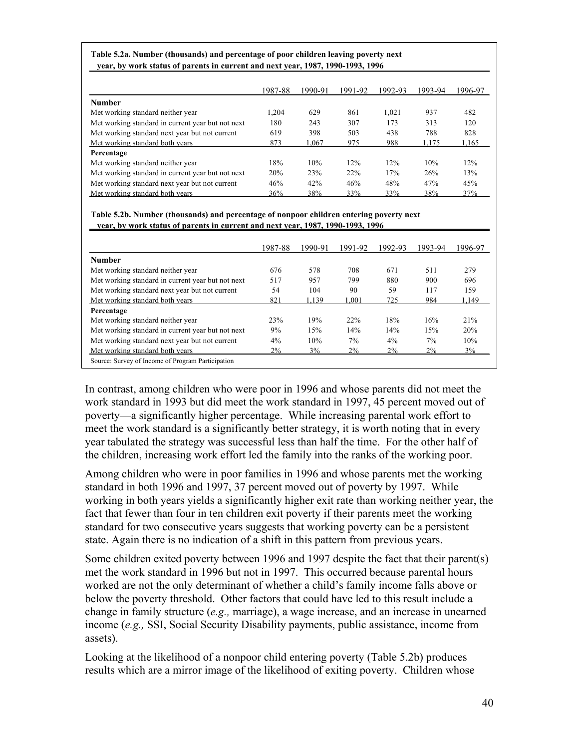| Table 5.2a. Number (thousands) and percentage of poor children leaving poverty next |  |
|-------------------------------------------------------------------------------------|--|
| vear, by work status of parents in current and next year, 1987, 1990-1993, 1996     |  |

 $\overline{a}$ 

|                                                   | 1987-88 | 1990-91 | 1991-92 | 1992-93 | 1993-94 | 1996-97 |
|---------------------------------------------------|---------|---------|---------|---------|---------|---------|
| <b>Number</b>                                     |         |         |         |         |         |         |
| Met working standard neither year                 | 1.204   | 629     | 861     | 1,021   | 937     | 482     |
| Met working standard in current year but not next | 180     | 243     | 307     | 173     | 313     | 120     |
| Met working standard next year but not current    | 619     | 398     | 503     | 438     | 788     | 828     |
| Met working standard both years                   | 873     | 1.067   | 975     | 988     | 1.175   | 1,165   |
| Percentage                                        |         |         |         |         |         |         |
| Met working standard neither year                 | 18%     | 10%     | 12%     | 12%     | 10%     | 12%     |
| Met working standard in current year but not next | 20%     | 23%     | 22%     | 17%     | 26%     | 13%     |
| Met working standard next year but not current    | 46%     | 42%     | 46%     | 48%     | 47%     | 45%     |
| Met working standard both years                   | 36%     | 38%     | 33%     | 33%     | 38%     | 37%     |

**Table 5.2b. Number (thousands) and percentage of nonpoor children entering poverty next year, by work status of parents in current and next year, 1987, 1990-1993, 1996**

|                                                   | 1987-88 | 1990-91 | 1991-92 | 1992-93 | 1993-94 | 1996-97 |
|---------------------------------------------------|---------|---------|---------|---------|---------|---------|
| <b>Number</b>                                     |         |         |         |         |         |         |
| Met working standard neither year                 | 676     | 578     | 708     | 671     | 511     | 279     |
| Met working standard in current year but not next | 517     | 957     | 799     | 880     | 900     | 696     |
| Met working standard next year but not current    | 54      | 104     | 90      | 59      | 117     | 159     |
| Met working standard both years                   | 821     | 1.139   | 1.001   | 725     | 984     | 1.149   |
| Percentage                                        |         |         |         |         |         |         |
| Met working standard neither year                 | 23%     | 19%     | 22%     | 18%     | 16%     | 21%     |
| Met working standard in current year but not next | 9%      | 15%     | 14%     | 14%     | 15%     | 20%     |
| Met working standard next year but not current    | $4\%$   | 10%     | $7\%$   | $4\%$   | 7%      | 10%     |
| Met working standard both years                   | $2\%$   | 3%      | $2\%$   | $2\%$   | $2\%$   | 3%      |

In contrast, among children who were poor in 1996 and whose parents did not meet the work standard in 1993 but did meet the work standard in 1997, 45 percent moved out of poverty—a significantly higher percentage. While increasing parental work effort to meet the work standard is a significantly better strategy, it is worth noting that in every year tabulated the strategy was successful less than half the time. For the other half of the children, increasing work effort led the family into the ranks of the working poor.

Among children who were in poor families in 1996 and whose parents met the working standard in both 1996 and 1997, 37 percent moved out of poverty by 1997. While working in both years yields a significantly higher exit rate than working neither year, the fact that fewer than four in ten children exit poverty if their parents meet the working standard for two consecutive years suggests that working poverty can be a persistent state. Again there is no indication of a shift in this pattern from previous years.

Some children exited poverty between 1996 and 1997 despite the fact that their parent(s) met the work standard in 1996 but not in 1997. This occurred because parental hours worked are not the only determinant of whether a child's family income falls above or below the poverty threshold. Other factors that could have led to this result include a change in family structure (*e.g.,* marriage), a wage increase, and an increase in unearned income (*e.g.,* SSI, Social Security Disability payments, public assistance, income from assets).

Looking at the likelihood of a nonpoor child entering poverty (Table 5.2b) produces results which are a mirror image of the likelihood of exiting poverty. Children whose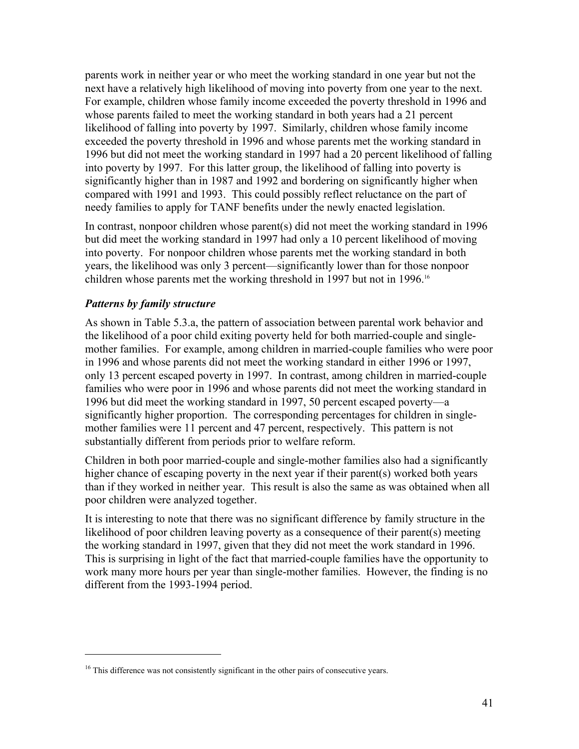parents work in neither year or who meet the working standard in one year but not the next have a relatively high likelihood of moving into poverty from one year to the next. For example, children whose family income exceeded the poverty threshold in 1996 and whose parents failed to meet the working standard in both years had a 21 percent likelihood of falling into poverty by 1997. Similarly, children whose family income exceeded the poverty threshold in 1996 and whose parents met the working standard in 1996 but did not meet the working standard in 1997 had a 20 percent likelihood of falling into poverty by 1997. For this latter group, the likelihood of falling into poverty is significantly higher than in 1987 and 1992 and bordering on significantly higher when compared with 1991 and 1993. This could possibly reflect reluctance on the part of needy families to apply for TANF benefits under the newly enacted legislation.

In contrast, nonpoor children whose parent(s) did not meet the working standard in 1996 but did meet the working standard in 1997 had only a 10 percent likelihood of moving into poverty. For nonpoor children whose parents met the working standard in both years, the likelihood was only 3 percent—significantly lower than for those nonpoor children whose parents met the working threshold in 1997 but not in 1996.16

#### *Patterns by family structure*

 $\overline{a}$ 

As shown in Table 5.3.a, the pattern of association between parental work behavior and the likelihood of a poor child exiting poverty held for both married-couple and singlemother families. For example, among children in married-couple families who were poor in 1996 and whose parents did not meet the working standard in either 1996 or 1997, only 13 percent escaped poverty in 1997. In contrast, among children in married-couple families who were poor in 1996 and whose parents did not meet the working standard in 1996 but did meet the working standard in 1997, 50 percent escaped poverty—a significantly higher proportion. The corresponding percentages for children in singlemother families were 11 percent and 47 percent, respectively. This pattern is not substantially different from periods prior to welfare reform.

Children in both poor married-couple and single-mother families also had a significantly higher chance of escaping poverty in the next year if their parent(s) worked both years than if they worked in neither year. This result is also the same as was obtained when all poor children were analyzed together.

It is interesting to note that there was no significant difference by family structure in the likelihood of poor children leaving poverty as a consequence of their parent(s) meeting the working standard in 1997, given that they did not meet the work standard in 1996. This is surprising in light of the fact that married-couple families have the opportunity to work many more hours per year than single-mother families. However, the finding is no different from the 1993-1994 period.

<sup>&</sup>lt;sup>16</sup> This difference was not consistently significant in the other pairs of consecutive years.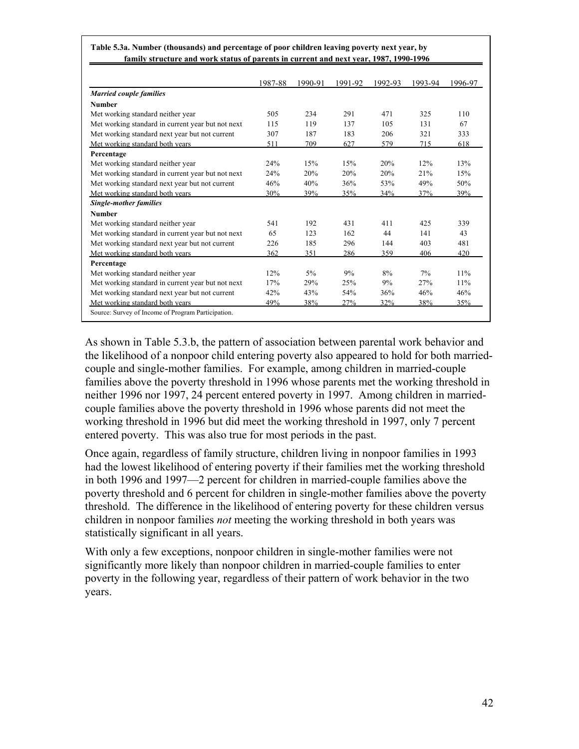|                                                    | 1987-88 | 1990-91 | 1991-92 | 1992-93 | 1993-94 | 1996-97 |
|----------------------------------------------------|---------|---------|---------|---------|---------|---------|
| <b>Married couple families</b>                     |         |         |         |         |         |         |
| <b>Number</b>                                      |         |         |         |         |         |         |
| Met working standard neither year                  | 505     | 234     | 291     | 471     | 325     | 110     |
| Met working standard in current year but not next  | 115     | 119     | 137     | 105     | 131     | 67      |
| Met working standard next year but not current     | 307     | 187     | 183     | 206     | 321     | 333     |
| Met working standard both years                    | 511     | 709     | 627     | 579     | 715     | 618     |
| Percentage                                         |         |         |         |         |         |         |
| Met working standard neither year                  | 24%     | 15%     | 15%     | 20%     | 12%     | 13%     |
| Met working standard in current year but not next  | 24%     | 20%     | 20%     | 20%     | 21%     | 15%     |
| Met working standard next year but not current     | 46%     | 40%     | 36%     | 53%     | 49%     | 50%     |
| Met working standard both years                    | 30%     | 39%     | 35%     | 34%     | 37%     | 39%     |
| <b>Single-mother families</b>                      |         |         |         |         |         |         |
| <b>Number</b>                                      |         |         |         |         |         |         |
| Met working standard neither year                  | 541     | 192     | 431     | 411     | 425     | 339     |
| Met working standard in current year but not next  | 65      | 123     | 162     | 44      | 141     | 43      |
| Met working standard next year but not current     | 226     | 185     | 296     | 144     | 403     | 481     |
| Met working standard both years                    | 362     | 351     | 286     | 359     | 406     | 420     |
| Percentage                                         |         |         |         |         |         |         |
| Met working standard neither year                  | 12%     | 5%      | 9%      | 8%      | 7%      | 11%     |
| Met working standard in current year but not next  | 17%     | 29%     | 25%     | 9%      | 27%     | 11%     |
| Met working standard next year but not current     | 42%     | 43%     | 54%     | 36%     | 46%     | 46%     |
| Met working standard both years                    | 49%     | 38%     | 27%     | 32%     | 38%     | 35%     |
| Source: Survey of Income of Program Participation. |         |         |         |         |         |         |

**Table 5.3a. Number (thousands) and percentage of poor children leaving poverty next year, by family structure and work status of parents in current and next year, 1987, 1990-1996**

I

As shown in Table 5.3.b, the pattern of association between parental work behavior and the likelihood of a nonpoor child entering poverty also appeared to hold for both marriedcouple and single-mother families. For example, among children in married-couple families above the poverty threshold in 1996 whose parents met the working threshold in neither 1996 nor 1997, 24 percent entered poverty in 1997. Among children in marriedcouple families above the poverty threshold in 1996 whose parents did not meet the working threshold in 1996 but did meet the working threshold in 1997, only 7 percent entered poverty. This was also true for most periods in the past.

Once again, regardless of family structure, children living in nonpoor families in 1993 had the lowest likelihood of entering poverty if their families met the working threshold in both 1996 and 1997—2 percent for children in married-couple families above the poverty threshold and 6 percent for children in single-mother families above the poverty threshold. The difference in the likelihood of entering poverty for these children versus children in nonpoor families *not* meeting the working threshold in both years was statistically significant in all years.

With only a few exceptions, nonpoor children in single-mother families were not significantly more likely than nonpoor children in married-couple families to enter poverty in the following year, regardless of their pattern of work behavior in the two years.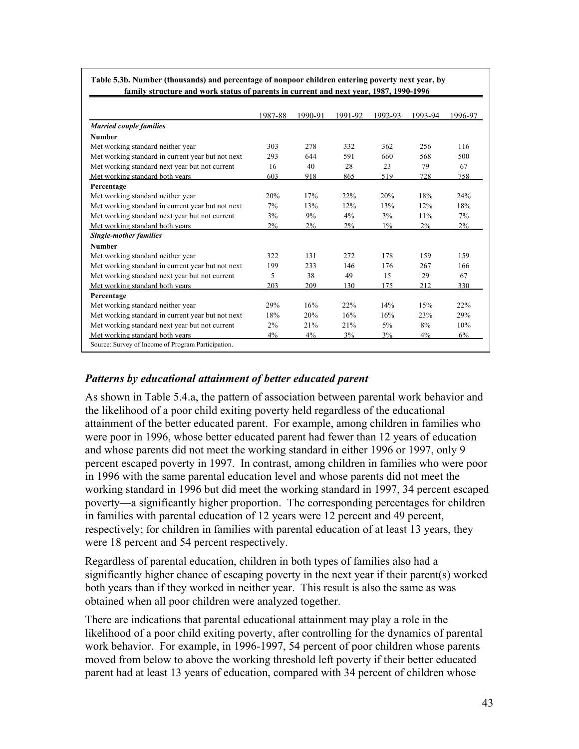|                                                   | 1987-88 | 1990-91 | 1991-92 | 1992-93 | 1993-94 | 1996-97 |
|---------------------------------------------------|---------|---------|---------|---------|---------|---------|
| <b>Married couple families</b>                    |         |         |         |         |         |         |
| <b>Number</b>                                     |         |         |         |         |         |         |
| Met working standard neither year                 | 303     | 278     | 332     | 362     | 256     | 116     |
| Met working standard in current year but not next | 293     | 644     | 591     | 660     | 568     | 500     |
| Met working standard next year but not current    | 16      | 40      | 28      | 23      | 79      | 67      |
| Met working standard both years                   | 603     | 918     | 865     | 519     | 728     | 758     |
| Percentage                                        |         |         |         |         |         |         |
| Met working standard neither year                 | 20%     | 17%     | 22%     | 20%     | 18%     | 24%     |
| Met working standard in current year but not next | 7%      | 13%     | 12%     | 13%     | 12%     | 18%     |
| Met working standard next year but not current    | 3%      | 9%      | 4%      | 3%      | 11%     | 7%      |
| Met working standard both years                   | 2%      | $2\%$   | 2%      | $1\%$   | 2%      | 2%      |
| <b>Single-mother families</b>                     |         |         |         |         |         |         |
| <b>Number</b>                                     |         |         |         |         |         |         |
| Met working standard neither year                 | 322     | 131     | 272     | 178     | 159     | 159     |
| Met working standard in current year but not next | 199     | 233     | 146     | 176     | 267     | 166     |
| Met working standard next year but not current    | 5       | 38      | 49      | 15      | 29      | 67      |
| Met working standard both years                   | 203     | 209     | 130     | 175     | 212     | 330     |
| Percentage                                        |         |         |         |         |         |         |
| Met working standard neither year                 | 29%     | 16%     | 22%     | 14%     | 15%     | 22%     |
| Met working standard in current year but not next | 18%     | 20%     | 16%     | 16%     | 23%     | 29%     |
| Met working standard next year but not current    | 2%      | 21%     | 21%     | 5%      | 8%      | 10%     |
| Met working standard both years                   | 4%      | 4%      | 3%      | 3%      | 4%      | 6%      |

**Table 5.3b. Number (thousands) and percentage of nonpoor children entering poverty next year, by family structure and work status of parents in current and next year, 1987, 1990-1996**

### *Patterns by educational attainment of better educated parent*

As shown in Table 5.4.a, the pattern of association between parental work behavior and the likelihood of a poor child exiting poverty held regardless of the educational attainment of the better educated parent. For example, among children in families who were poor in 1996, whose better educated parent had fewer than 12 years of education and whose parents did not meet the working standard in either 1996 or 1997, only 9 percent escaped poverty in 1997. In contrast, among children in families who were poor in 1996 with the same parental education level and whose parents did not meet the working standard in 1996 but did meet the working standard in 1997, 34 percent escaped poverty—a significantly higher proportion. The corresponding percentages for children in families with parental education of 12 years were 12 percent and 49 percent, respectively; for children in families with parental education of at least 13 years, they were 18 percent and 54 percent respectively.

Regardless of parental education, children in both types of families also had a significantly higher chance of escaping poverty in the next year if their parent(s) worked both years than if they worked in neither year. This result is also the same as was obtained when all poor children were analyzed together.

There are indications that parental educational attainment may play a role in the likelihood of a poor child exiting poverty, after controlling for the dynamics of parental work behavior. For example, in 1996-1997, 54 percent of poor children whose parents moved from below to above the working threshold left poverty if their better educated parent had at least 13 years of education, compared with 34 percent of children whose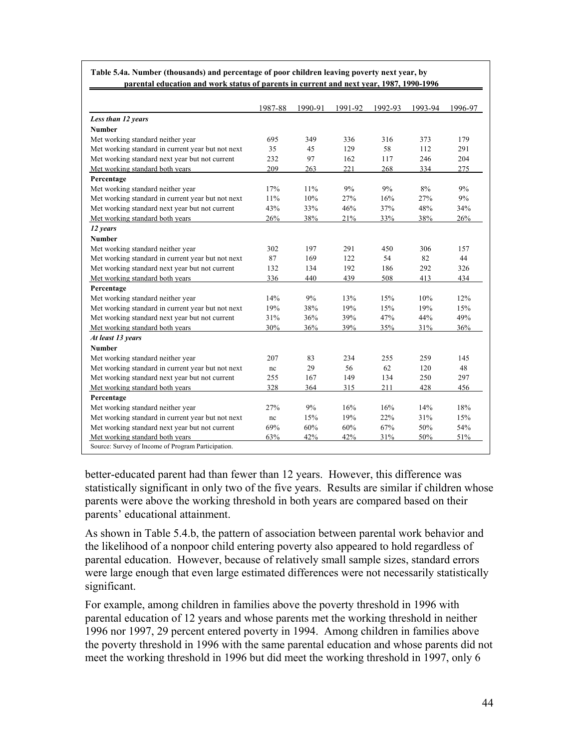|                                                   | 1987-88 | 1990-91 | 1991-92 | 1992-93 | 1993-94 | 1996-97 |
|---------------------------------------------------|---------|---------|---------|---------|---------|---------|
| Less than 12 years                                |         |         |         |         |         |         |
| <b>Number</b>                                     |         |         |         |         |         |         |
| Met working standard neither year                 | 695     | 349     | 336     | 316     | 373     | 179     |
| Met working standard in current year but not next | 35      | 45      | 129     | 58      | 112     | 291     |
| Met working standard next year but not current    | 232     | 97      | 162     | 117     | 246     | 204     |
| Met working standard both years                   | 209     | 263     | 221     | 268     | 334     | 275     |
| Percentage                                        |         |         |         |         |         |         |
| Met working standard neither year                 | 17%     | 11%     | 9%      | 9%      | 8%      | 9%      |
| Met working standard in current year but not next | 11%     | 10%     | 27%     | 16%     | 27%     | 9%      |
| Met working standard next year but not current    | 43%     | 33%     | 46%     | 37%     | 48%     | 34%     |
| Met working standard both years                   | 26%     | 38%     | 21%     | 33%     | 38%     | 26%     |
| 12 years                                          |         |         |         |         |         |         |
| <b>Number</b>                                     |         |         |         |         |         |         |
| Met working standard neither year                 | 302     | 197     | 291     | 450     | 306     | 157     |
| Met working standard in current year but not next | 87      | 169     | 122     | 54      | 82      | 44      |
| Met working standard next year but not current    | 132     | 134     | 192     | 186     | 292     | 326     |
| Met working standard both years                   | 336     | 440     | 439     | 508     | 413     | 434     |
| Percentage                                        |         |         |         |         |         |         |
| Met working standard neither year                 | 14%     | 9%      | 13%     | 15%     | 10%     | 12%     |
| Met working standard in current year but not next | 19%     | 38%     | 19%     | 15%     | 19%     | 15%     |
| Met working standard next year but not current    | 31%     | 36%     | 39%     | 47%     | 44%     | 49%     |
| Met working standard both years                   | 30%     | 36%     | 39%     | 35%     | 31%     | 36%     |
| At least 13 years                                 |         |         |         |         |         |         |
| <b>Number</b>                                     |         |         |         |         |         |         |
| Met working standard neither year                 | 207     | 83      | 234     | 255     | 259     | 145     |
| Met working standard in current year but not next | nc      | 29      | 56      | 62      | 120     | 48      |
| Met working standard next year but not current    | 255     | 167     | 149     | 134     | 250     | 297     |
| Met working standard both years                   | 328     | 364     | 315     | 211     | 428     | 456     |
| Percentage                                        |         |         |         |         |         |         |
| Met working standard neither year                 | 27%     | 9%      | 16%     | 16%     | 14%     | 18%     |
| Met working standard in current year but not next | nc      | 15%     | 19%     | 22%     | 31%     | 15%     |
| Met working standard next year but not current    | 69%     | 60%     | 60%     | 67%     | 50%     | 54%     |
| Met working standard both years                   | 63%     | 42%     | 42%     | 31%     | 50%     | 51%     |

**Table 5.4a. Number (thousands) and percentage of poor children leaving poverty next year, by parental education and work status of parents in current and next year, 1987, 1990-1996**

better-educated parent had than fewer than 12 years. However, this difference was statistically significant in only two of the five years. Results are similar if children whose parents were above the working threshold in both years are compared based on their parents' educational attainment.

As shown in Table 5.4.b, the pattern of association between parental work behavior and the likelihood of a nonpoor child entering poverty also appeared to hold regardless of parental education. However, because of relatively small sample sizes, standard errors were large enough that even large estimated differences were not necessarily statistically significant.

For example, among children in families above the poverty threshold in 1996 with parental education of 12 years and whose parents met the working threshold in neither 1996 nor 1997, 29 percent entered poverty in 1994. Among children in families above the poverty threshold in 1996 with the same parental education and whose parents did not meet the working threshold in 1996 but did meet the working threshold in 1997, only 6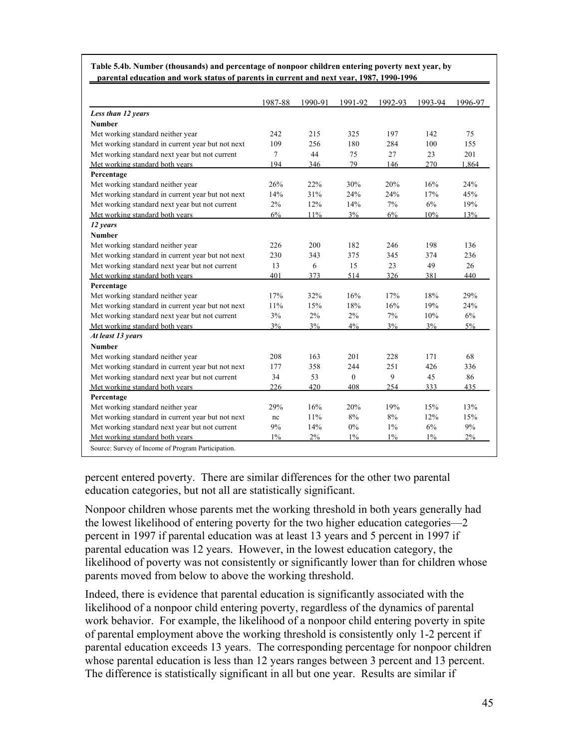|                                                   | 1987-88 | 1990-91 | 1991-92      | 1992-93 | 1993-94 | 1996-97 |
|---------------------------------------------------|---------|---------|--------------|---------|---------|---------|
| Less than 12 years                                |         |         |              |         |         |         |
| <b>Number</b>                                     |         |         |              |         |         |         |
| Met working standard neither year                 | 242     | 215     | 325          | 197     | 142     | 75      |
| Met working standard in current year but not next | 109     | 256     | 180          | 284     | 100     | 155     |
| Met working standard next year but not current    | 7       | 44      | 75           | 27      | 23      | 201     |
| Met working standard both years                   | 194     | 346     | 79           | 146     | 270     | 1,864   |
| Percentage                                        |         |         |              |         |         |         |
| Met working standard neither year                 | 26%     | 22%     | 30%          | 20%     | 16%     | 24%     |
| Met working standard in current year but not next | 14%     | 31%     | 24%          | 24%     | 17%     | 45%     |
| Met working standard next year but not current    | 2%      | 12%     | 14%          | 7%      | 6%      | 19%     |
| Met working standard both years                   | 6%      | 11%     | 3%           | 6%      | 10%     | 13%     |
| 12 years                                          |         |         |              |         |         |         |
| <b>Number</b>                                     |         |         |              |         |         |         |
| Met working standard neither year                 | 226     | 200     | 182          | 246     | 198     | 136     |
| Met working standard in current year but not next | 230     | 343     | 375          | 345     | 374     | 236     |
| Met working standard next year but not current    | 13      | 6       | 15           | 23      | 49      | 26      |
| Met working standard both years                   | 401     | 373     | 514          | 326     | 381     | 440     |
| Percentage                                        |         |         |              |         |         |         |
| Met working standard neither year                 | 17%     | 32%     | 16%          | 17%     | 18%     | 29%     |
| Met working standard in current year but not next | 11%     | 15%     | 18%          | 16%     | 19%     | 24%     |
| Met working standard next year but not current    | 3%      | 2%      | 2%           | 7%      | 10%     | 6%      |
| Met working standard both years                   | 3%      | 3%      | $4\%$        | 3%      | 3%      | 5%      |
| At least 13 years                                 |         |         |              |         |         |         |
| <b>Number</b>                                     |         |         |              |         |         |         |
| Met working standard neither year                 | 208     | 163     | 201          | 228     | 171     | 68      |
| Met working standard in current year but not next | 177     | 358     | 244          | 251     | 426     | 336     |
| Met working standard next year but not current    | 34      | 53      | $\mathbf{0}$ | 9       | 45      | 86      |
| Met working standard both years                   | 226     | 420     | 408          | 254     | 333     | 435     |
| Percentage                                        |         |         |              |         |         |         |
| Met working standard neither year                 | 29%     | 16%     | 20%          | 19%     | 15%     | 13%     |
| Met working standard in current year but not next | nc      | 11%     | 8%           | 8%      | 12%     | 15%     |
| Met working standard next year but not current    | 9%      | 14%     | 0%           | $1\%$   | 6%      | 9%      |
| Met working standard both years                   | $1\%$   | 2%      | $1\%$        | $1\%$   | $1\%$   | 2%      |

**Table 5.4b. Number (thousands) and percentage of nonpoor children entering poverty next year, by parental education and work status of parents in current and next year, 1987, 1990-1996**

percent entered poverty. There are similar differences for the other two parental education categories, but not all are statistically significant.

Nonpoor children whose parents met the working threshold in both years generally had the lowest likelihood of entering poverty for the two higher education categories—2 percent in 1997 if parental education was at least 13 years and 5 percent in 1997 if parental education was 12 years. However, in the lowest education category, the likelihood of poverty was not consistently or significantly lower than for children whose parents moved from below to above the working threshold.

Indeed, there is evidence that parental education is significantly associated with the likelihood of a nonpoor child entering poverty, regardless of the dynamics of parental work behavior. For example, the likelihood of a nonpoor child entering poverty in spite of parental employment above the working threshold is consistently only 1-2 percent if parental education exceeds 13 years. The corresponding percentage for nonpoor children whose parental education is less than 12 years ranges between 3 percent and 13 percent. The difference is statistically significant in all but one year. Results are similar if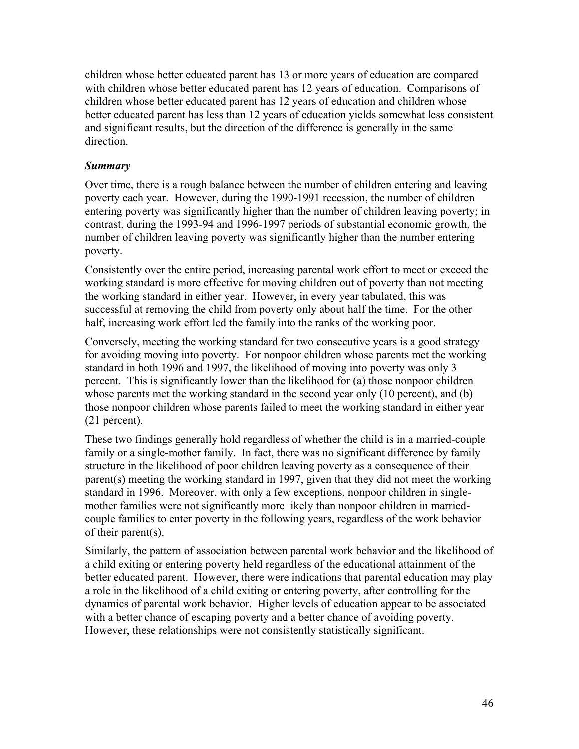children whose better educated parent has 13 or more years of education are compared with children whose better educated parent has 12 years of education. Comparisons of children whose better educated parent has 12 years of education and children whose better educated parent has less than 12 years of education yields somewhat less consistent and significant results, but the direction of the difference is generally in the same direction.

### *Summary*

Over time, there is a rough balance between the number of children entering and leaving poverty each year. However, during the 1990-1991 recession, the number of children entering poverty was significantly higher than the number of children leaving poverty; in contrast, during the 1993-94 and 1996-1997 periods of substantial economic growth, the number of children leaving poverty was significantly higher than the number entering poverty.

Consistently over the entire period, increasing parental work effort to meet or exceed the working standard is more effective for moving children out of poverty than not meeting the working standard in either year. However, in every year tabulated, this was successful at removing the child from poverty only about half the time. For the other half, increasing work effort led the family into the ranks of the working poor.

Conversely, meeting the working standard for two consecutive years is a good strategy for avoiding moving into poverty. For nonpoor children whose parents met the working standard in both 1996 and 1997, the likelihood of moving into poverty was only 3 percent. This is significantly lower than the likelihood for (a) those nonpoor children whose parents met the working standard in the second year only (10 percent), and (b) those nonpoor children whose parents failed to meet the working standard in either year (21 percent).

These two findings generally hold regardless of whether the child is in a married-couple family or a single-mother family. In fact, there was no significant difference by family structure in the likelihood of poor children leaving poverty as a consequence of their parent(s) meeting the working standard in 1997, given that they did not meet the working standard in 1996. Moreover, with only a few exceptions, nonpoor children in singlemother families were not significantly more likely than nonpoor children in marriedcouple families to enter poverty in the following years, regardless of the work behavior of their parent(s).

Similarly, the pattern of association between parental work behavior and the likelihood of a child exiting or entering poverty held regardless of the educational attainment of the better educated parent. However, there were indications that parental education may play a role in the likelihood of a child exiting or entering poverty, after controlling for the dynamics of parental work behavior. Higher levels of education appear to be associated with a better chance of escaping poverty and a better chance of avoiding poverty. However, these relationships were not consistently statistically significant.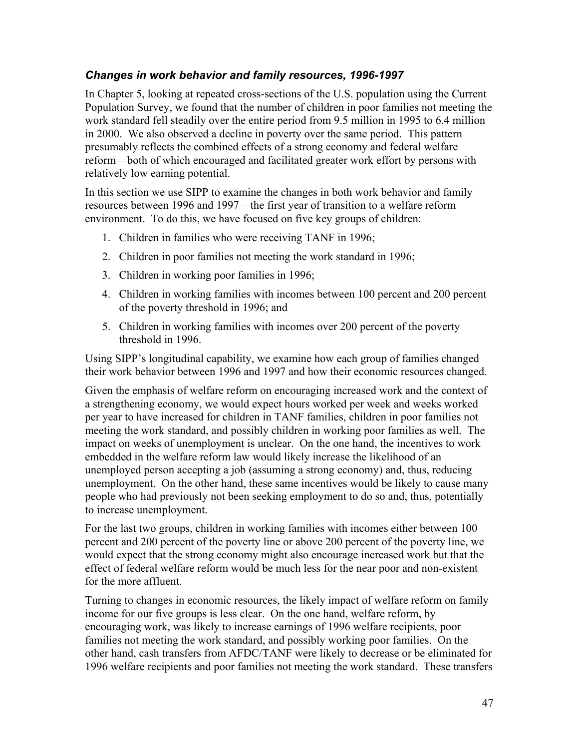## *Changes in work behavior and family resources, 1996-1997*

In Chapter 5, looking at repeated cross-sections of the U.S. population using the Current Population Survey, we found that the number of children in poor families not meeting the work standard fell steadily over the entire period from 9.5 million in 1995 to 6.4 million in 2000. We also observed a decline in poverty over the same period. This pattern presumably reflects the combined effects of a strong economy and federal welfare reform—both of which encouraged and facilitated greater work effort by persons with relatively low earning potential.

In this section we use SIPP to examine the changes in both work behavior and family resources between 1996 and 1997—the first year of transition to a welfare reform environment. To do this, we have focused on five key groups of children:

- 1. Children in families who were receiving TANF in 1996;
- 2. Children in poor families not meeting the work standard in 1996;
- 3. Children in working poor families in 1996;
- 4. Children in working families with incomes between 100 percent and 200 percent of the poverty threshold in 1996; and
- 5. Children in working families with incomes over 200 percent of the poverty threshold in 1996.

Using SIPP's longitudinal capability, we examine how each group of families changed their work behavior between 1996 and 1997 and how their economic resources changed.

Given the emphasis of welfare reform on encouraging increased work and the context of a strengthening economy, we would expect hours worked per week and weeks worked per year to have increased for children in TANF families, children in poor families not meeting the work standard, and possibly children in working poor families as well. The impact on weeks of unemployment is unclear. On the one hand, the incentives to work embedded in the welfare reform law would likely increase the likelihood of an unemployed person accepting a job (assuming a strong economy) and, thus, reducing unemployment. On the other hand, these same incentives would be likely to cause many people who had previously not been seeking employment to do so and, thus, potentially to increase unemployment.

For the last two groups, children in working families with incomes either between 100 percent and 200 percent of the poverty line or above 200 percent of the poverty line, we would expect that the strong economy might also encourage increased work but that the effect of federal welfare reform would be much less for the near poor and non-existent for the more affluent.

Turning to changes in economic resources, the likely impact of welfare reform on family income for our five groups is less clear. On the one hand, welfare reform, by encouraging work, was likely to increase earnings of 1996 welfare recipients, poor families not meeting the work standard, and possibly working poor families. On the other hand, cash transfers from AFDC/TANF were likely to decrease or be eliminated for 1996 welfare recipients and poor families not meeting the work standard. These transfers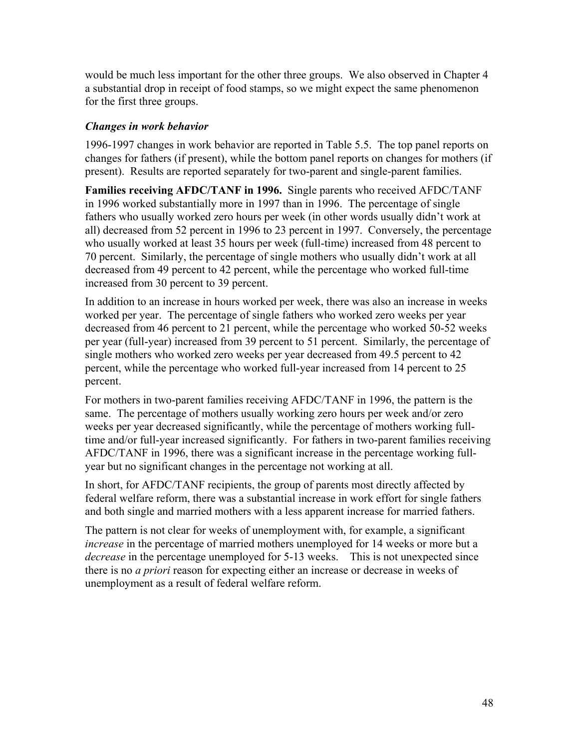would be much less important for the other three groups. We also observed in Chapter 4 a substantial drop in receipt of food stamps, so we might expect the same phenomenon for the first three groups.

### *Changes in work behavior*

1996-1997 changes in work behavior are reported in Table 5.5. The top panel reports on changes for fathers (if present), while the bottom panel reports on changes for mothers (if present). Results are reported separately for two-parent and single-parent families.

**Families receiving AFDC/TANF in 1996.** Single parents who received AFDC/TANF in 1996 worked substantially more in 1997 than in 1996. The percentage of single fathers who usually worked zero hours per week (in other words usually didn't work at all) decreased from 52 percent in 1996 to 23 percent in 1997. Conversely, the percentage who usually worked at least 35 hours per week (full-time) increased from 48 percent to 70 percent. Similarly, the percentage of single mothers who usually didn't work at all decreased from 49 percent to 42 percent, while the percentage who worked full-time increased from 30 percent to 39 percent.

In addition to an increase in hours worked per week, there was also an increase in weeks worked per year. The percentage of single fathers who worked zero weeks per year decreased from 46 percent to 21 percent, while the percentage who worked 50-52 weeks per year (full-year) increased from 39 percent to 51 percent. Similarly, the percentage of single mothers who worked zero weeks per year decreased from 49.5 percent to 42 percent, while the percentage who worked full-year increased from 14 percent to 25 percent.

For mothers in two-parent families receiving AFDC/TANF in 1996, the pattern is the same. The percentage of mothers usually working zero hours per week and/or zero weeks per year decreased significantly, while the percentage of mothers working fulltime and/or full-year increased significantly. For fathers in two-parent families receiving AFDC/TANF in 1996, there was a significant increase in the percentage working fullyear but no significant changes in the percentage not working at all.

In short, for AFDC/TANF recipients, the group of parents most directly affected by federal welfare reform, there was a substantial increase in work effort for single fathers and both single and married mothers with a less apparent increase for married fathers.

The pattern is not clear for weeks of unemployment with, for example, a significant *increase* in the percentage of married mothers unemployed for 14 weeks or more but a *decrease* in the percentage unemployed for 5-13 weeks. This is not unexpected since there is no *a priori* reason for expecting either an increase or decrease in weeks of unemployment as a result of federal welfare reform.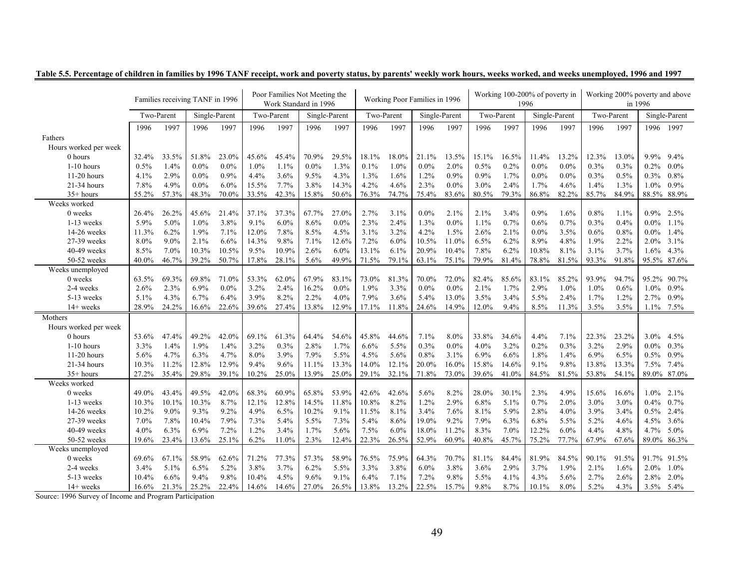|                       |       |            | Families receiving TANF in 1996 |               |            |         | Poor Families Not Meeting the<br>Work Standard in 1996 |               |       |            | Working Poor Families in 1996 |               |       | Working 100-200% of poverty in | 1996    |               |            | Working 200% poverty and above | in 1996     |               |
|-----------------------|-------|------------|---------------------------------|---------------|------------|---------|--------------------------------------------------------|---------------|-------|------------|-------------------------------|---------------|-------|--------------------------------|---------|---------------|------------|--------------------------------|-------------|---------------|
|                       |       | Two-Parent |                                 | Single-Parent | Two-Parent |         |                                                        | Single-Parent |       | Two-Parent |                               | Single-Parent |       | Two-Parent                     |         | Single-Parent | Two-Parent |                                |             | Single-Parent |
|                       | 1996  | 1997       | 1996                            | 1997          | 1996       | 1997    | 1996                                                   | 1997          | 1996  | 1997       | 1996                          | 1997          | 1996  | 1997                           | 1996    | 1997          | 1996       | 1997                           | 1996 1997   |               |
| Fathers               |       |            |                                 |               |            |         |                                                        |               |       |            |                               |               |       |                                |         |               |            |                                |             |               |
| Hours worked per week |       |            |                                 |               |            |         |                                                        |               |       |            |                               |               |       |                                |         |               |            |                                |             |               |
| 0 hours               | 32.4% | 33.5%      | 51.8%                           | 23.0%         | 45.6%      | 45.4%   | 70.9%                                                  | 29.5%         | 18.1% | 18.0%      | 21.1%                         | 13.5%         | 15.1% | 16.5%                          | 11.4%   | 13.2%         | 12.3%      | 13.0%                          | 9.9%        | 9.4%          |
| $1-10$ hours          | 0.5%  | 1.4%       | $0.0\%$                         | $0.0\%$       | 1.0%       | 1.1%    | 0.0%                                                   | 1.3%          | 0.1%  | 1.0%       | $0.0\%$                       | 2.0%          | 0.5%  | 0.2%                           | $0.0\%$ | $0.0\%$       | 0.3%       | 0.3%                           | 0.2%        | $0.0\%$       |
| $11-20$ hours         | 4.1%  | 2.9%       | $0.0\%$                         | 0.9%          | 4.4%       | 3.6%    | 9.5%                                                   | 4.3%          | 1.3%  | 1.6%       | 1.2%                          | 0.9%          | 0.9%  | 1.7%                           | $0.0\%$ | $0.0\%$       | 0.3%       | 0.5%                           | $0.3\%$     | 0.8%          |
| 21-34 hours           | 7.8%  | 4.9%       | $0.0\%$                         | 6.0%          | 15.5%      | 7.7%    | 3.8%                                                   | 14.3%         | 4.2%  | 4.6%       | 2.3%                          | $0.0\%$       | 3.0%  | 2.4%                           | 1.7%    | 4.6%          | 1.4%       | 1.3%                           | 1.0%        | 0.9%          |
| $35+ hours$           | 55.2% | 57.3%      | 48.3%                           | 70.0%         | 33.5%      | 42.3%   | 15.8%                                                  | 50.6%         | 76.3% | 74.7%      | 75.4%                         | 83.6%         | 80.5% | 79.3%                          | 86.8%   | 82.2%         | 85.7%      | 84.9%                          | 88.5% 88.9% |               |
| Weeks worked          |       |            |                                 |               |            |         |                                                        |               |       |            |                               |               |       |                                |         |               |            |                                |             |               |
| 0 weeks               | 26.4% | 26.2%      | 45.6%                           | 21.4%         | 37.1%      | 37.3%   | 67.7%                                                  | 27.0%         | 2.7%  | 3.1%       | $0.0\%$                       | 2.1%          | 2.1%  | 3.4%                           | 0.9%    | 1.6%          | 0.8%       | 1.1%                           | $0.9\%$     | 2.5%          |
| 1-13 weeks            | 5.9%  | 5.0%       | 1.0%                            | 3.8%          | 9.1%       | $6.0\%$ | 8.6%                                                   | 0.0%          | 2.3%  | 2.4%       | 1.3%                          | $0.0\%$       | 1.1%  | 0.7%                           | 0.6%    | 0.7%          | 0.3%       | 0.4%                           | $0.0\%$     | $1.1\%$       |
| 14-26 weeks           | 11.3% | 6.2%       | 1.9%                            | 7.1%          | 12.0%      | 7.8%    | 8.5%                                                   | 4.5%          | 3.1%  | 3.2%       | 4.2%                          | 1.5%          | 2.6%  | 2.1%                           | $0.0\%$ | 3.5%          | 0.6%       | 0.8%                           | $0.0\%$     | 1.4%          |
| 27-39 weeks           | 8.0%  | $9.0\%$    | 2.1%                            | 6.6%          | 14.3%      | 9.8%    | 7.1%                                                   | 12.6%         | 7.2%  | $6.0\%$    | 10.5%                         | 11.0%         | 6.5%  | 6.2%                           | 8.9%    | 4.8%          | 1.9%       | 2.2%                           | $2.0\%$     | 3.1%          |
| 40-49 weeks           | 8.5%  | 7.0%       | 10.3%                           | 10.5%         | 9.5%       | 10.9%   | 2.6%                                                   | 6.0%          | 13.1% | 6.1%       | 20.9%                         | 10.4%         | 7.8%  | 6.2%                           | 10.8%   | 8.1%          | 3.1%       | 3.7%                           | 1.6%        | 4.3%          |
| 50-52 weeks           | 40.0% | 46.7%      | 39.2%                           | 50.7%         | 17.8%      | 28.1%   | 5.6%                                                   | 49.9%         | 71.5% | 79.1%      | 63.1%                         | 75.1%         | 79.9% | 81.4%                          | 78.8%   | 81.5%         | 93.3%      | 91.8%                          |             | 95.5% 87.6%   |
| Weeks unemployed      |       |            |                                 |               |            |         |                                                        |               |       |            |                               |               |       |                                |         |               |            |                                |             |               |
| 0 weeks               | 63.5% | 69.3%      | 69.8%                           | 71.0%         | 53.3%      | 62.0%   | 67.9%                                                  | 83.1%         | 73.0% | 81.3%      | 70.0%                         | 72.0%         | 82.4% | 85.6%                          | 83.1%   | 85.2%         | 93.9%      | 94.7%                          | 95.2%       | 90.7%         |
| 2-4 weeks             | 2.6%  | 2.3%       | 6.9%                            | $0.0\%$       | 3.2%       | 2.4%    | 16.2%                                                  | $0.0\%$       | 1.9%  | 3.3%       | $0.0\%$                       | $0.0\%$       | 2.1%  | 1.7%                           | 2.9%    | 1.0%          | 1.0%       | 0.6%                           | $1.0\%$     | $0.9\%$       |
| 5-13 weeks            | 5.1%  | 4.3%       | 6.7%                            | 6.4%          | 3.9%       | 8.2%    | 2.2%                                                   | 4.0%          | 7.9%  | 3.6%       | 5.4%                          | 13.0%         | 3.5%  | 3.4%                           | 5.5%    | 2.4%          | 1.7%       | 1.2%                           | 2.7%        | 0.9%          |
| $14+$ weeks           | 28.9% | 24.2%      | 16.6%                           | 22.6%         | 39.6%      | 27.4%   | 13.8%                                                  | 12.9%         | 17.1% | 11.8%      | 24.6%                         | 14.9%         | 12.0% | 9.4%                           | 8.5%    | 11.3%         | 3.5%       | 3.5%                           | $1.1\%$     | 7.5%          |
| Mothers               |       |            |                                 |               |            |         |                                                        |               |       |            |                               |               |       |                                |         |               |            |                                |             |               |
| Hours worked per week |       |            |                                 |               |            |         |                                                        |               |       |            |                               |               |       |                                |         |               |            |                                |             |               |
| 0 hours               | 53.6% | 47.4%      | 49.2%                           | 42.0%         | 69.1%      | 61.3%   | 64.4%                                                  | 54.6%         | 45.8% | 44.6%      | 7.1%                          | 8.0%          | 33.8% | 34.6%                          | 4.4%    | 7.1%          | 22.3%      | 23.2%                          | $3.0\%$     | 4.5%          |
| $1-10$ hours          | 3.3%  | 1.4%       | 1.9%                            | 1.4%          | 3.2%       | 0.3%    | 2.8%                                                   | 1.7%          | 6.6%  | 5.5%       | 0.3%                          | $0.0\%$       | 4.0%  | 3.2%                           | 0.2%    | 0.3%          | 3.2%       | 2.9%                           | $0.0\%$     | 0.3%          |
| $11-20$ hours         | 5.6%  | 4.7%       | 6.3%                            | 4.7%          | 8.0%       | 3.9%    | 7.9%                                                   | 5.5%          | 4.5%  | 5.6%       | $0.8\%$                       | 3.1%          | 6.9%  | 6.6%                           | 1.8%    | 1.4%          | 6.9%       | 6.5%                           | 0.5%        | 0.9%          |
| 21-34 hours           | 10.3% | 11.2%      | 12.8%                           | 12.9%         | 9.4%       | 9.6%    | 11.1%                                                  | 13.3%         | 14.0% | 12.1%      | 20.0%                         | 16.0%         | 15.8% | 14.6%                          | 9.1%    | 9.8%          | 13.8%      | 13.3%                          | 7.5% 7.4%   |               |
| $35+ hours$           | 27.2% | 35.4%      | 29.8%                           | 39.1%         | 10.2%      | 25.0%   | 13.9%                                                  | 25.0%         | 29.1% | 32.1%      | 71.8%                         | 73.0%         | 39.6% | 41.0%                          | 84.5%   | 81.5%         | 53.8%      | 54.1%                          | 89.0% 87.0% |               |
| Weeks worked          |       |            |                                 |               |            |         |                                                        |               |       |            |                               |               |       |                                |         |               |            |                                |             |               |
| 0 weeks               | 49.0% | 43.4%      | 49.5%                           | 42.0%         | 68.3%      | 60.9%   | 65.8%                                                  | 53.9%         | 42.6% | 42.6%      | 5.6%                          | 8.2%          | 28.0% | 30.1%                          | 2.3%    | 4.9%          | 15.6%      | 16.6%                          | 1.0%        | 2.1%          |
| $1-13$ weeks          | 10.3% | 10.1%      | 10.3%                           | 8.7%          | 12.1%      | 12.8%   | 14.5%                                                  | 11.8%         | 10.8% | 8.2%       | 1.2%                          | 2.9%          | 6.8%  | 5.1%                           | 0.7%    | 2.0%          | $3.0\%$    | 3.0%                           | $0.4\%$     | 0.7%          |
| $14-26$ weeks         | 10.2% | $9.0\%$    | 9.3%                            | 9.2%          | 4.9%       | 6.5%    | 10.2%                                                  | 9.1%          | 11.5% | 8.1%       | 3.4%                          | 7.6%          | 8.1%  | 5.9%                           | 2.8%    | 4.0%          | 3.9%       | 3.4%                           | 0.5%        | 2.4%          |
| 27-39 weeks           | 7.0%  | 7.8%       | 10.4%                           | 7.9%          | 7.3%       | 5.4%    | 5.5%                                                   | 7.3%          | 5.4%  | 8.6%       | 19.0%                         | 9.2%          | 7.9%  | 6.3%                           | 6.8%    | 5.5%          | 5.2%       | 4.6%                           | 4.5%        | 3.6%          |
| 40-49 weeks           | 4.0%  | 6.3%       | 6.9%                            | 7.2%          | 1.2%       | 3.4%    | 1.7%                                                   | 5.6%          | 7.5%  | 6.0%       | 18.0%                         | 11.2%         | 8.3%  | 7.0%                           | 12.2%   | 6.0%          | 4.4%       | 4.8%                           | 4.7%        | $5.0\%$       |
| 50-52 weeks           | 19.6% | 23.4%      | 13.6%                           | 25.1%         | 6.2%       | 11.0%   | 2.3%                                                   | 12.4%         | 22.3% | 26.5%      | 52.9%                         | 60.9%         | 40.8% | 45.7%                          | 75.2%   | 77.7%         | 67.9%      | 67.6%                          | 89.0% 86.3% |               |
| Weeks unemployed      |       |            |                                 |               |            |         |                                                        |               |       |            |                               |               |       |                                |         |               |            |                                |             |               |
| 0 weeks               | 69.6% | 67.1%      | 58.9%                           | 62.6%         | 71.2%      | 77.3%   | 57.3%                                                  | 58.9%         | 76.5% | 75.9%      | 64.3%                         | 70.7%         | 81.1% | 84.4%                          | 81.9%   | 84.5%         | 90.1%      | 91.5%                          | 91.7%       | 91.5%         |
| 2-4 weeks             | 3.4%  | 5.1%       | 6.5%                            | 5.2%          | 3.8%       | 3.7%    | 6.2%                                                   | 5.5%          | 3.3%  | 3.8%       | $6.0\%$                       | 3.8%          | 3.6%  | 2.9%                           | 3.7%    | 1.9%          | 2.1%       | 1.6%                           | 2.0%        | $1.0\%$       |
| 5-13 weeks            | 10.4% | 6.6%       | 9.4%                            | 9.8%          | 10.4%      | 4.5%    | 9.6%                                                   | 9.1%          | 6.4%  | 7.1%       | 7.2%                          | 9.8%          | 5.5%  | 4.1%                           | 4.3%    | 5.6%          | 2.7%       | 2.6%                           | 2.8%        | 2.0%          |
| $14+$ weeks           | 16.6% | 21.3%      | 25.2%                           | 22.4%         | 14.6%      | 14.6%   | 27.0%                                                  | 26.5%         | 13.8% | 13.2%      | 22.5%                         | 15.7%         | 9.8%  | 8.7%                           | 10.1%   | 8.0%          | 5.2%       | 4.3%                           | 3.5%        | $5.4\%$       |

**Table 5.5. Percentage of children in families by 1996 TANF receipt, work and poverty status, by parents' weekly work hours, weeks worked, and weeks unemployed, 1996 and 1997**

Source: 1996 Survey of Income and Program Participation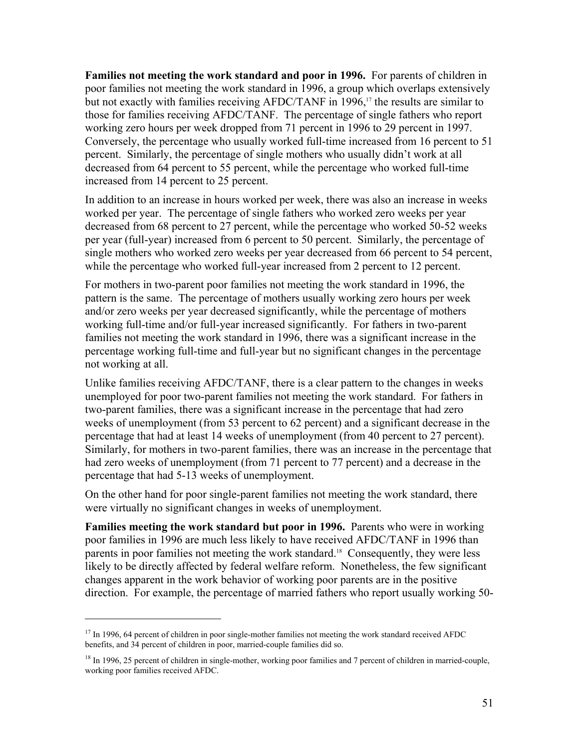**Families not meeting the work standard and poor in 1996.** For parents of children in poor families not meeting the work standard in 1996, a group which overlaps extensively but not exactly with families receiving AFDC/TANF in 1996,<sup>17</sup> the results are similar to those for families receiving AFDC/TANF. The percentage of single fathers who report working zero hours per week dropped from 71 percent in 1996 to 29 percent in 1997. Conversely, the percentage who usually worked full-time increased from 16 percent to 51 percent. Similarly, the percentage of single mothers who usually didn't work at all decreased from 64 percent to 55 percent, while the percentage who worked full-time increased from 14 percent to 25 percent.

In addition to an increase in hours worked per week, there was also an increase in weeks worked per year. The percentage of single fathers who worked zero weeks per year decreased from 68 percent to 27 percent, while the percentage who worked 50-52 weeks per year (full-year) increased from 6 percent to 50 percent. Similarly, the percentage of single mothers who worked zero weeks per year decreased from 66 percent to 54 percent, while the percentage who worked full-year increased from 2 percent to 12 percent.

For mothers in two-parent poor families not meeting the work standard in 1996, the pattern is the same. The percentage of mothers usually working zero hours per week and/or zero weeks per year decreased significantly, while the percentage of mothers working full-time and/or full-year increased significantly. For fathers in two-parent families not meeting the work standard in 1996, there was a significant increase in the percentage working full-time and full-year but no significant changes in the percentage not working at all.

Unlike families receiving AFDC/TANF, there is a clear pattern to the changes in weeks unemployed for poor two-parent families not meeting the work standard. For fathers in two-parent families, there was a significant increase in the percentage that had zero weeks of unemployment (from 53 percent to 62 percent) and a significant decrease in the percentage that had at least 14 weeks of unemployment (from 40 percent to 27 percent). Similarly, for mothers in two-parent families, there was an increase in the percentage that had zero weeks of unemployment (from 71 percent to 77 percent) and a decrease in the percentage that had 5-13 weeks of unemployment.

On the other hand for poor single-parent families not meeting the work standard, there were virtually no significant changes in weeks of unemployment.

**Families meeting the work standard but poor in 1996.** Parents who were in working poor families in 1996 are much less likely to have received AFDC/TANF in 1996 than parents in poor families not meeting the work standard.<sup>18</sup> Consequently, they were less likely to be directly affected by federal welfare reform. Nonetheless, the few significant changes apparent in the work behavior of working poor parents are in the positive direction. For example, the percentage of married fathers who report usually working 50-

 $\overline{a}$ 

 $17$  In 1996, 64 percent of children in poor single-mother families not meeting the work standard received AFDC benefits, and 34 percent of children in poor, married-couple families did so.

<sup>&</sup>lt;sup>18</sup> In 1996, 25 percent of children in single-mother, working poor families and 7 percent of children in married-couple, working poor families received AFDC.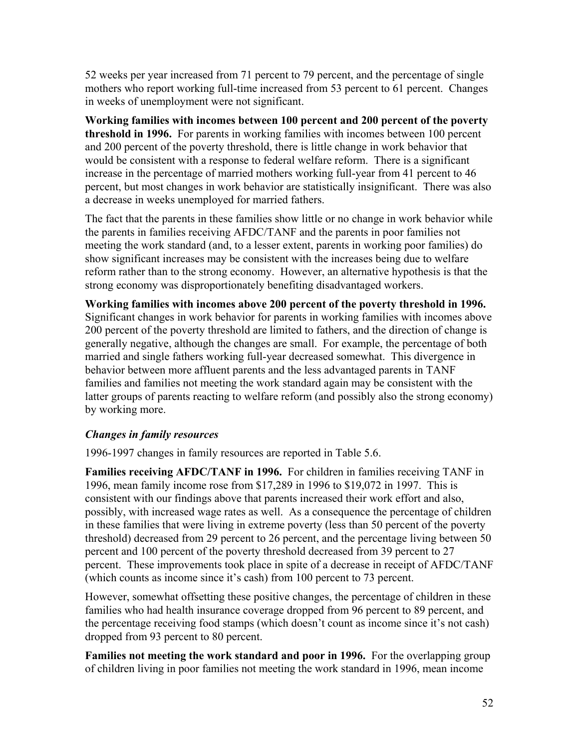52 weeks per year increased from 71 percent to 79 percent, and the percentage of single mothers who report working full-time increased from 53 percent to 61 percent. Changes in weeks of unemployment were not significant.

**Working families with incomes between 100 percent and 200 percent of the poverty threshold in 1996.** For parents in working families with incomes between 100 percent and 200 percent of the poverty threshold, there is little change in work behavior that would be consistent with a response to federal welfare reform. There is a significant increase in the percentage of married mothers working full-year from 41 percent to 46 percent, but most changes in work behavior are statistically insignificant. There was also a decrease in weeks unemployed for married fathers.

The fact that the parents in these families show little or no change in work behavior while the parents in families receiving AFDC/TANF and the parents in poor families not meeting the work standard (and, to a lesser extent, parents in working poor families) do show significant increases may be consistent with the increases being due to welfare reform rather than to the strong economy. However, an alternative hypothesis is that the strong economy was disproportionately benefiting disadvantaged workers.

**Working families with incomes above 200 percent of the poverty threshold in 1996.** Significant changes in work behavior for parents in working families with incomes above 200 percent of the poverty threshold are limited to fathers, and the direction of change is generally negative, although the changes are small. For example, the percentage of both married and single fathers working full-year decreased somewhat. This divergence in behavior between more affluent parents and the less advantaged parents in TANF families and families not meeting the work standard again may be consistent with the latter groups of parents reacting to welfare reform (and possibly also the strong economy) by working more.

### *Changes in family resources*

1996-1997 changes in family resources are reported in Table 5.6.

**Families receiving AFDC/TANF in 1996.** For children in families receiving TANF in 1996, mean family income rose from \$17,289 in 1996 to \$19,072 in 1997. This is consistent with our findings above that parents increased their work effort and also, possibly, with increased wage rates as well. As a consequence the percentage of children in these families that were living in extreme poverty (less than 50 percent of the poverty threshold) decreased from 29 percent to 26 percent, and the percentage living between 50 percent and 100 percent of the poverty threshold decreased from 39 percent to 27 percent. These improvements took place in spite of a decrease in receipt of AFDC/TANF (which counts as income since it's cash) from 100 percent to 73 percent.

However, somewhat offsetting these positive changes, the percentage of children in these families who had health insurance coverage dropped from 96 percent to 89 percent, and the percentage receiving food stamps (which doesn't count as income since it's not cash) dropped from 93 percent to 80 percent.

**Families not meeting the work standard and poor in 1996.** For the overlapping group of children living in poor families not meeting the work standard in 1996, mean income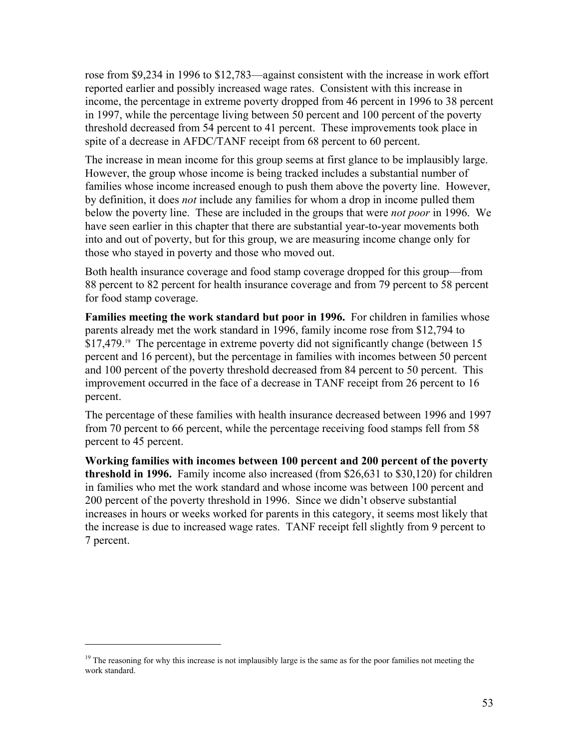rose from \$9,234 in 1996 to \$12,783—against consistent with the increase in work effort reported earlier and possibly increased wage rates. Consistent with this increase in income, the percentage in extreme poverty dropped from 46 percent in 1996 to 38 percent in 1997, while the percentage living between 50 percent and 100 percent of the poverty threshold decreased from 54 percent to 41 percent. These improvements took place in spite of a decrease in AFDC/TANF receipt from 68 percent to 60 percent.

The increase in mean income for this group seems at first glance to be implausibly large. However, the group whose income is being tracked includes a substantial number of families whose income increased enough to push them above the poverty line. However, by definition, it does *not* include any families for whom a drop in income pulled them below the poverty line. These are included in the groups that were *not poor* in 1996. We have seen earlier in this chapter that there are substantial year-to-year movements both into and out of poverty, but for this group, we are measuring income change only for those who stayed in poverty and those who moved out.

Both health insurance coverage and food stamp coverage dropped for this group—from 88 percent to 82 percent for health insurance coverage and from 79 percent to 58 percent for food stamp coverage.

**Families meeting the work standard but poor in 1996.** For children in families whose parents already met the work standard in 1996, family income rose from \$12,794 to \$17,479.<sup>19</sup> The percentage in extreme poverty did not significantly change (between 15 percent and 16 percent), but the percentage in families with incomes between 50 percent and 100 percent of the poverty threshold decreased from 84 percent to 50 percent. This improvement occurred in the face of a decrease in TANF receipt from 26 percent to 16 percent.

The percentage of these families with health insurance decreased between 1996 and 1997 from 70 percent to 66 percent, while the percentage receiving food stamps fell from 58 percent to 45 percent.

**Working families with incomes between 100 percent and 200 percent of the poverty threshold in 1996.** Family income also increased (from \$26,631 to \$30,120) for children in families who met the work standard and whose income was between 100 percent and 200 percent of the poverty threshold in 1996. Since we didn't observe substantial increases in hours or weeks worked for parents in this category, it seems most likely that the increase is due to increased wage rates. TANF receipt fell slightly from 9 percent to 7 percent.

 $\overline{a}$ 

<sup>&</sup>lt;sup>19</sup> The reasoning for why this increase is not implausibly large is the same as for the poor families not meeting the work standard.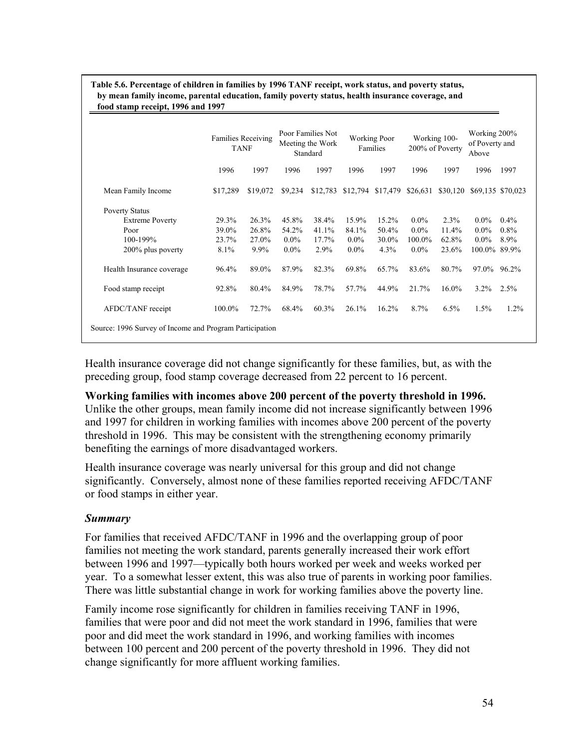|                           | <b>Families Receiving</b><br><b>TANF</b> |          |         | Poor Families Not<br>Meeting the Work<br>Standard |         | <b>Working Poor</b><br>Families |         | Working 100-<br>200% of Poverty | Working 200%<br>of Poverty and<br>Above |         |
|---------------------------|------------------------------------------|----------|---------|---------------------------------------------------|---------|---------------------------------|---------|---------------------------------|-----------------------------------------|---------|
|                           | 1996                                     | 1997     | 1996    | 1997                                              | 1996    | 1997                            | 1996    | 1997                            | 1996                                    | 1997    |
| Mean Family Income        | \$17,289                                 | \$19,072 | \$9,234 | \$12,783                                          |         | \$12,794 \$17,479 \$26,631      |         | \$30,120                        | \$69,135 \$70,023                       |         |
| <b>Poverty Status</b>     |                                          |          |         |                                                   |         |                                 |         |                                 |                                         |         |
| <b>Extreme Poverty</b>    | 29.3%                                    | 26.3%    | 45.8%   | 38.4%                                             | 15.9%   | 15.2%                           | $0.0\%$ | 2.3%                            | $0.0\%$                                 | $0.4\%$ |
| Poor                      | 39.0%                                    | 26.8%    | 54.2%   | 41.1%                                             | 84.1%   | 50.4%                           | $0.0\%$ | 11.4%                           | $0.0\%$                                 | 0.8%    |
| 100-199%                  | 23.7%                                    | 27.0%    | $0.0\%$ | 17.7%                                             | $0.0\%$ | 30.0%                           | 100.0%  | 62.8%                           | $0.0\%$                                 | 8.9%    |
| 200% plus poverty         | $8.1\%$                                  | $9.9\%$  | $0.0\%$ | 2.9%                                              | $0.0\%$ | 4.3%                            | $0.0\%$ | 23.6%                           | 100.0% 89.9%                            |         |
| Health Insurance coverage | 96.4%                                    | 89.0%    | 87.9%   | 82.3%                                             | 69.8%   | 65.7%                           | 83.6%   | 80.7%                           | 97.0%                                   | 96.2%   |
| Food stamp receipt        | 92.8%                                    | 80.4%    | 84.9%   | 78.7%                                             | 57.7%   | 44.9%                           | 21.7%   | 16.0%                           | $3.2\%$                                 | 2.5%    |
| AFDC/TANF receipt         | 100.0%                                   | 72.7%    | 68.4%   | 60.3%                                             | 26.1%   | 16.2%                           | 8.7%    | 6.5%                            | 1.5%                                    | 1.2%    |

**Table 5.6. Percentage of children in families by 1996 TANF receipt, work status, and poverty status, by mean family income, parental education, family poverty status, health insurance coverage, and** 

Health insurance coverage did not change significantly for these families, but, as with the preceding group, food stamp coverage decreased from 22 percent to 16 percent.

**Working families with incomes above 200 percent of the poverty threshold in 1996.** Unlike the other groups, mean family income did not increase significantly between 1996 and 1997 for children in working families with incomes above 200 percent of the poverty

threshold in 1996. This may be consistent with the strengthening economy primarily benefiting the earnings of more disadvantaged workers.

Health insurance coverage was nearly universal for this group and did not change significantly. Conversely, almost none of these families reported receiving AFDC/TANF or food stamps in either year.

## *Summary*

For families that received AFDC/TANF in 1996 and the overlapping group of poor families not meeting the work standard, parents generally increased their work effort between 1996 and 1997—typically both hours worked per week and weeks worked per year. To a somewhat lesser extent, this was also true of parents in working poor families. There was little substantial change in work for working families above the poverty line.

Family income rose significantly for children in families receiving TANF in 1996, families that were poor and did not meet the work standard in 1996, families that were poor and did meet the work standard in 1996, and working families with incomes between 100 percent and 200 percent of the poverty threshold in 1996. They did not change significantly for more affluent working families.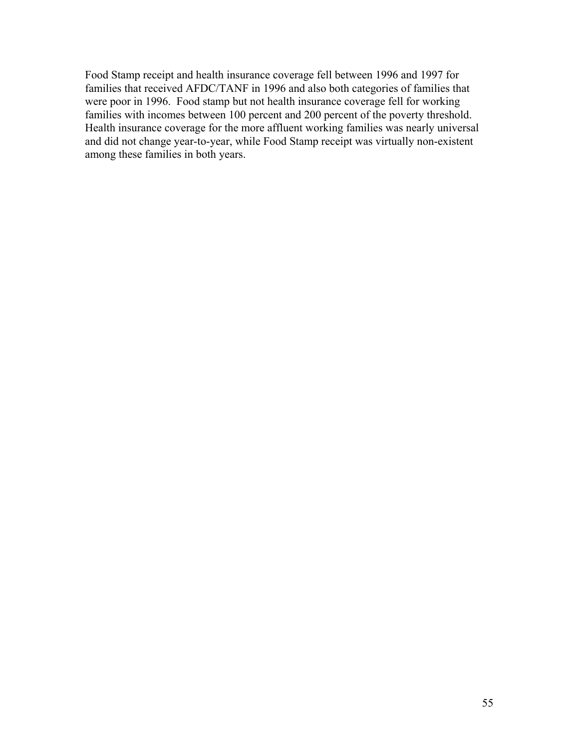Food Stamp receipt and health insurance coverage fell between 1996 and 1997 for families that received AFDC/TANF in 1996 and also both categories of families that were poor in 1996. Food stamp but not health insurance coverage fell for working families with incomes between 100 percent and 200 percent of the poverty threshold. Health insurance coverage for the more affluent working families was nearly universal and did not change year-to-year, while Food Stamp receipt was virtually non-existent among these families in both years.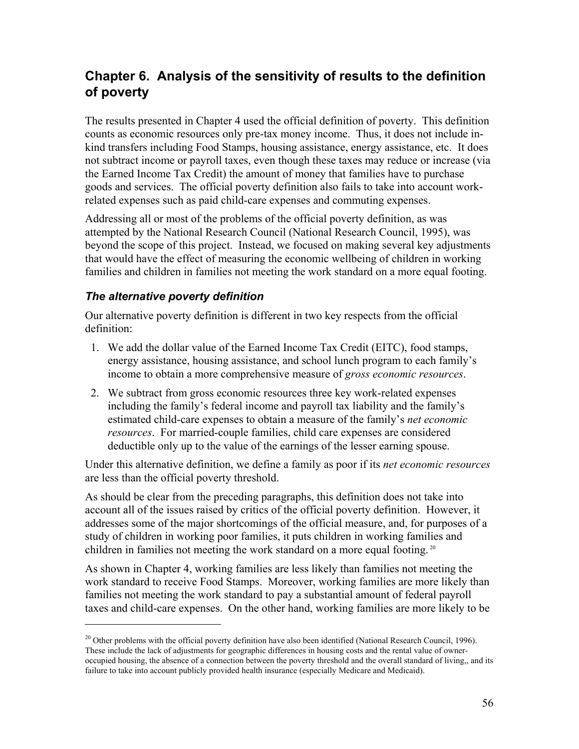# **Chapter 6. Analysis of the sensitivity of results to the definition of poverty**

The results presented in Chapter 4 used the official definition of poverty. This definition counts as economic resources only pre-tax money income. Thus, it does not include inkind transfers including Food Stamps, housing assistance, energy assistance, etc. It does not subtract income or payroll taxes, even though these taxes may reduce or increase (via the Earned Income Tax Credit) the amount of money that families have to purchase goods and services. The official poverty definition also fails to take into account workrelated expenses such as paid child-care expenses and commuting expenses.

Addressing all or most of the problems of the official poverty definition, as was attempted by the National Research Council (National Research Council, 1995), was beyond the scope of this project. Instead, we focused on making several key adjustments that would have the effect of measuring the economic wellbeing of children in working families and children in families not meeting the work standard on a more equal footing.

## *The alternative poverty definition*

 $\overline{a}$ 

Our alternative poverty definition is different in two key respects from the official definition:

- 1. We add the dollar value of the Earned Income Tax Credit (EITC), food stamps, energy assistance, housing assistance, and school lunch program to each family's income to obtain a more comprehensive measure of *gross economic resources*.
- 2. We subtract from gross economic resources three key work-related expenses including the family's federal income and payroll tax liability and the family's estimated child-care expenses to obtain a measure of the family's *net economic resources*. For married-couple families, child care expenses are considered deductible only up to the value of the earnings of the lesser earning spouse.

Under this alternative definition, we define a family as poor if its *net economic resources* are less than the official poverty threshold.

As should be clear from the preceding paragraphs, this definition does not take into account all of the issues raised by critics of the official poverty definition. However, it addresses some of the major shortcomings of the official measure, and, for purposes of a study of children in working poor families, it puts children in working families and children in families not meeting the work standard on a more equal footing. 20

As shown in Chapter 4, working families are less likely than families not meeting the work standard to receive Food Stamps. Moreover, working families are more likely than families not meeting the work standard to pay a substantial amount of federal payroll taxes and child-care expenses. On the other hand, working families are more likely to be

<sup>&</sup>lt;sup>20</sup> Other problems with the official poverty definition have also been identified (National Research Council, 1996). These include the lack of adjustments for geographic differences in housing costs and the rental value of owneroccupied housing, the absence of a connection between the poverty threshold and the overall standard of living,, and its failure to take into account publicly provided health insurance (especially Medicare and Medicaid).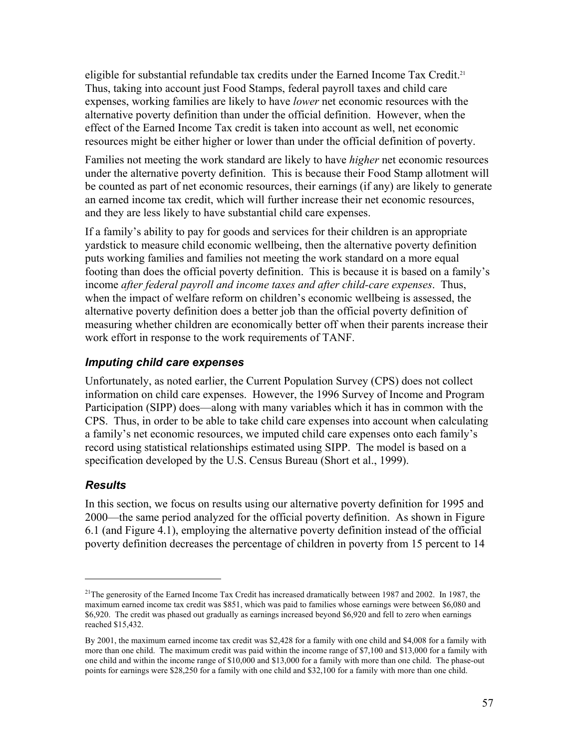eligible for substantial refundable tax credits under the Earned Income Tax Credit.<sup>21</sup> Thus, taking into account just Food Stamps, federal payroll taxes and child care expenses, working families are likely to have *lower* net economic resources with the alternative poverty definition than under the official definition. However, when the effect of the Earned Income Tax credit is taken into account as well, net economic resources might be either higher or lower than under the official definition of poverty.

Families not meeting the work standard are likely to have *higher* net economic resources under the alternative poverty definition. This is because their Food Stamp allotment will be counted as part of net economic resources, their earnings (if any) are likely to generate an earned income tax credit, which will further increase their net economic resources, and they are less likely to have substantial child care expenses.

If a family's ability to pay for goods and services for their children is an appropriate yardstick to measure child economic wellbeing, then the alternative poverty definition puts working families and families not meeting the work standard on a more equal footing than does the official poverty definition. This is because it is based on a family's income *after federal payroll and income taxes and after child-care expenses*. Thus, when the impact of welfare reform on children's economic wellbeing is assessed, the alternative poverty definition does a better job than the official poverty definition of measuring whether children are economically better off when their parents increase their work effort in response to the work requirements of TANF.

## *Imputing child care expenses*

Unfortunately, as noted earlier, the Current Population Survey (CPS) does not collect information on child care expenses. However, the 1996 Survey of Income and Program Participation (SIPP) does—along with many variables which it has in common with the CPS. Thus, in order to be able to take child care expenses into account when calculating a family's net economic resources, we imputed child care expenses onto each family's record using statistical relationships estimated using SIPP. The model is based on a specification developed by the U.S. Census Bureau (Short et al., 1999).

## *Results*

1

In this section, we focus on results using our alternative poverty definition for 1995 and 2000—the same period analyzed for the official poverty definition. As shown in Figure 6.1 (and Figure 4.1), employing the alternative poverty definition instead of the official poverty definition decreases the percentage of children in poverty from 15 percent to 14

<sup>&</sup>lt;sup>21</sup>The generosity of the Earned Income Tax Credit has increased dramatically between 1987 and 2002. In 1987, the maximum earned income tax credit was \$851, which was paid to families whose earnings were between \$6,080 and \$6,920. The credit was phased out gradually as earnings increased beyond \$6,920 and fell to zero when earnings reached \$15,432.

By 2001, the maximum earned income tax credit was \$2,428 for a family with one child and \$4,008 for a family with more than one child. The maximum credit was paid within the income range of \$7,100 and \$13,000 for a family with one child and within the income range of \$10,000 and \$13,000 for a family with more than one child. The phase-out points for earnings were \$28,250 for a family with one child and \$32,100 for a family with more than one child.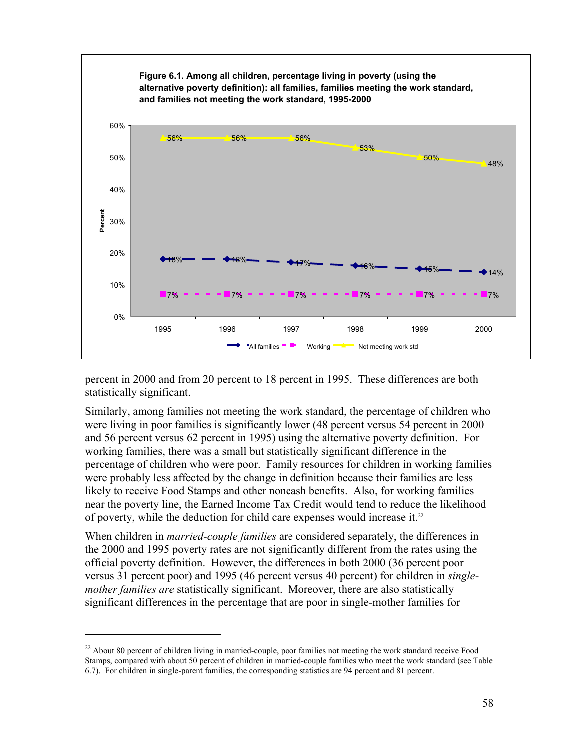

percent in 2000 and from 20 percent to 18 percent in 1995. These differences are both statistically significant.

Similarly, among families not meeting the work standard, the percentage of children who were living in poor families is significantly lower (48 percent versus 54 percent in 2000 and 56 percent versus 62 percent in 1995) using the alternative poverty definition. For working families, there was a small but statistically significant difference in the percentage of children who were poor. Family resources for children in working families were probably less affected by the change in definition because their families are less likely to receive Food Stamps and other noncash benefits. Also, for working families near the poverty line, the Earned Income Tax Credit would tend to reduce the likelihood of poverty, while the deduction for child care expenses would increase it.22

When children in *married-couple families* are considered separately, the differences in the 2000 and 1995 poverty rates are not significantly different from the rates using the official poverty definition. However, the differences in both 2000 (36 percent poor versus 31 percent poor) and 1995 (46 percent versus 40 percent) for children in *singlemother families are* statistically significant. Moreover, there are also statistically significant differences in the percentage that are poor in single-mother families for

1

 $22$  About 80 percent of children living in married-couple, poor families not meeting the work standard receive Food Stamps, compared with about 50 percent of children in married-couple families who meet the work standard (see Table 6.7). For children in single-parent families, the corresponding statistics are 94 percent and 81 percent.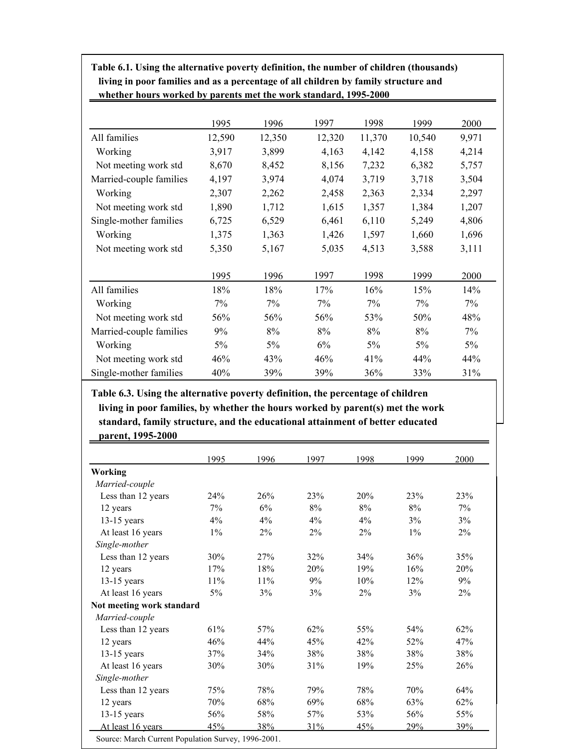| whether hours worked by parents met the work standard, 1995-2000 |        |        |        |        |        |       |  |
|------------------------------------------------------------------|--------|--------|--------|--------|--------|-------|--|
|                                                                  |        |        |        |        |        |       |  |
|                                                                  | 1995   | 1996   | 1997   | 1998   | 1999   | 2000  |  |
| All families                                                     | 12,590 | 12,350 | 12,320 | 11,370 | 10,540 | 9,971 |  |
| Working                                                          | 3,917  | 3,899  | 4,163  | 4,142  | 4,158  | 4,214 |  |
| Not meeting work std                                             | 8,670  | 8,452  | 8,156  | 7,232  | 6,382  | 5,757 |  |
| Married-couple families                                          | 4,197  | 3,974  | 4,074  | 3,719  | 3,718  | 3,504 |  |
| Working                                                          | 2,307  | 2,262  | 2,458  | 2,363  | 2,334  | 2,297 |  |
| Not meeting work std                                             | 1,890  | 1,712  | 1,615  | 1,357  | 1,384  | 1,207 |  |
| Single-mother families                                           | 6,725  | 6,529  | 6,461  | 6,110  | 5,249  | 4,806 |  |
| Working                                                          | 1,375  | 1,363  | 1,426  | 1,597  | 1,660  | 1,696 |  |
| Not meeting work std                                             | 5,350  | 5,167  | 5,035  | 4,513  | 3,588  | 3,111 |  |
|                                                                  | 1995   | 1996   | 1997   | 1998   | 1999   | 2000  |  |
| All families                                                     | 18%    | 18%    | 17%    | 16%    | 15%    | 14%   |  |
| Working                                                          | 7%     | 7%     | 7%     | 7%     | 7%     | 7%    |  |
| Not meeting work std                                             | 56%    | 56%    | 56%    | 53%    | 50%    | 48%   |  |
| Married-couple families                                          | 9%     | 8%     | 8%     | 8%     | 8%     | 7%    |  |
| Working                                                          | 5%     | 5%     | 6%     | $5\%$  | 5%     | $5\%$ |  |
| Not meeting work std                                             | 46%    | 43%    | 46%    | 41%    | 44%    | 44%   |  |
| Single-mother families                                           | 40%    | 39%    | 39%    | 36%    | 33%    | 31%   |  |

children in both working the anternative powerly demnition, the namely of emilie children in families and living in poor families and as a percentage of all children by family structure and<br>ruledly have musical by nameta wet the weak standard, 1995-2000. **Table 6.1. Using the alternative poverty definition, the number of children (thousands)** 

Table 6.3. Using the alternative poverty definition, the percentage of children  $N_{\rm tot} \sim 10^{-10}$  meeting work states for  $\sim 10^{-10}$  meeting work states for  $\sim 10^{-10}$ living in poor families, by whether the hours worked by parent(s) met the work **standard, family structure, and the educational attainment of better educated parent, 1995-2000**

|                           | 1995  | 1996   | 1997  | 1998  | 1999  | 2000 |
|---------------------------|-------|--------|-------|-------|-------|------|
| Working                   |       |        |       |       |       |      |
| Married-couple            |       |        |       |       |       |      |
| Less than 12 years        | 24%   | 26%    | 23%   | 20%   | 23%   | 23%  |
| 12 years                  | $7\%$ | 6%     | 8%    | $8\%$ | $8\%$ | 7%   |
| $13-15$ years             | 4%    | $4\%$  | $4\%$ | 4%    | 3%    | 3%   |
| At least 16 years         | $1\%$ | $2\%$  | $2\%$ | 2%    | $1\%$ | 2%   |
| Single-mother             |       |        |       |       |       |      |
| Less than 12 years        | 30%   | 27%    | 32%   | 34%   | 36%   | 35%  |
| 12 years                  | 17%   | 18%    | 20%   | 19%   | 16%   | 20%  |
| $13-15$ years             | 11%   | $11\%$ | 9%    | 10%   | 12%   | 9%   |
| At least 16 years         | $5\%$ | 3%     | 3%    | 2%    | 3%    | 2%   |
| Not meeting work standard |       |        |       |       |       |      |
| Married-couple            |       |        |       |       |       |      |
| Less than 12 years        | 61%   | 57%    | 62%   | 55%   | 54%   | 62%  |
| 12 years                  | 46%   | 44%    | 45%   | 42%   | 52%   | 47%  |
| $13-15$ years             | 37%   | 34%    | 38%   | 38%   | 38%   | 38%  |
| At least 16 years         | 30%   | 30%    | 31%   | 19%   | 25%   | 26%  |
| Single-mother             |       |        |       |       |       |      |
| Less than 12 years        | 75%   | 78%    | 79%   | 78%   | 70%   | 64%  |
| 12 years                  | 70%   | 68%    | 69%   | 68%   | 63%   | 62%  |
| $13-15$ years             | 56%   | 58%    | 57%   | 53%   | 56%   | 55%  |
| At least 16 years         | 45%   | 38%    | 31%   | 45%   | 29%   | 39%  |

Source: March Current Population Survey, 1996-2001.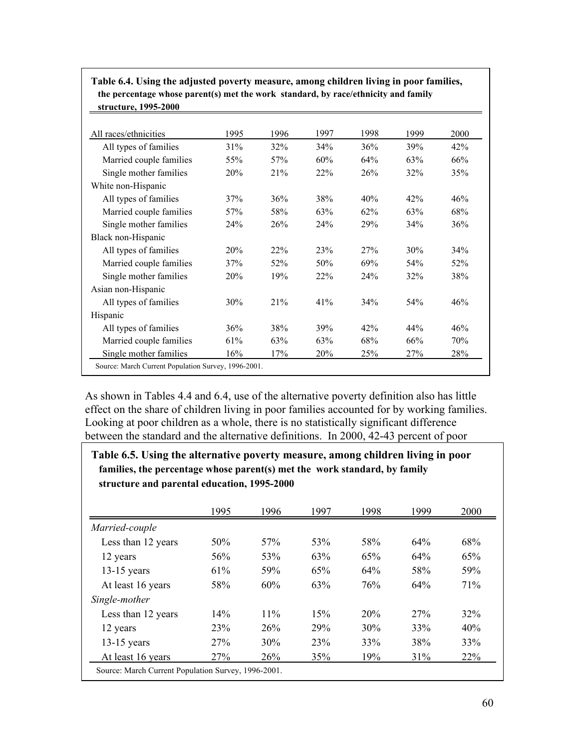| All races/ethnicities   | 1995            | 1996 | 1997 | 1998 | 1999 | 2000 |
|-------------------------|-----------------|------|------|------|------|------|
| All types of families   | 31%             | 32%  | 34%  | 36%  | 39%  | 42%  |
| Married couple families | 55%             | 57%  | 60%  | 64%  | 63%  | 66%  |
| Single mother families  | <b>20%</b>      | 21%  | 22%  | 26%  | 32%  | 35%  |
| White non-Hispanic      |                 |      |      |      |      |      |
| All types of families   | 37%             | 36%  | 38%  | 40%  | 42%  | 46%  |
| Married couple families | 57%             | 58%  | 63%  | 62%  | 63%  | 68%  |
| Single mother families  | 24 <sup>%</sup> | 26%  | 24%  | 29%  | 34%  | 36%  |
| Black non-Hispanic      |                 |      |      |      |      |      |
| All types of families   | 20%             | 22%  | 23%  | 27%  | 30%  | 34%  |
| Married couple families | 37%             | 52%  | 50%  | 69%  | 54%  | 52%  |
| Single mother families  | 20%             | 19%  | 22%  | 24%  | 32%  | 38%  |
| Asian non-Hispanic      |                 |      |      |      |      |      |
| All types of families   | $30\%$          | 21%  | 41%  | 34%  | 54%  | 46%  |
| Hispanic                |                 |      |      |      |      |      |
| All types of families   | 36%             | 38%  | 39%  | 42%  | 44%  | 46%  |
| Married couple families | 61%             | 63%  | 63%  | 68%  | 66%  | 70%  |
| Single mother families  | 16%             | 17%  | 20%  | 25%  | 27%  | 28%  |

**Table 6.4. Using the adjusted poverty measure, among children living in poor families, the percentage whose parent(s) met the work standard, by race/ethnicity and family structure, 1995-2000**

As shown in Tables 4.4 and 6.4, use of the alternative poverty definition also has little effect on the share of children living in poor families accounted for by working families. Looking at poor children as a whole, there is no statistically significant difference between the standard and the alternative definitions. In 2000, 42-43 percent of poor

**Table 6.5. Using the alternative poverty measure, among children living in poor families, the percentage whose parent(s) met the work standard, by family structure and parental education, 1995-2000**

|                                                     | 1995 | 1996            | 1997 | 1998 | 1999 | 2000       |
|-----------------------------------------------------|------|-----------------|------|------|------|------------|
| Married-couple                                      |      |                 |      |      |      |            |
| Less than 12 years                                  | 50%  | 57 <sub>%</sub> | 53%  | 58%  | 64%  | 68%        |
| 12 years                                            | 56%  | 53%             | 63%  | 65%  | 64%  | 65%        |
| $13-15$ years                                       | 61%  | 59%             | 65%  | 64%  | 58%  | 59%        |
| At least 16 years                                   | 58%  | 60%             | 63%  | 76%  | 64%  | 71%        |
| Single-mother                                       |      |                 |      |      |      |            |
| Less than 12 years                                  | 14%  | 11%             | 15%  | 20%  | 27%  | 32%        |
| 12 years                                            | 23%  | 26%             | 29%  | 30%  | 33%  | 40%        |
| $13-15$ years                                       | 27%  | 30%             | 23%  | 33%  | 38%  | 33%        |
| At least 16 years                                   | 27%  | 26%             | 35%  | 19%  | 31%  | <b>22%</b> |
| Source: March Current Population Survey, 1996-2001. |      |                 |      |      |      |            |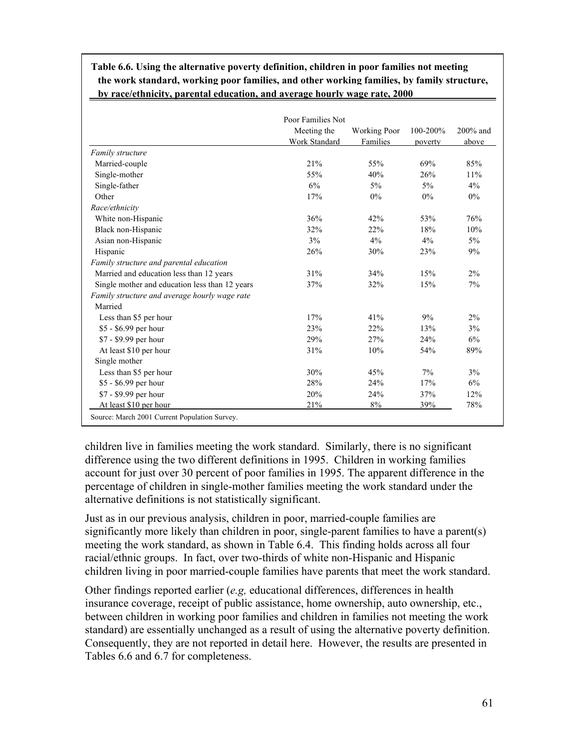|                                                | Poor Families Not<br>Meeting the | <b>Working Poor</b> | 100-200% | 200% and |
|------------------------------------------------|----------------------------------|---------------------|----------|----------|
|                                                | <b>Work Standard</b>             | Families            | poverty  | above    |
| Family structure                               |                                  |                     |          |          |
| Married-couple                                 | 21%                              | 55%                 | 69%      | 85%      |
| Single-mother                                  | 55%                              | 40%                 | 26%      | 11%      |
| Single-father                                  | 6%                               | 5%                  | $5\%$    | $4\%$    |
| Other                                          | 17%                              | $0\%$               | $0\%$    | $0\%$    |
| Race/ethnicity                                 |                                  |                     |          |          |
| White non-Hispanic                             | 36%                              | 42%                 | 53%      | 76%      |
| Black non-Hispanic                             | 32%                              | 22%                 | 18%      | 10%      |
| Asian non-Hispanic                             | 3%                               | $4\%$               | $4\%$    | $5\%$    |
| Hispanic                                       | 26%                              | 30%                 | 23%      | 9%       |
| Family structure and parental education        |                                  |                     |          |          |
| Married and education less than 12 years       | 31%                              | 34%                 | 15%      | $2\%$    |
| Single mother and education less than 12 years | 37%                              | 32%                 | 15%      | 7%       |
| Family structure and average hourly wage rate  |                                  |                     |          |          |
| Married                                        |                                  |                     |          |          |
| Less than \$5 per hour                         | 17%                              | 41%                 | 9%       | $2\%$    |
| \$5 - \$6.99 per hour                          | 23%                              | 22%                 | 13%      | 3%       |
| \$7 - \$9.99 per hour                          | 29%                              | 27%                 | 24%      | 6%       |
| At least \$10 per hour                         | 31%                              | 10%                 | 54%      | 89%      |
| Single mother                                  |                                  |                     |          |          |
| Less than \$5 per hour                         | 30%                              | 45%                 | 7%       | 3%       |
| \$5 - \$6.99 per hour                          | 28%                              | 24%                 | 17%      | 6%       |
| \$7 - \$9.99 per hour                          | 20%                              | 24%                 | 37%      | 12%      |
| At least \$10 per hour                         | 21%                              | 8%                  | 39%      | 78%      |

**Table 6.6. Using the alternative poverty definition, children in poor families not meeting the work standard, working poor families, and other working families, by family structure, by race/ethnicity, parental education, and average hourly wage rate, 2000**

Source: March 2001 Current Population Survey.

children live in families meeting the work standard. Similarly, there is no significant difference using the two different definitions in 1995. Children in working families account for just over 30 percent of poor families in 1995. The apparent difference in the percentage of children in single-mother families meeting the work standard under the alternative definitions is not statistically significant.

Just as in our previous analysis, children in poor, married-couple families are significantly more likely than children in poor, single-parent families to have a parent(s) meeting the work standard, as shown in Table 6.4. This finding holds across all four racial/ethnic groups. In fact, over two-thirds of white non-Hispanic and Hispanic children living in poor married-couple families have parents that meet the work standard.

Other findings reported earlier (*e.g,* educational differences, differences in health insurance coverage, receipt of public assistance, home ownership, auto ownership, etc., between children in working poor families and children in families not meeting the work standard) are essentially unchanged as a result of using the alternative poverty definition. Consequently, they are not reported in detail here. However, the results are presented in Tables 6.6 and 6.7 for completeness.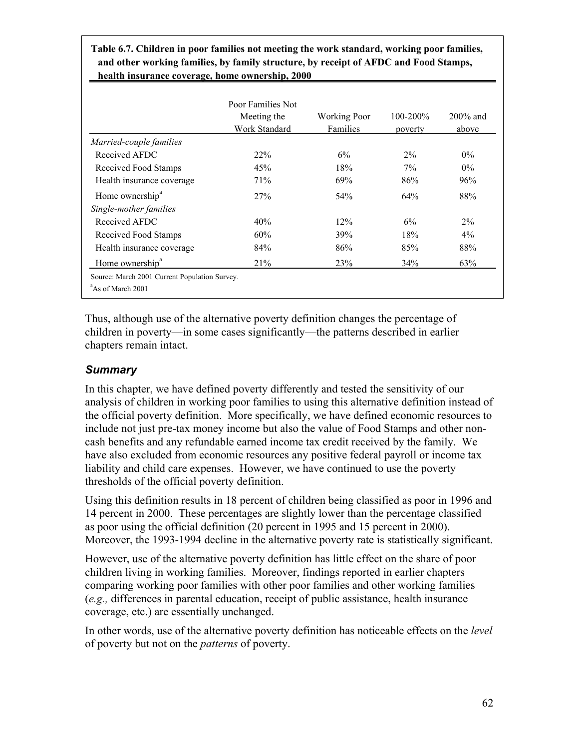**Table 6.7. Children in poor families not meeting the work standard, working poor families, and other working families, by family structure, by receipt of AFDC and Food Stamps, health insurance coverage, home ownership, 2000**

|                             | Poor Families Not<br>Meeting the<br>Work Standard | <b>Working Poor</b><br>Families | $100 - 200\%$<br>poverty | $200\%$ and<br>above |
|-----------------------------|---------------------------------------------------|---------------------------------|--------------------------|----------------------|
| Married-couple families     |                                                   |                                 |                          |                      |
| Received AFDC               | 22%                                               | 6%                              | $2\%$                    | $0\%$                |
| Received Food Stamps        | 45%                                               | 18%                             | $7\%$                    | $0\%$                |
| Health insurance coverage   | 71%                                               | 69%                             | 86%                      | 96%                  |
| Home ownership <sup>a</sup> | <b>27%</b>                                        | 54%                             | 64%                      | 88%                  |
| Single-mother families      |                                                   |                                 |                          |                      |
| Received AFDC               | 40%                                               | 12%                             | 6%                       | $2\%$                |
| Received Food Stamps        | 60%                                               | 39%                             | 18%                      | $4\%$                |
| Health insurance coverage   | 84%                                               | 86%                             | 85%                      | 88%                  |
| Home ownership <sup>a</sup> | 21%                                               | 23 <sup>%</sup>                 | 34%                      | 63%                  |

Thus, although use of the alternative poverty definition changes the percentage of children in poverty—in some cases significantly—the patterns described in earlier chapters remain intact.

## *Summary*

I

In this chapter, we have defined poverty differently and tested the sensitivity of our analysis of children in working poor families to using this alternative definition instead of the official poverty definition. More specifically, we have defined economic resources to include not just pre-tax money income but also the value of Food Stamps and other noncash benefits and any refundable earned income tax credit received by the family. We have also excluded from economic resources any positive federal payroll or income tax liability and child care expenses. However, we have continued to use the poverty thresholds of the official poverty definition.

Using this definition results in 18 percent of children being classified as poor in 1996 and 14 percent in 2000. These percentages are slightly lower than the percentage classified as poor using the official definition (20 percent in 1995 and 15 percent in 2000). Moreover, the 1993-1994 decline in the alternative poverty rate is statistically significant.

However, use of the alternative poverty definition has little effect on the share of poor children living in working families. Moreover, findings reported in earlier chapters comparing working poor families with other poor families and other working families (*e.g.,* differences in parental education, receipt of public assistance, health insurance coverage, etc.) are essentially unchanged.

In other words, use of the alternative poverty definition has noticeable effects on the *level* of poverty but not on the *patterns* of poverty.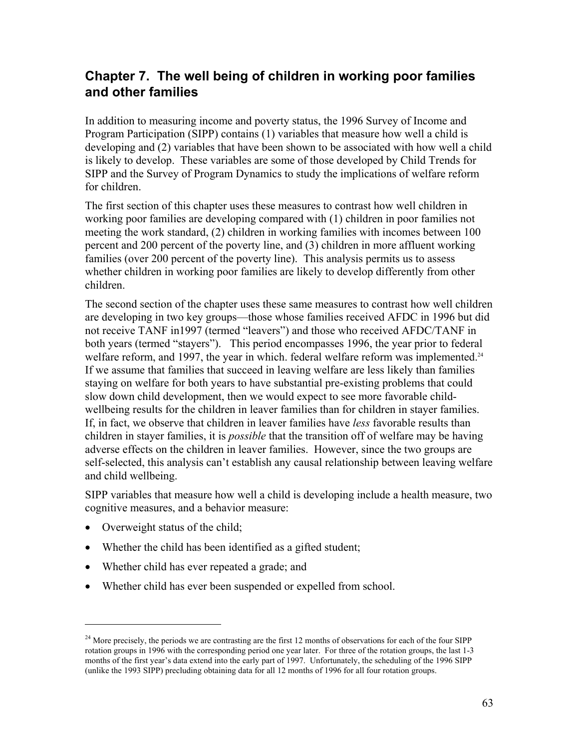# **Chapter 7. The well being of children in working poor families and other families**

In addition to measuring income and poverty status, the 1996 Survey of Income and Program Participation (SIPP) contains (1) variables that measure how well a child is developing and (2) variables that have been shown to be associated with how well a child is likely to develop. These variables are some of those developed by Child Trends for SIPP and the Survey of Program Dynamics to study the implications of welfare reform for children.

The first section of this chapter uses these measures to contrast how well children in working poor families are developing compared with (1) children in poor families not meeting the work standard, (2) children in working families with incomes between 100 percent and 200 percent of the poverty line, and (3) children in more affluent working families (over 200 percent of the poverty line). This analysis permits us to assess whether children in working poor families are likely to develop differently from other children.

The second section of the chapter uses these same measures to contrast how well children are developing in two key groups—those whose families received AFDC in 1996 but did not receive TANF in1997 (termed "leavers") and those who received AFDC/TANF in both years (termed "stayers"). This period encompasses 1996, the year prior to federal welfare reform, and 1997, the year in which. federal welfare reform was implemented.<sup>24</sup> If we assume that families that succeed in leaving welfare are less likely than families staying on welfare for both years to have substantial pre-existing problems that could slow down child development, then we would expect to see more favorable childwellbeing results for the children in leaver families than for children in stayer families. If, in fact, we observe that children in leaver families have *less* favorable results than children in stayer families, it is *possible* that the transition off of welfare may be having adverse effects on the children in leaver families. However, since the two groups are self-selected, this analysis can't establish any causal relationship between leaving welfare and child wellbeing.

SIPP variables that measure how well a child is developing include a health measure, two cognitive measures, and a behavior measure:

• Overweight status of the child;

 $\overline{a}$ 

- Whether the child has been identified as a gifted student;
- Whether child has ever repeated a grade; and
- Whether child has ever been suspended or expelled from school.

 $^{24}$  More precisely, the periods we are contrasting are the first 12 months of observations for each of the four SIPP rotation groups in 1996 with the corresponding period one year later. For three of the rotation groups, the last 1-3 months of the first year's data extend into the early part of 1997. Unfortunately, the scheduling of the 1996 SIPP (unlike the 1993 SIPP) precluding obtaining data for all 12 months of 1996 for all four rotation groups.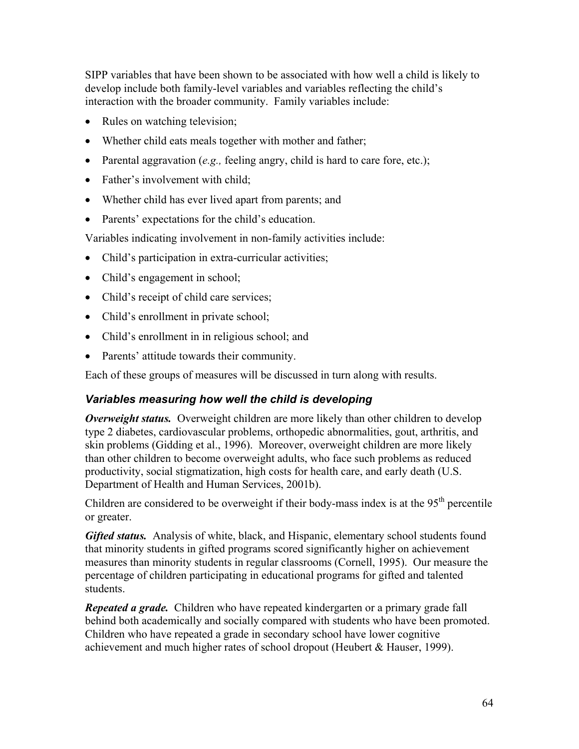SIPP variables that have been shown to be associated with how well a child is likely to develop include both family-level variables and variables reflecting the child's interaction with the broader community. Family variables include:

- Rules on watching television;
- Whether child eats meals together with mother and father;
- Parental aggravation (*e.g.,* feeling angry, child is hard to care fore, etc.);
- Father's involvement with child:
- Whether child has ever lived apart from parents; and
- Parents' expectations for the child's education.

Variables indicating involvement in non-family activities include:

- Child's participation in extra-curricular activities;
- Child's engagement in school;
- Child's receipt of child care services;
- Child's enrollment in private school;
- Child's enrollment in in religious school; and
- Parents' attitude towards their community.

Each of these groups of measures will be discussed in turn along with results.

## *Variables measuring how well the child is developing*

*Overweight status.* Overweight children are more likely than other children to develop type 2 diabetes, cardiovascular problems, orthopedic abnormalities, gout, arthritis, and skin problems (Gidding et al., 1996). Moreover, overweight children are more likely than other children to become overweight adults, who face such problems as reduced productivity, social stigmatization, high costs for health care, and early death (U.S. Department of Health and Human Services, 2001b).

Children are considered to be overweight if their body-mass index is at the  $95<sup>th</sup>$  percentile or greater.

*Gifted status.* Analysis of white, black, and Hispanic, elementary school students found that minority students in gifted programs scored significantly higher on achievement measures than minority students in regular classrooms (Cornell, 1995). Our measure the percentage of children participating in educational programs for gifted and talented students.

*Repeated a grade.* Children who have repeated kindergarten or a primary grade fall behind both academically and socially compared with students who have been promoted. Children who have repeated a grade in secondary school have lower cognitive achievement and much higher rates of school dropout (Heubert & Hauser, 1999).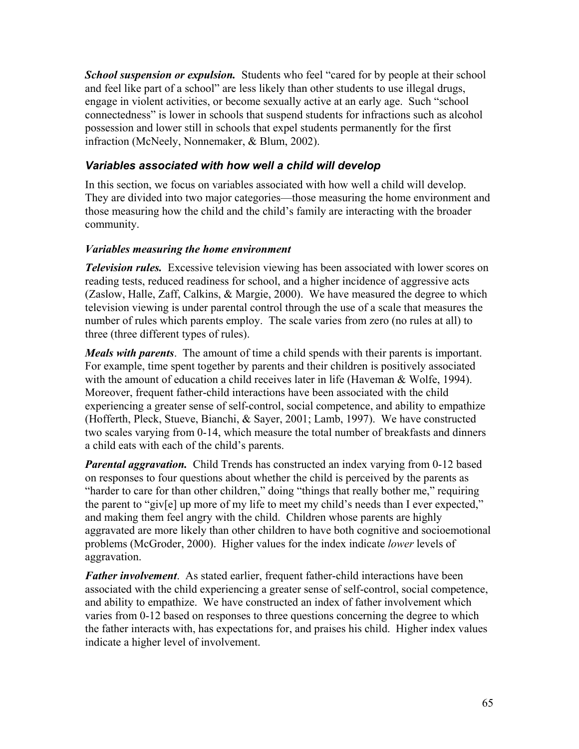*School suspension or expulsion.* Students who feel "cared for by people at their school and feel like part of a school" are less likely than other students to use illegal drugs, engage in violent activities, or become sexually active at an early age. Such "school connectedness" is lower in schools that suspend students for infractions such as alcohol possession and lower still in schools that expel students permanently for the first infraction (McNeely, Nonnemaker, & Blum, 2002).

## *Variables associated with how well a child will develop*

In this section, we focus on variables associated with how well a child will develop. They are divided into two major categories—those measuring the home environment and those measuring how the child and the child's family are interacting with the broader community.

### *Variables measuring the home environment*

*Television rules.* Excessive television viewing has been associated with lower scores on reading tests, reduced readiness for school, and a higher incidence of aggressive acts (Zaslow, Halle, Zaff, Calkins, & Margie, 2000). We have measured the degree to which television viewing is under parental control through the use of a scale that measures the number of rules which parents employ. The scale varies from zero (no rules at all) to three (three different types of rules).

*Meals with parents*. The amount of time a child spends with their parents is important. For example, time spent together by parents and their children is positively associated with the amount of education a child receives later in life (Haveman & Wolfe, 1994). Moreover, frequent father-child interactions have been associated with the child experiencing a greater sense of self-control, social competence, and ability to empathize (Hofferth, Pleck, Stueve, Bianchi, & Sayer, 2001; Lamb, 1997). We have constructed two scales varying from 0-14, which measure the total number of breakfasts and dinners a child eats with each of the child's parents.

*Parental aggravation.* Child Trends has constructed an index varying from 0-12 based on responses to four questions about whether the child is perceived by the parents as "harder to care for than other children," doing "things that really bother me," requiring the parent to "giv[e] up more of my life to meet my child's needs than I ever expected," and making them feel angry with the child. Children whose parents are highly aggravated are more likely than other children to have both cognitive and socioemotional problems (McGroder, 2000). Higher values for the index indicate *lower* levels of aggravation.

*Father involvement*. As stated earlier, frequent father-child interactions have been associated with the child experiencing a greater sense of self-control, social competence, and ability to empathize. We have constructed an index of father involvement which varies from 0-12 based on responses to three questions concerning the degree to which the father interacts with, has expectations for, and praises his child. Higher index values indicate a higher level of involvement.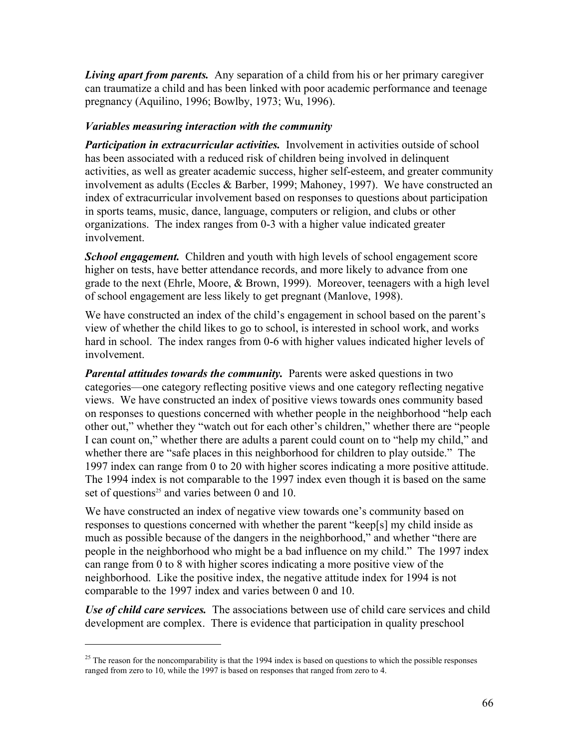*Living apart from parents.* Any separation of a child from his or her primary caregiver can traumatize a child and has been linked with poor academic performance and teenage pregnancy (Aquilino, 1996; Bowlby, 1973; Wu, 1996).

### *Variables measuring interaction with the community*

*Participation in extracurricular activities.* Involvement in activities outside of school has been associated with a reduced risk of children being involved in delinquent activities, as well as greater academic success, higher self-esteem, and greater community involvement as adults (Eccles & Barber, 1999; Mahoney, 1997). We have constructed an index of extracurricular involvement based on responses to questions about participation in sports teams, music, dance, language, computers or religion, and clubs or other organizations. The index ranges from 0-3 with a higher value indicated greater involvement.

*School engagement.* Children and youth with high levels of school engagement score higher on tests, have better attendance records, and more likely to advance from one grade to the next (Ehrle, Moore, & Brown, 1999). Moreover, teenagers with a high level of school engagement are less likely to get pregnant (Manlove, 1998).

We have constructed an index of the child's engagement in school based on the parent's view of whether the child likes to go to school, is interested in school work, and works hard in school. The index ranges from 0-6 with higher values indicated higher levels of involvement.

*Parental attitudes towards the community.* Parents were asked questions in two categories—one category reflecting positive views and one category reflecting negative views. We have constructed an index of positive views towards ones community based on responses to questions concerned with whether people in the neighborhood "help each other out," whether they "watch out for each other's children," whether there are "people I can count on," whether there are adults a parent could count on to "help my child," and whether there are "safe places in this neighborhood for children to play outside." The 1997 index can range from 0 to 20 with higher scores indicating a more positive attitude. The 1994 index is not comparable to the 1997 index even though it is based on the same set of questions<sup>25</sup> and varies between 0 and 10.

We have constructed an index of negative view towards one's community based on responses to questions concerned with whether the parent "keep[s] my child inside as much as possible because of the dangers in the neighborhood," and whether "there are people in the neighborhood who might be a bad influence on my child." The 1997 index can range from 0 to 8 with higher scores indicating a more positive view of the neighborhood. Like the positive index, the negative attitude index for 1994 is not comparable to the 1997 index and varies between 0 and 10.

*Use of child care services.* The associations between use of child care services and child development are complex. There is evidence that participation in quality preschool

1

<sup>&</sup>lt;sup>25</sup> The reason for the noncomparability is that the 1994 index is based on questions to which the possible responses ranged from zero to 10, while the 1997 is based on responses that ranged from zero to 4.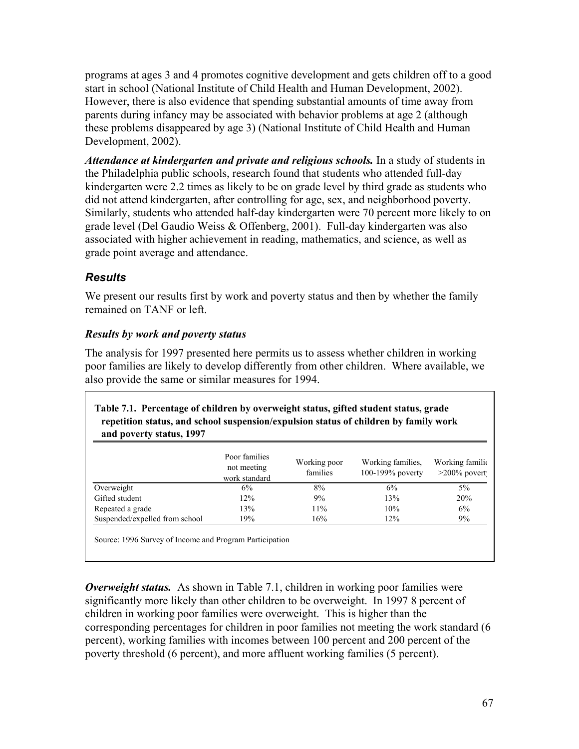programs at ages 3 and 4 promotes cognitive development and gets children off to a good start in school (National Institute of Child Health and Human Development, 2002). However, there is also evidence that spending substantial amounts of time away from parents during infancy may be associated with behavior problems at age 2 (although these problems disappeared by age 3) (National Institute of Child Health and Human Development, 2002).

*Attendance at kindergarten and private and religious schools.* In a study of students in the Philadelphia public schools, research found that students who attended full-day kindergarten were 2.2 times as likely to be on grade level by third grade as students who did not attend kindergarten, after controlling for age, sex, and neighborhood poverty. Similarly, students who attended half-day kindergarten were 70 percent more likely to on grade level (Del Gaudio Weiss & Offenberg, 2001). Full-day kindergarten was also associated with higher achievement in reading, mathematics, and science, as well as grade point average and attendance.

## *Results*

We present our results first by work and poverty status and then by whether the family remained on TANF or left.

## *Results by work and poverty status*

The analysis for 1997 presented here permits us to assess whether children in working poor families are likely to develop differently from other children. Where available, we also provide the same or similar measures for 1994.

| Table 7.1. Percentage of children by overweight status, gifted student status, grade<br>repetition status, and school suspension/expulsion status of children by family work<br>and poverty status, 1997 |                                               |                          |                                          |                                    |  |  |  |
|----------------------------------------------------------------------------------------------------------------------------------------------------------------------------------------------------------|-----------------------------------------------|--------------------------|------------------------------------------|------------------------------------|--|--|--|
|                                                                                                                                                                                                          | Poor families<br>not meeting<br>work standard | Working poor<br>families | Working families.<br>$100-199\%$ poverty | Working familic<br>$>200\%$ povert |  |  |  |
| Overweight                                                                                                                                                                                               | 6%                                            | 8%                       | 6%                                       | $5\%$                              |  |  |  |
| Gifted student                                                                                                                                                                                           | 12%                                           | 9%                       | 13%                                      | 20%                                |  |  |  |
| Repeated a grade                                                                                                                                                                                         | 13%                                           | 11%                      | 10%                                      | 6%                                 |  |  |  |
| Suspended/expelled from school                                                                                                                                                                           | 19%                                           | 16%                      | $12\%$                                   | $9\%$                              |  |  |  |

6 Survey of Income and Program Participation

*Overweight status.* As shown in Table 7.1, children in working poor families were significantly more likely than other children to be overweight. In 1997 8 percent of children in working poor families were overweight. This is higher than the corresponding percentages for children in poor families not meeting the work standard (6 percent), working families with incomes between 100 percent and 200 percent of the poverty threshold (6 percent), and more affluent working families (5 percent).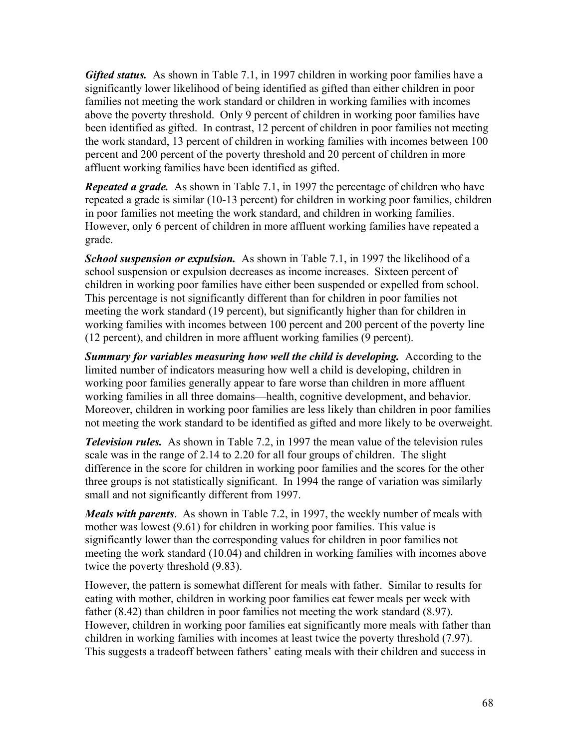*Gifted status.* As shown in Table 7.1, in 1997 children in working poor families have a significantly lower likelihood of being identified as gifted than either children in poor families not meeting the work standard or children in working families with incomes above the poverty threshold. Only 9 percent of children in working poor families have been identified as gifted. In contrast, 12 percent of children in poor families not meeting the work standard, 13 percent of children in working families with incomes between 100 percent and 200 percent of the poverty threshold and 20 percent of children in more affluent working families have been identified as gifted.

*Repeated a grade.* As shown in Table 7.1, in 1997 the percentage of children who have repeated a grade is similar (10-13 percent) for children in working poor families, children in poor families not meeting the work standard, and children in working families. However, only 6 percent of children in more affluent working families have repeated a grade.

*School suspension or expulsion.* As shown in Table 7.1, in 1997 the likelihood of a school suspension or expulsion decreases as income increases. Sixteen percent of children in working poor families have either been suspended or expelled from school. This percentage is not significantly different than for children in poor families not meeting the work standard (19 percent), but significantly higher than for children in working families with incomes between 100 percent and 200 percent of the poverty line (12 percent), and children in more affluent working families (9 percent).

**Summary for variables measuring how well the child is developing.** According to the limited number of indicators measuring how well a child is developing, children in working poor families generally appear to fare worse than children in more affluent working families in all three domains—health, cognitive development, and behavior. Moreover, children in working poor families are less likely than children in poor families not meeting the work standard to be identified as gifted and more likely to be overweight.

*Television rules.* As shown in Table 7.2, in 1997 the mean value of the television rules scale was in the range of 2.14 to 2.20 for all four groups of children. The slight difference in the score for children in working poor families and the scores for the other three groups is not statistically significant. In 1994 the range of variation was similarly small and not significantly different from 1997.

*Meals with parents*. As shown in Table 7.2, in 1997, the weekly number of meals with mother was lowest (9.61) for children in working poor families. This value is significantly lower than the corresponding values for children in poor families not meeting the work standard (10.04) and children in working families with incomes above twice the poverty threshold (9.83).

However, the pattern is somewhat different for meals with father. Similar to results for eating with mother, children in working poor families eat fewer meals per week with father (8.42) than children in poor families not meeting the work standard (8.97). However, children in working poor families eat significantly more meals with father than children in working families with incomes at least twice the poverty threshold (7.97). This suggests a tradeoff between fathers' eating meals with their children and success in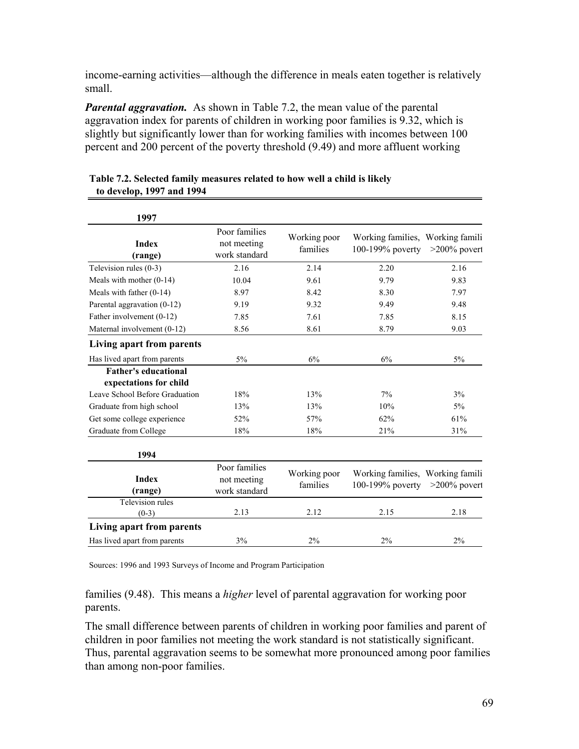income-earning activities—although the difference in meals eaten together is relatively small.

*Parental aggravation.* As shown in Table 7.2, the mean value of the parental aggravation index for parents of children in working poor families is 9.32, which is slightly but significantly lower than for working families with incomes between 100 percent and 200 percent of the poverty threshold (9.49) and more affluent working

| 1997                           |                                               |                          |                                                      |                 |
|--------------------------------|-----------------------------------------------|--------------------------|------------------------------------------------------|-----------------|
| <b>Index</b><br>(range)        | Poor families<br>not meeting<br>work standard | Working poor<br>families | Working families, Working famili<br>100-199% poverty | $>200\%$ povert |
| Television rules (0-3)         | 2.16                                          | 2.14                     | 2.20                                                 | 2.16            |
| Meals with mother $(0-14)$     | 10.04                                         | 9.61                     | 9.79                                                 | 9.83            |
| Meals with father $(0-14)$     | 8.97                                          | 8.42                     | 8.30                                                 | 7.97            |
| Parental aggravation (0-12)    | 9.19                                          | 9.32                     | 9.49                                                 | 9.48            |
| Father involvement (0-12)      | 7.85                                          | 7.61                     | 7.85                                                 | 8.15            |
| Maternal involvement (0-12)    | 8.56                                          | 8.61                     | 8.79                                                 | 9.03            |
| Living apart from parents      |                                               |                          |                                                      |                 |
| Has lived apart from parents   | $5\%$                                         | 6%                       | 6%                                                   | $5\%$           |
| <b>Father's educational</b>    |                                               |                          |                                                      |                 |
| expectations for child         |                                               |                          |                                                      |                 |
| Leave School Before Graduation | 18%                                           | 13%                      | 7%                                                   | 3%              |
| Graduate from high school      | 13%                                           | 13%                      | 10%                                                  | $5\%$           |
| Get some college experience    | 52%                                           | 57%                      | 62%                                                  | 61%             |
| Graduate from College          | 18%                                           | 18%                      | 21%                                                  | 31%             |
| 1994                           |                                               |                          |                                                      |                 |
| <b>Index</b><br>(range)        | Poor families<br>not meeting<br>work standard | Working poor<br>families | Working families, Working famili<br>100-199% poverty | $>200\%$ povert |
| Television rules               |                                               |                          |                                                      |                 |
| $(0-3)$                        | 2.13                                          | 2.12                     | 2.15                                                 | 2.18            |
| Living apart from parents      |                                               |                          |                                                      |                 |
| Has lived apart from parents   | 3%                                            | 2%                       | 2%                                                   | 2%              |

**Table 7.2. Selected family measures related to how well a child is likely to develop, 1997 and 1994**

Sources: 1996 and 1993 Surveys of Income and Program Participation

families (9.48). This means a *higher* level of parental aggravation for working poor parents.

The small difference between parents of children in working poor families and parent of children in poor families not meeting the work standard is not statistically significant. Thus, parental aggravation seems to be somewhat more pronounced among poor families than among non-poor families.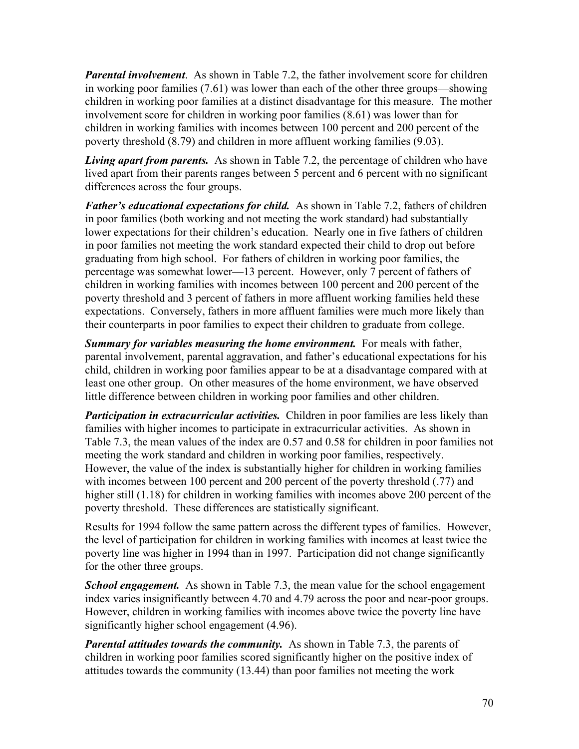*Parental involvement*. As shown in Table 7.2, the father involvement score for children in working poor families (7.61) was lower than each of the other three groups—showing children in working poor families at a distinct disadvantage for this measure. The mother involvement score for children in working poor families (8.61) was lower than for children in working families with incomes between 100 percent and 200 percent of the poverty threshold (8.79) and children in more affluent working families (9.03).

*Living apart from parents.* As shown in Table 7.2, the percentage of children who have lived apart from their parents ranges between 5 percent and 6 percent with no significant differences across the four groups.

*Father's educational expectations for child.* As shown in Table 7.2, fathers of children in poor families (both working and not meeting the work standard) had substantially lower expectations for their children's education. Nearly one in five fathers of children in poor families not meeting the work standard expected their child to drop out before graduating from high school. For fathers of children in working poor families, the percentage was somewhat lower—13 percent. However, only 7 percent of fathers of children in working families with incomes between 100 percent and 200 percent of the poverty threshold and 3 percent of fathers in more affluent working families held these expectations. Conversely, fathers in more affluent families were much more likely than their counterparts in poor families to expect their children to graduate from college.

*Summary for variables measuring the home environment.* For meals with father, parental involvement, parental aggravation, and father's educational expectations for his child, children in working poor families appear to be at a disadvantage compared with at least one other group. On other measures of the home environment, we have observed little difference between children in working poor families and other children.

*Participation in extracurricular activities.* Children in poor families are less likely than families with higher incomes to participate in extracurricular activities. As shown in Table 7.3, the mean values of the index are 0.57 and 0.58 for children in poor families not meeting the work standard and children in working poor families, respectively. However, the value of the index is substantially higher for children in working families with incomes between 100 percent and 200 percent of the poverty threshold (.77) and higher still (1.18) for children in working families with incomes above 200 percent of the poverty threshold. These differences are statistically significant.

Results for 1994 follow the same pattern across the different types of families. However, the level of participation for children in working families with incomes at least twice the poverty line was higher in 1994 than in 1997. Participation did not change significantly for the other three groups.

**School engagement.** As shown in Table 7.3, the mean value for the school engagement index varies insignificantly between 4.70 and 4.79 across the poor and near-poor groups. However, children in working families with incomes above twice the poverty line have significantly higher school engagement (4.96).

*Parental attitudes towards the community.* As shown in Table 7.3, the parents of children in working poor families scored significantly higher on the positive index of attitudes towards the community (13.44) than poor families not meeting the work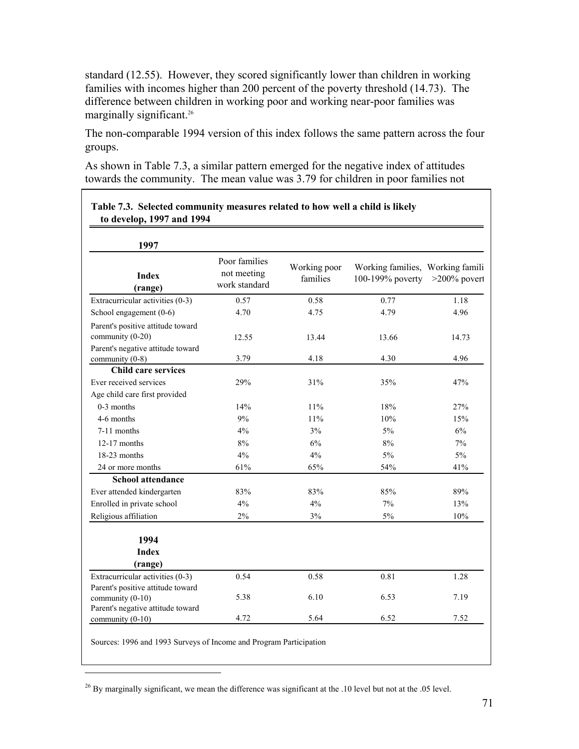standard (12.55). However, they scored significantly lower than children in working families with incomes higher than 200 percent of the poverty threshold (14.73). The difference between children in working poor and working near-poor families was marginally significant.<sup>26</sup>

The non-comparable 1994 version of this index follows the same pattern across the four groups.

As shown in Table 7.3, a similar pattern emerged for the negative index of attitudes towards the community. The mean value was 3.79 for children in poor families not

| 1997                                                  |                                               |                          |                                                      |                 |
|-------------------------------------------------------|-----------------------------------------------|--------------------------|------------------------------------------------------|-----------------|
| <b>Index</b><br>(range)                               | Poor families<br>not meeting<br>work standard | Working poor<br>families | Working families, Working famili<br>100-199% poverty | $>200\%$ povert |
| Extracurricular activities (0-3)                      | 0.57                                          | 0.58                     | 0.77                                                 | 1.18            |
| School engagement (0-6)                               | 4.70                                          | 4.75                     | 4.79                                                 | 4.96            |
| Parent's positive attitude toward<br>community (0-20) | 12.55                                         | 13.44                    | 13.66                                                | 14.73           |
| Parent's negative attitude toward                     | 3.79                                          |                          | 4.30                                                 | 4.96            |
| community (0-8)<br><b>Child care services</b>         |                                               | 4.18                     |                                                      |                 |
| Ever received services                                | 29%                                           | 31%                      | 35%                                                  | 47%             |
| Age child care first provided                         |                                               |                          |                                                      |                 |
| 0-3 months                                            | 14%                                           | 11%                      | 18%                                                  | 27%             |
| 4-6 months                                            | 9%                                            | 11%                      | 10%                                                  | 15%             |
| 7-11 months                                           | $4\%$                                         | 3%                       | 5%                                                   | 6%              |
| $12-17$ months                                        | $8\%$                                         | 6%                       | $8\%$                                                | 7%              |
| 18-23 months                                          | 4%                                            | 4%                       | 5%                                                   | 5%              |
| 24 or more months                                     | 61%                                           | 65%                      | 54%                                                  | 41%             |
| <b>School attendance</b>                              |                                               |                          |                                                      |                 |
| Ever attended kindergarten                            | 83%                                           | 83%                      | 85%                                                  | 89%             |
| Enrolled in private school                            | 4%                                            | 4%                       | $7\%$                                                | 13%             |
| Religious affiliation                                 | 2%                                            | 3%                       | 5%                                                   | 10%             |
|                                                       |                                               |                          |                                                      |                 |
| 1994                                                  |                                               |                          |                                                      |                 |
| <b>Index</b>                                          |                                               |                          |                                                      |                 |
| (range)                                               |                                               |                          |                                                      |                 |
| Extracurricular activities (0-3)                      | 0.54                                          | 0.58                     | 0.81                                                 | 1.28            |
| Parent's positive attitude toward                     |                                               |                          |                                                      |                 |
| community (0-10)                                      | 5.38                                          | 6.10                     | 6.53                                                 | 7.19            |
| Parent's negative attitude toward<br>community (0-10) | 4.72                                          | 5.64                     | 6.52                                                 | 7.52            |

# **Table 7.3. Selected community measures related to how well a child is likely**

<sup>26</sup> By marginally significant, we mean the difference was significant at the .10 level but not at the .05 level.

<u>.</u>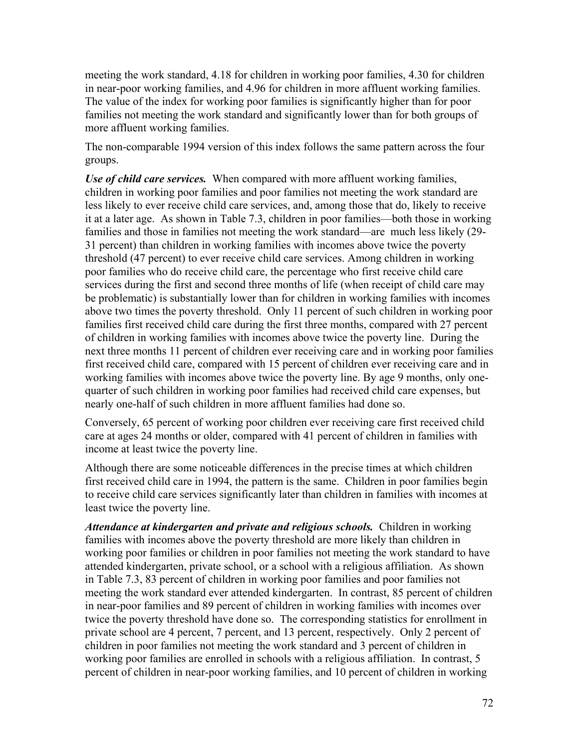meeting the work standard, 4.18 for children in working poor families, 4.30 for children in near-poor working families, and 4.96 for children in more affluent working families. The value of the index for working poor families is significantly higher than for poor families not meeting the work standard and significantly lower than for both groups of more affluent working families.

The non-comparable 1994 version of this index follows the same pattern across the four groups.

*Use of child care services.* When compared with more affluent working families, children in working poor families and poor families not meeting the work standard are less likely to ever receive child care services, and, among those that do, likely to receive it at a later age. As shown in Table 7.3, children in poor families—both those in working families and those in families not meeting the work standard—are much less likely (29- 31 percent) than children in working families with incomes above twice the poverty threshold (47 percent) to ever receive child care services. Among children in working poor families who do receive child care, the percentage who first receive child care services during the first and second three months of life (when receipt of child care may be problematic) is substantially lower than for children in working families with incomes above two times the poverty threshold. Only 11 percent of such children in working poor families first received child care during the first three months, compared with 27 percent of children in working families with incomes above twice the poverty line. During the next three months 11 percent of children ever receiving care and in working poor families first received child care, compared with 15 percent of children ever receiving care and in working families with incomes above twice the poverty line. By age 9 months, only onequarter of such children in working poor families had received child care expenses, but nearly one-half of such children in more affluent families had done so.

Conversely, 65 percent of working poor children ever receiving care first received child care at ages 24 months or older, compared with 41 percent of children in families with income at least twice the poverty line.

Although there are some noticeable differences in the precise times at which children first received child care in 1994, the pattern is the same. Children in poor families begin to receive child care services significantly later than children in families with incomes at least twice the poverty line.

*Attendance at kindergarten and private and religious schools.* Children in working families with incomes above the poverty threshold are more likely than children in working poor families or children in poor families not meeting the work standard to have attended kindergarten, private school, or a school with a religious affiliation. As shown in Table 7.3, 83 percent of children in working poor families and poor families not meeting the work standard ever attended kindergarten. In contrast, 85 percent of children in near-poor families and 89 percent of children in working families with incomes over twice the poverty threshold have done so. The corresponding statistics for enrollment in private school are 4 percent, 7 percent, and 13 percent, respectively. Only 2 percent of children in poor families not meeting the work standard and 3 percent of children in working poor families are enrolled in schools with a religious affiliation. In contrast, 5 percent of children in near-poor working families, and 10 percent of children in working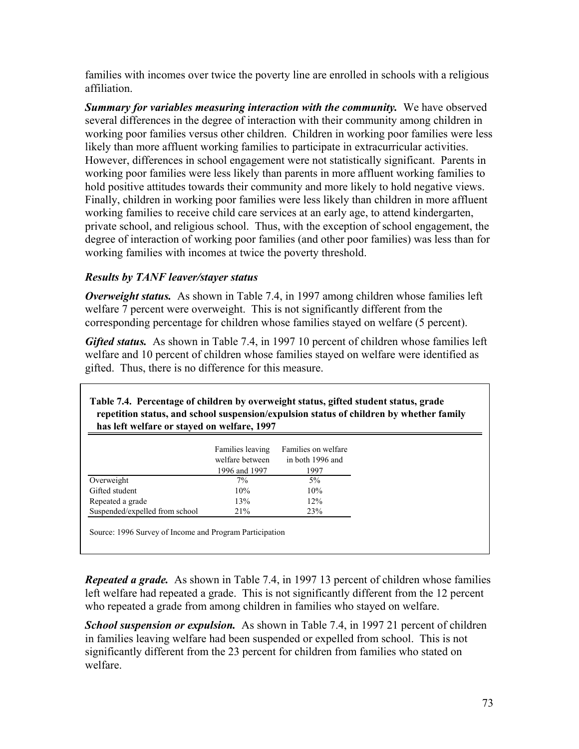families with incomes over twice the poverty line are enrolled in schools with a religious affiliation.

*Summary for variables measuring interaction with the community.* **We have observed** several differences in the degree of interaction with their community among children in working poor families versus other children. Children in working poor families were less likely than more affluent working families to participate in extracurricular activities. However, differences in school engagement were not statistically significant. Parents in working poor families were less likely than parents in more affluent working families to hold positive attitudes towards their community and more likely to hold negative views. Finally, children in working poor families were less likely than children in more affluent working families to receive child care services at an early age, to attend kindergarten, private school, and religious school. Thus, with the exception of school engagement, the degree of interaction of working poor families (and other poor families) was less than for working families with incomes at twice the poverty threshold.

## *Results by TANF leaver/stayer status*

*Overweight status.* As shown in Table 7.4, in 1997 among children whose families left welfare 7 percent were overweight. This is not significantly different from the corresponding percentage for children whose families stayed on welfare (5 percent).

*Gifted status.* As shown in Table 7.4, in 1997 10 percent of children whose families left welfare and 10 percent of children whose families stayed on welfare were identified as gifted. Thus, there is no difference for this measure.

| Table 7.4. Percentage of children by overweight status, gifted student status, grade<br>repetition status, and school suspension/expulsion status of children by whether family<br>has left welfare or stayed on welfare, 1997 |                                                      |                                                 |  |
|--------------------------------------------------------------------------------------------------------------------------------------------------------------------------------------------------------------------------------|------------------------------------------------------|-------------------------------------------------|--|
|                                                                                                                                                                                                                                | Families leaving<br>welfare between<br>1996 and 1997 | Families on welfare<br>in both 1996 and<br>1997 |  |
| Overweight                                                                                                                                                                                                                     | $7\%$                                                | 5%                                              |  |
| Gifted student                                                                                                                                                                                                                 | 10%                                                  | 10%                                             |  |
| Repeated a grade                                                                                                                                                                                                               | 13%                                                  | 12%                                             |  |
| Suspended/expelled from school                                                                                                                                                                                                 | 21%                                                  | 23%                                             |  |

*Repeated a grade.* As shown in Table 7.4, in 1997 13 percent of children whose families left welfare had repeated a grade. This is not significantly different from the 12 percent who repeated a grade from among children in families who stayed on welfare.

*School suspension or expulsion.* As shown in Table 7.4, in 1997 21 percent of children in families leaving welfare had been suspended or expelled from school. This is not significantly different from the 23 percent for children from families who stated on welfare.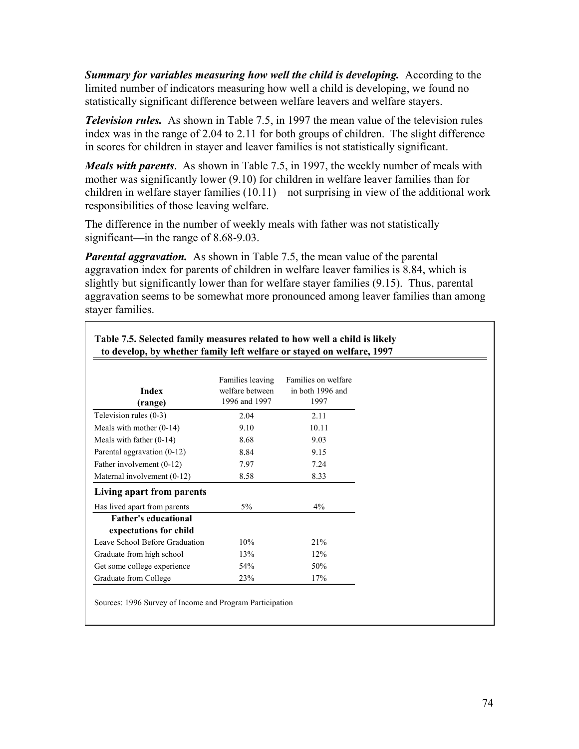*Summary for variables measuring how well the child is developing.* According to the limited number of indicators measuring how well a child is developing, we found no statistically significant difference between welfare leavers and welfare stayers.

*Television rules.* As shown in Table 7.5, in 1997 the mean value of the television rules index was in the range of 2.04 to 2.11 for both groups of children. The slight difference in scores for children in stayer and leaver families is not statistically significant.

*Meals with parents*. As shown in Table 7.5, in 1997, the weekly number of meals with mother was significantly lower (9.10) for children in welfare leaver families than for children in welfare stayer families (10.11)—not surprising in view of the additional work responsibilities of those leaving welfare.

The difference in the number of weekly meals with father was not statistically significant—in the range of 8.68-9.03.

*Parental aggravation.* As shown in Table 7.5, the mean value of the parental aggravation index for parents of children in welfare leaver families is 8.84, which is slightly but significantly lower than for welfare stayer families (9.15). Thus, parental aggravation seems to be somewhat more pronounced among leaver families than among stayer families.

| <b>Index</b><br>(range)                               | Families leaving<br>welfare between<br>1996 and 1997 | Families on welfare<br>in both 1996 and<br>1997 |
|-------------------------------------------------------|------------------------------------------------------|-------------------------------------------------|
| Television rules (0-3)                                | 2.04                                                 | 2.11                                            |
| Meals with mother $(0-14)$                            | 9.10                                                 | 10.11                                           |
| Meals with father $(0-14)$                            | 8.68                                                 | 9.03                                            |
| Parental aggravation (0-12)                           | 8.84                                                 | 9.15                                            |
| Father involvement (0-12)                             | 7.97                                                 | 7.24                                            |
| Maternal involvement (0-12)                           | 8.58                                                 | 8.33                                            |
| Living apart from parents                             |                                                      |                                                 |
| Has lived apart from parents                          | 5%                                                   | $4\%$                                           |
| <b>Father's educational</b><br>expectations for child |                                                      |                                                 |
| Leave School Before Graduation                        | 10%                                                  | 21%                                             |
| Graduate from high school                             | 13%                                                  | 12%                                             |
| Get some college experience                           | 54%                                                  | 50%                                             |
| Graduate from College                                 | 23%                                                  | 17%                                             |

Sources: 1996 Survey of Income and Program Participation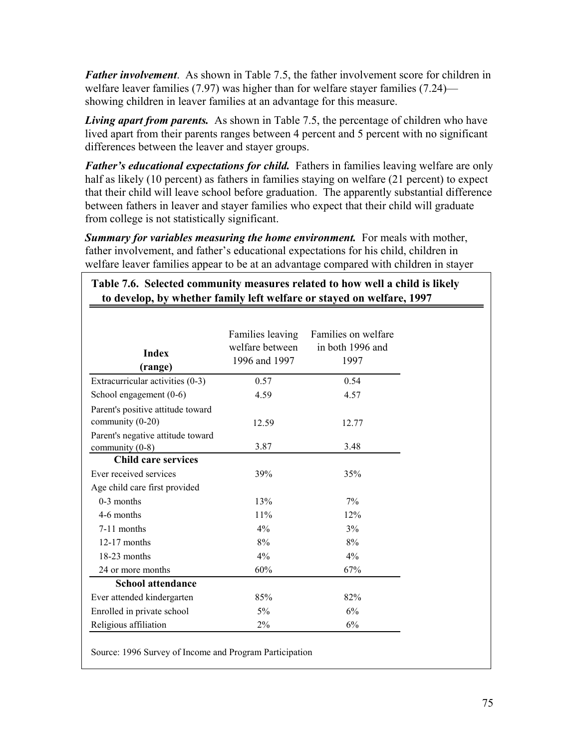*Father involvement*. As shown in Table 7.5, the father involvement score for children in welfare leaver families (7.97) was higher than for welfare stayer families (7.24) showing children in leaver families at an advantage for this measure.

*Living apart from parents.* As shown in Table 7.5, the percentage of children who have lived apart from their parents ranges between 4 percent and 5 percent with no significant differences between the leaver and stayer groups.

*Father's educational expectations for child.* Fathers in families leaving welfare are only half as likely (10 percent) as fathers in families staying on welfare (21 percent) to expect that their child will leave school before graduation. The apparently substantial difference between fathers in leaver and stayer families who expect that their child will graduate from college is not statistically significant.

*Summary for variables measuring the home environment.* For meals with mother, father involvement, and father's educational expectations for his child, children in welfare leaver families appear to be at an advantage compared with children in stayer

| <b>Index</b><br>(range)                               | Families leaving<br>welfare between<br>1996 and 1997 | Families on welfare<br>in both 1996 and<br>1997 |
|-------------------------------------------------------|------------------------------------------------------|-------------------------------------------------|
| Extracurricular activities (0-3)                      | 0.57                                                 | 0.54                                            |
| School engagement (0-6)                               | 4.59                                                 | 4.57                                            |
| Parent's positive attitude toward<br>community (0-20) | 12.59                                                | 12.77                                           |
| Parent's negative attitude toward<br>community (0-8)  | 3.87                                                 | 3.48                                            |
| <b>Child care services</b>                            |                                                      |                                                 |
| Ever received services                                | 39%                                                  | 35%                                             |
| Age child care first provided                         |                                                      |                                                 |
| $0-3$ months                                          | 13%                                                  | 7%                                              |
| 4-6 months                                            | 11%                                                  | 12%                                             |
| 7-11 months                                           | 4%                                                   | 3%                                              |
| $12-17$ months                                        | 8%                                                   | 8%                                              |
| 18-23 months                                          | 4%                                                   | 4%                                              |
| 24 or more months                                     | 60%                                                  | 67%                                             |
| <b>School attendance</b>                              |                                                      |                                                 |
| Ever attended kindergarten                            | 85%                                                  | 82%                                             |
| Enrolled in private school                            | $5\%$                                                | 6%                                              |
| Religious affiliation                                 | $2\%$                                                | 6%                                              |

**Table 7.6. Selected community measures related to how well a child is likely**

Source: 1996 Survey of Income and Program Participation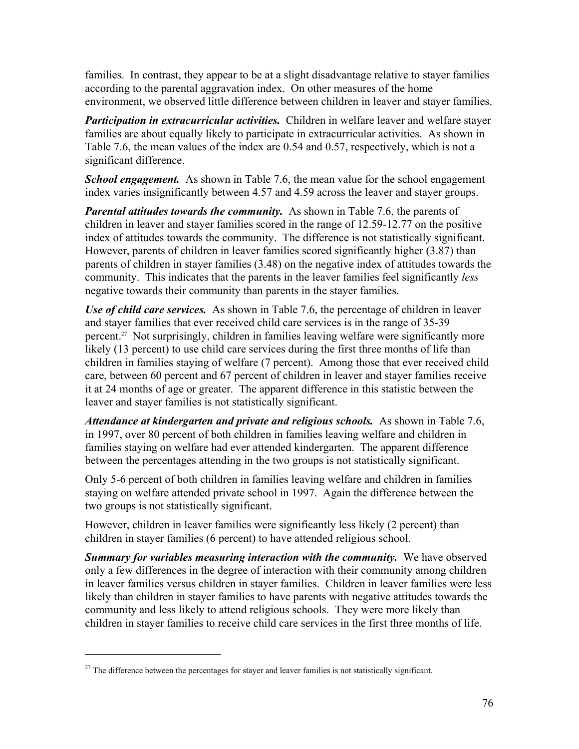families. In contrast, they appear to be at a slight disadvantage relative to stayer families according to the parental aggravation index. On other measures of the home environment, we observed little difference between children in leaver and stayer families.

*Participation in extracurricular activities.* Children in welfare leaver and welfare stayer families are about equally likely to participate in extracurricular activities. As shown in Table 7.6, the mean values of the index are 0.54 and 0.57, respectively, which is not a significant difference.

**School engagement.** As shown in Table 7.6, the mean value for the school engagement index varies insignificantly between 4.57 and 4.59 across the leaver and stayer groups.

*Parental attitudes towards the community.* As shown in Table 7.6, the parents of children in leaver and stayer families scored in the range of 12.59-12.77 on the positive index of attitudes towards the community. The difference is not statistically significant. However, parents of children in leaver families scored significantly higher (3.87) than parents of children in stayer families (3.48) on the negative index of attitudes towards the community. This indicates that the parents in the leaver families feel significantly *less* negative towards their community than parents in the stayer families.

*Use of child care services.* As shown in Table 7.6, the percentage of children in leaver and stayer families that ever received child care services is in the range of 35-39 percent.27 Not surprisingly, children in families leaving welfare were significantly more likely (13 percent) to use child care services during the first three months of life than children in families staying of welfare (7 percent). Among those that ever received child care, between 60 percent and 67 percent of children in leaver and stayer families receive it at 24 months of age or greater. The apparent difference in this statistic between the leaver and stayer families is not statistically significant.

*Attendance at kindergarten and private and religious schools.* As shown in Table 7.6, in 1997, over 80 percent of both children in families leaving welfare and children in families staying on welfare had ever attended kindergarten. The apparent difference between the percentages attending in the two groups is not statistically significant.

Only 5-6 percent of both children in families leaving welfare and children in families staying on welfare attended private school in 1997. Again the difference between the two groups is not statistically significant.

However, children in leaver families were significantly less likely (2 percent) than children in stayer families (6 percent) to have attended religious school.

**Summary for variables measuring interaction with the community.** We have observed only a few differences in the degree of interaction with their community among children in leaver families versus children in stayer families. Children in leaver families were less likely than children in stayer families to have parents with negative attitudes towards the community and less likely to attend religious schools. They were more likely than children in stayer families to receive child care services in the first three months of life.

1

 $27$  The difference between the percentages for stayer and leaver families is not statistically significant.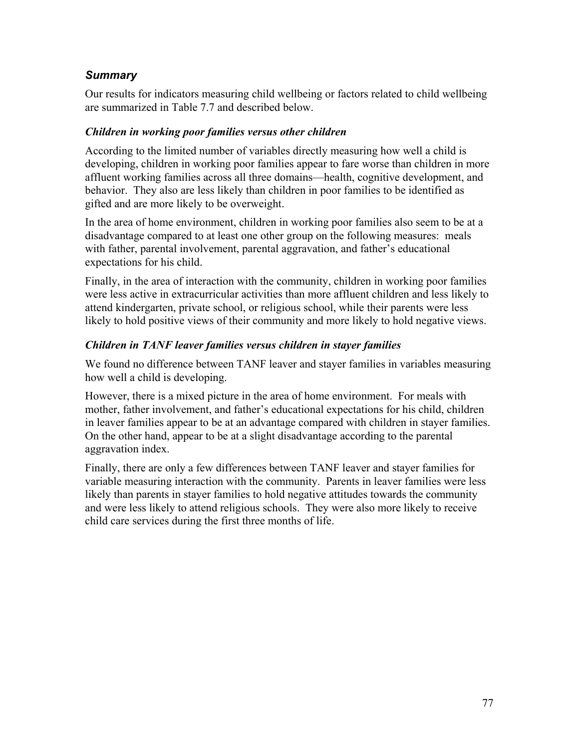## *Summary*

Our results for indicators measuring child wellbeing or factors related to child wellbeing are summarized in Table 7.7 and described below.

#### *Children in working poor families versus other children*

According to the limited number of variables directly measuring how well a child is developing, children in working poor families appear to fare worse than children in more affluent working families across all three domains—health, cognitive development, and behavior. They also are less likely than children in poor families to be identified as gifted and are more likely to be overweight.

In the area of home environment, children in working poor families also seem to be at a disadvantage compared to at least one other group on the following measures: meals with father, parental involvement, parental aggravation, and father's educational expectations for his child.

Finally, in the area of interaction with the community, children in working poor families were less active in extracurricular activities than more affluent children and less likely to attend kindergarten, private school, or religious school, while their parents were less likely to hold positive views of their community and more likely to hold negative views.

#### *Children in TANF leaver families versus children in stayer families*

We found no difference between TANF leaver and stayer families in variables measuring how well a child is developing.

However, there is a mixed picture in the area of home environment. For meals with mother, father involvement, and father's educational expectations for his child, children in leaver families appear to be at an advantage compared with children in stayer families. On the other hand, appear to be at a slight disadvantage according to the parental aggravation index.

Finally, there are only a few differences between TANF leaver and stayer families for variable measuring interaction with the community. Parents in leaver families were less likely than parents in stayer families to hold negative attitudes towards the community and were less likely to attend religious schools. They were also more likely to receive child care services during the first three months of life.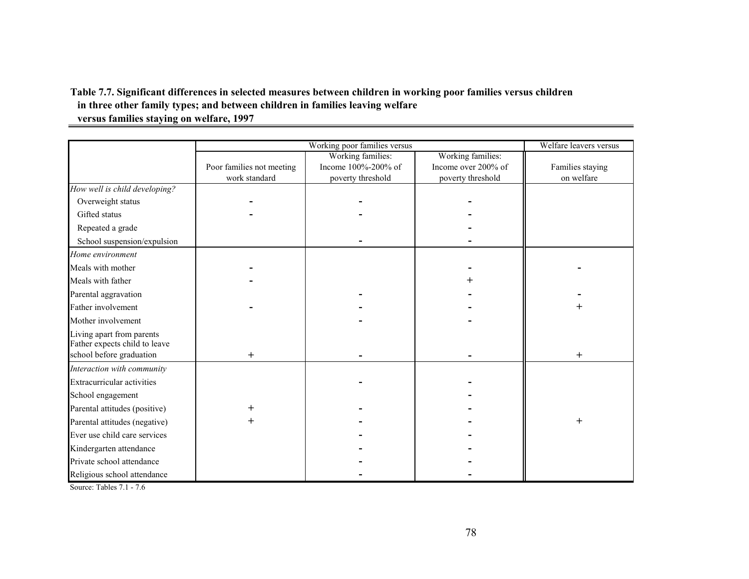#### **Table 7.7. Significant differences in selected measures between children in working poor families versus children in three other family types; and between children in families leaving welfare versus families staying on welfare, 1997**

|                                   |                           | Working poor families versus |                     | Welfare leavers versus |
|-----------------------------------|---------------------------|------------------------------|---------------------|------------------------|
|                                   |                           | Working families:            | Working families:   |                        |
|                                   | Poor families not meeting | Income 100%-200% of          | Income over 200% of | Families staying       |
|                                   | work standard             | poverty threshold            | poverty threshold   | on welfare             |
| How well is child developing?     |                           |                              |                     |                        |
| Overweight status                 |                           |                              |                     |                        |
| Gifted status                     |                           |                              |                     |                        |
| Repeated a grade                  |                           |                              |                     |                        |
| School suspension/expulsion       |                           |                              |                     |                        |
| Home environment                  |                           |                              |                     |                        |
| Meals with mother                 |                           |                              |                     |                        |
| Meals with father                 |                           |                              |                     |                        |
| Parental aggravation              |                           |                              |                     |                        |
| Father involvement                |                           |                              |                     | $^+$                   |
| Mother involvement                |                           |                              |                     |                        |
| Living apart from parents         |                           |                              |                     |                        |
| Father expects child to leave     |                           |                              |                     |                        |
| school before graduation          | $\mathrm{+}$              |                              |                     | $\overline{+}$         |
| Interaction with community        |                           |                              |                     |                        |
| <b>Extracurricular activities</b> |                           |                              |                     |                        |
| School engagement                 |                           |                              |                     |                        |
| Parental attitudes (positive)     |                           |                              |                     |                        |
| Parental attitudes (negative)     | $\mathrm{+}$              |                              |                     | $^+$                   |
| Ever use child care services      |                           |                              |                     |                        |
| Kindergarten attendance           |                           |                              |                     |                        |
| Private school attendance         |                           |                              |                     |                        |
| Religious school attendance       |                           |                              |                     |                        |

Source: Tables 7.1 - 7.6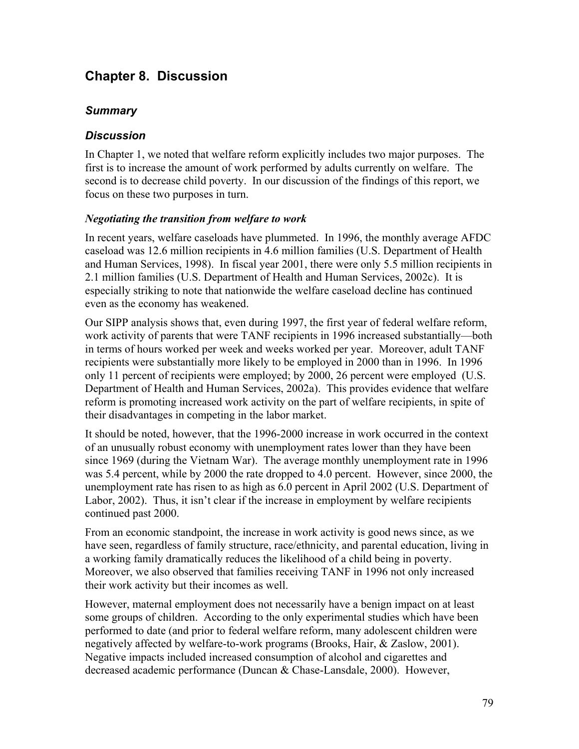# **Chapter 8. Discussion**

#### *Summary*

#### *Discussion*

In Chapter 1, we noted that welfare reform explicitly includes two major purposes. The first is to increase the amount of work performed by adults currently on welfare. The second is to decrease child poverty. In our discussion of the findings of this report, we focus on these two purposes in turn.

#### *Negotiating the transition from welfare to work*

In recent years, welfare caseloads have plummeted. In 1996, the monthly average AFDC caseload was 12.6 million recipients in 4.6 million families (U.S. Department of Health and Human Services, 1998). In fiscal year 2001, there were only 5.5 million recipients in 2.1 million families (U.S. Department of Health and Human Services, 2002c). It is especially striking to note that nationwide the welfare caseload decline has continued even as the economy has weakened.

Our SIPP analysis shows that, even during 1997, the first year of federal welfare reform, work activity of parents that were TANF recipients in 1996 increased substantially—both in terms of hours worked per week and weeks worked per year. Moreover, adult TANF recipients were substantially more likely to be employed in 2000 than in 1996. In 1996 only 11 percent of recipients were employed; by 2000, 26 percent were employed (U.S. Department of Health and Human Services, 2002a). This provides evidence that welfare reform is promoting increased work activity on the part of welfare recipients, in spite of their disadvantages in competing in the labor market.

It should be noted, however, that the 1996-2000 increase in work occurred in the context of an unusually robust economy with unemployment rates lower than they have been since 1969 (during the Vietnam War). The average monthly unemployment rate in 1996 was 5.4 percent, while by 2000 the rate dropped to 4.0 percent. However, since 2000, the unemployment rate has risen to as high as 6.0 percent in April 2002 (U.S. Department of Labor, 2002). Thus, it isn't clear if the increase in employment by welfare recipients continued past 2000.

From an economic standpoint, the increase in work activity is good news since, as we have seen, regardless of family structure, race/ethnicity, and parental education, living in a working family dramatically reduces the likelihood of a child being in poverty. Moreover, we also observed that families receiving TANF in 1996 not only increased their work activity but their incomes as well.

However, maternal employment does not necessarily have a benign impact on at least some groups of children. According to the only experimental studies which have been performed to date (and prior to federal welfare reform, many adolescent children were negatively affected by welfare-to-work programs (Brooks, Hair, & Zaslow, 2001). Negative impacts included increased consumption of alcohol and cigarettes and decreased academic performance (Duncan & Chase-Lansdale, 2000). However,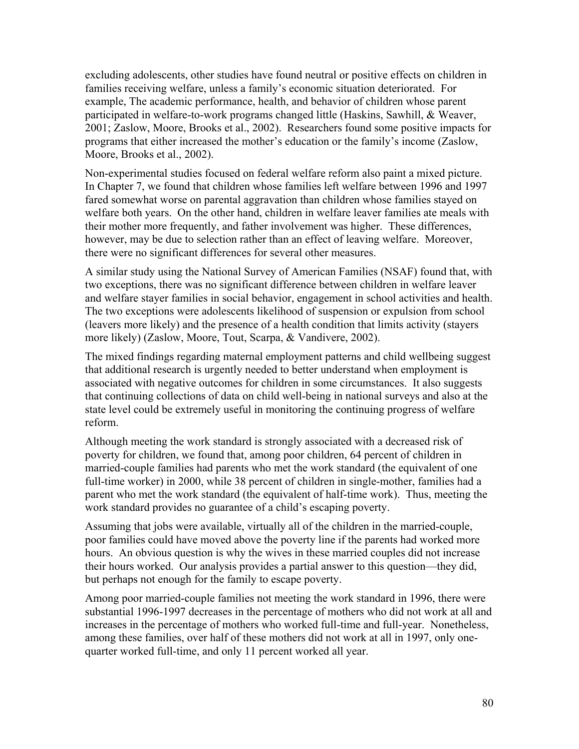excluding adolescents, other studies have found neutral or positive effects on children in families receiving welfare, unless a family's economic situation deteriorated. For example, The academic performance, health, and behavior of children whose parent participated in welfare-to-work programs changed little (Haskins, Sawhill, & Weaver, 2001; Zaslow, Moore, Brooks et al., 2002). Researchers found some positive impacts for programs that either increased the mother's education or the family's income (Zaslow, Moore, Brooks et al., 2002).

Non-experimental studies focused on federal welfare reform also paint a mixed picture. In Chapter 7, we found that children whose families left welfare between 1996 and 1997 fared somewhat worse on parental aggravation than children whose families stayed on welfare both years. On the other hand, children in welfare leaver families ate meals with their mother more frequently, and father involvement was higher. These differences, however, may be due to selection rather than an effect of leaving welfare. Moreover, there were no significant differences for several other measures.

A similar study using the National Survey of American Families (NSAF) found that, with two exceptions, there was no significant difference between children in welfare leaver and welfare stayer families in social behavior, engagement in school activities and health. The two exceptions were adolescents likelihood of suspension or expulsion from school (leavers more likely) and the presence of a health condition that limits activity (stayers more likely) (Zaslow, Moore, Tout, Scarpa, & Vandivere, 2002).

The mixed findings regarding maternal employment patterns and child wellbeing suggest that additional research is urgently needed to better understand when employment is associated with negative outcomes for children in some circumstances. It also suggests that continuing collections of data on child well-being in national surveys and also at the state level could be extremely useful in monitoring the continuing progress of welfare reform.

Although meeting the work standard is strongly associated with a decreased risk of poverty for children, we found that, among poor children, 64 percent of children in married-couple families had parents who met the work standard (the equivalent of one full-time worker) in 2000, while 38 percent of children in single-mother, families had a parent who met the work standard (the equivalent of half-time work). Thus, meeting the work standard provides no guarantee of a child's escaping poverty.

Assuming that jobs were available, virtually all of the children in the married-couple, poor families could have moved above the poverty line if the parents had worked more hours. An obvious question is why the wives in these married couples did not increase their hours worked. Our analysis provides a partial answer to this question—they did, but perhaps not enough for the family to escape poverty.

Among poor married-couple families not meeting the work standard in 1996, there were substantial 1996-1997 decreases in the percentage of mothers who did not work at all and increases in the percentage of mothers who worked full-time and full-year. Nonetheless, among these families, over half of these mothers did not work at all in 1997, only onequarter worked full-time, and only 11 percent worked all year.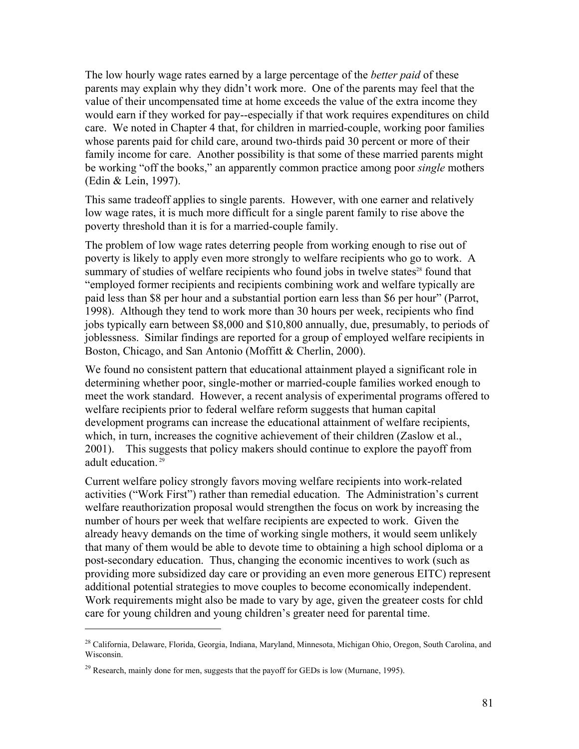The low hourly wage rates earned by a large percentage of the *better paid* of these parents may explain why they didn't work more. One of the parents may feel that the value of their uncompensated time at home exceeds the value of the extra income they would earn if they worked for pay--especially if that work requires expenditures on child care. We noted in Chapter 4 that, for children in married-couple, working poor families whose parents paid for child care, around two-thirds paid 30 percent or more of their family income for care. Another possibility is that some of these married parents might be working "off the books," an apparently common practice among poor *single* mothers (Edin & Lein, 1997).

This same tradeoff applies to single parents. However, with one earner and relatively low wage rates, it is much more difficult for a single parent family to rise above the poverty threshold than it is for a married-couple family.

The problem of low wage rates deterring people from working enough to rise out of poverty is likely to apply even more strongly to welfare recipients who go to work. A summary of studies of welfare recipients who found jobs in twelve states<sup>28</sup> found that "employed former recipients and recipients combining work and welfare typically are paid less than \$8 per hour and a substantial portion earn less than \$6 per hour" (Parrot, 1998). Although they tend to work more than 30 hours per week, recipients who find jobs typically earn between \$8,000 and \$10,800 annually, due, presumably, to periods of joblessness. Similar findings are reported for a group of employed welfare recipients in Boston, Chicago, and San Antonio (Moffitt & Cherlin, 2000).

We found no consistent pattern that educational attainment played a significant role in determining whether poor, single-mother or married-couple families worked enough to meet the work standard. However, a recent analysis of experimental programs offered to welfare recipients prior to federal welfare reform suggests that human capital development programs can increase the educational attainment of welfare recipients, which, in turn, increases the cognitive achievement of their children (Zaslow et al., 2001). This suggests that policy makers should continue to explore the payoff from adult education.<sup>29</sup>

Current welfare policy strongly favors moving welfare recipients into work-related activities ("Work First") rather than remedial education. The Administration's current welfare reauthorization proposal would strengthen the focus on work by increasing the number of hours per week that welfare recipients are expected to work. Given the already heavy demands on the time of working single mothers, it would seem unlikely that many of them would be able to devote time to obtaining a high school diploma or a post-secondary education. Thus, changing the economic incentives to work (such as providing more subsidized day care or providing an even more generous EITC) represent additional potential strategies to move couples to become economically independent. Work requirements might also be made to vary by age, given the greateer costs for chld care for young children and young children's greater need for parental time.

 $\overline{a}$ 

<sup>&</sup>lt;sup>28</sup> California, Delaware, Florida, Georgia, Indiana, Maryland, Minnesota, Michigan Ohio, Oregon, South Carolina, and Wisconsin.

 $^{29}$  Research, mainly done for men, suggests that the payoff for GEDs is low (Murnane, 1995).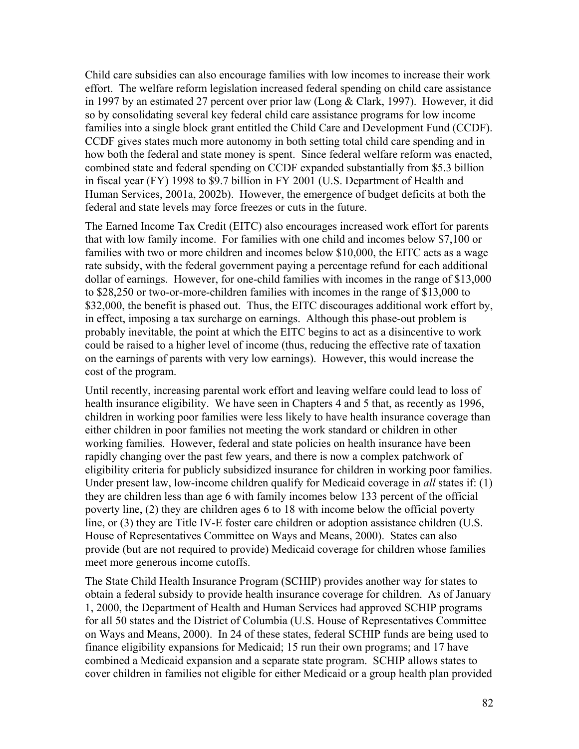Child care subsidies can also encourage families with low incomes to increase their work effort. The welfare reform legislation increased federal spending on child care assistance in 1997 by an estimated 27 percent over prior law (Long & Clark, 1997). However, it did so by consolidating several key federal child care assistance programs for low income families into a single block grant entitled the Child Care and Development Fund (CCDF). CCDF gives states much more autonomy in both setting total child care spending and in how both the federal and state money is spent. Since federal welfare reform was enacted, combined state and federal spending on CCDF expanded substantially from \$5.3 billion in fiscal year (FY) 1998 to \$9.7 billion in FY 2001 (U.S. Department of Health and Human Services, 2001a, 2002b). However, the emergence of budget deficits at both the federal and state levels may force freezes or cuts in the future.

The Earned Income Tax Credit (EITC) also encourages increased work effort for parents that with low family income. For families with one child and incomes below \$7,100 or families with two or more children and incomes below \$10,000, the EITC acts as a wage rate subsidy, with the federal government paying a percentage refund for each additional dollar of earnings. However, for one-child families with incomes in the range of \$13,000 to \$28,250 or two-or-more-children families with incomes in the range of \$13,000 to \$32,000, the benefit is phased out. Thus, the EITC discourages additional work effort by, in effect, imposing a tax surcharge on earnings. Although this phase-out problem is probably inevitable, the point at which the EITC begins to act as a disincentive to work could be raised to a higher level of income (thus, reducing the effective rate of taxation on the earnings of parents with very low earnings). However, this would increase the cost of the program.

Until recently, increasing parental work effort and leaving welfare could lead to loss of health insurance eligibility. We have seen in Chapters 4 and 5 that, as recently as 1996, children in working poor families were less likely to have health insurance coverage than either children in poor families not meeting the work standard or children in other working families. However, federal and state policies on health insurance have been rapidly changing over the past few years, and there is now a complex patchwork of eligibility criteria for publicly subsidized insurance for children in working poor families. Under present law, low-income children qualify for Medicaid coverage in *all* states if: (1) they are children less than age 6 with family incomes below 133 percent of the official poverty line, (2) they are children ages 6 to 18 with income below the official poverty line, or (3) they are Title IV-E foster care children or adoption assistance children (U.S. House of Representatives Committee on Ways and Means, 2000). States can also provide (but are not required to provide) Medicaid coverage for children whose families meet more generous income cutoffs.

The State Child Health Insurance Program (SCHIP) provides another way for states to obtain a federal subsidy to provide health insurance coverage for children. As of January 1, 2000, the Department of Health and Human Services had approved SCHIP programs for all 50 states and the District of Columbia (U.S. House of Representatives Committee on Ways and Means, 2000). In 24 of these states, federal SCHIP funds are being used to finance eligibility expansions for Medicaid; 15 run their own programs; and 17 have combined a Medicaid expansion and a separate state program. SCHIP allows states to cover children in families not eligible for either Medicaid or a group health plan provided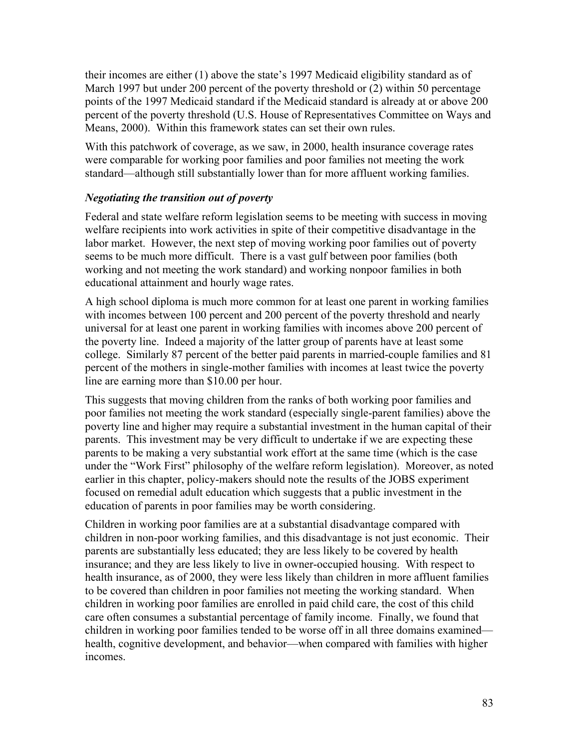their incomes are either (1) above the state's 1997 Medicaid eligibility standard as of March 1997 but under 200 percent of the poverty threshold or (2) within 50 percentage points of the 1997 Medicaid standard if the Medicaid standard is already at or above 200 percent of the poverty threshold (U.S. House of Representatives Committee on Ways and Means, 2000). Within this framework states can set their own rules.

With this patchwork of coverage, as we saw, in 2000, health insurance coverage rates were comparable for working poor families and poor families not meeting the work standard—although still substantially lower than for more affluent working families.

## *Negotiating the transition out of poverty*

Federal and state welfare reform legislation seems to be meeting with success in moving welfare recipients into work activities in spite of their competitive disadvantage in the labor market. However, the next step of moving working poor families out of poverty seems to be much more difficult. There is a vast gulf between poor families (both working and not meeting the work standard) and working nonpoor families in both educational attainment and hourly wage rates.

A high school diploma is much more common for at least one parent in working families with incomes between 100 percent and 200 percent of the poverty threshold and nearly universal for at least one parent in working families with incomes above 200 percent of the poverty line. Indeed a majority of the latter group of parents have at least some college. Similarly 87 percent of the better paid parents in married-couple families and 81 percent of the mothers in single-mother families with incomes at least twice the poverty line are earning more than \$10.00 per hour.

This suggests that moving children from the ranks of both working poor families and poor families not meeting the work standard (especially single-parent families) above the poverty line and higher may require a substantial investment in the human capital of their parents. This investment may be very difficult to undertake if we are expecting these parents to be making a very substantial work effort at the same time (which is the case under the "Work First" philosophy of the welfare reform legislation). Moreover, as noted earlier in this chapter, policy-makers should note the results of the JOBS experiment focused on remedial adult education which suggests that a public investment in the education of parents in poor families may be worth considering.

Children in working poor families are at a substantial disadvantage compared with children in non-poor working families, and this disadvantage is not just economic. Their parents are substantially less educated; they are less likely to be covered by health insurance; and they are less likely to live in owner-occupied housing. With respect to health insurance, as of 2000, they were less likely than children in more affluent families to be covered than children in poor families not meeting the working standard. When children in working poor families are enrolled in paid child care, the cost of this child care often consumes a substantial percentage of family income. Finally, we found that children in working poor families tended to be worse off in all three domains examined health, cognitive development, and behavior—when compared with families with higher incomes.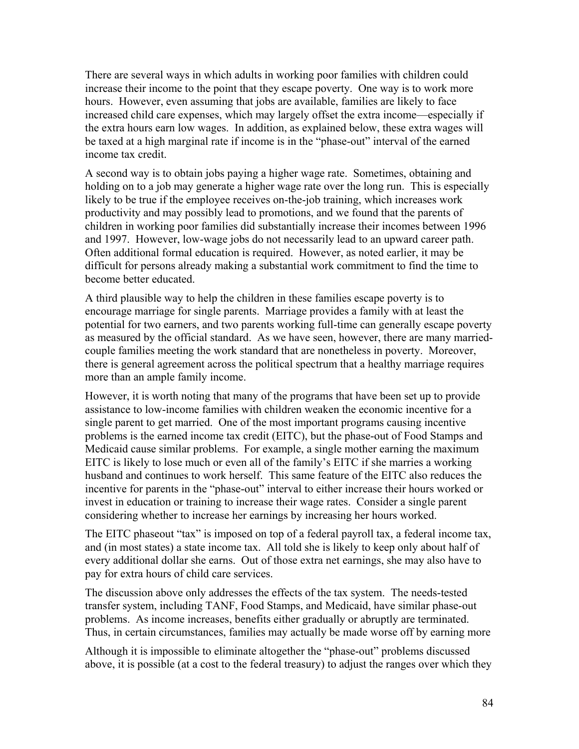There are several ways in which adults in working poor families with children could increase their income to the point that they escape poverty. One way is to work more hours. However, even assuming that jobs are available, families are likely to face increased child care expenses, which may largely offset the extra income—especially if the extra hours earn low wages. In addition, as explained below, these extra wages will be taxed at a high marginal rate if income is in the "phase-out" interval of the earned income tax credit.

A second way is to obtain jobs paying a higher wage rate. Sometimes, obtaining and holding on to a job may generate a higher wage rate over the long run. This is especially likely to be true if the employee receives on-the-job training, which increases work productivity and may possibly lead to promotions, and we found that the parents of children in working poor families did substantially increase their incomes between 1996 and 1997. However, low-wage jobs do not necessarily lead to an upward career path. Often additional formal education is required. However, as noted earlier, it may be difficult for persons already making a substantial work commitment to find the time to become better educated.

A third plausible way to help the children in these families escape poverty is to encourage marriage for single parents. Marriage provides a family with at least the potential for two earners, and two parents working full-time can generally escape poverty as measured by the official standard. As we have seen, however, there are many marriedcouple families meeting the work standard that are nonetheless in poverty. Moreover, there is general agreement across the political spectrum that a healthy marriage requires more than an ample family income.

However, it is worth noting that many of the programs that have been set up to provide assistance to low-income families with children weaken the economic incentive for a single parent to get married. One of the most important programs causing incentive problems is the earned income tax credit (EITC), but the phase-out of Food Stamps and Medicaid cause similar problems. For example, a single mother earning the maximum EITC is likely to lose much or even all of the family's EITC if she marries a working husband and continues to work herself. This same feature of the EITC also reduces the incentive for parents in the "phase-out" interval to either increase their hours worked or invest in education or training to increase their wage rates. Consider a single parent considering whether to increase her earnings by increasing her hours worked.

The EITC phaseout "tax" is imposed on top of a federal payroll tax, a federal income tax, and (in most states) a state income tax. All told she is likely to keep only about half of every additional dollar she earns. Out of those extra net earnings, she may also have to pay for extra hours of child care services.

The discussion above only addresses the effects of the tax system. The needs-tested transfer system, including TANF, Food Stamps, and Medicaid, have similar phase-out problems. As income increases, benefits either gradually or abruptly are terminated. Thus, in certain circumstances, families may actually be made worse off by earning more

Although it is impossible to eliminate altogether the "phase-out" problems discussed above, it is possible (at a cost to the federal treasury) to adjust the ranges over which they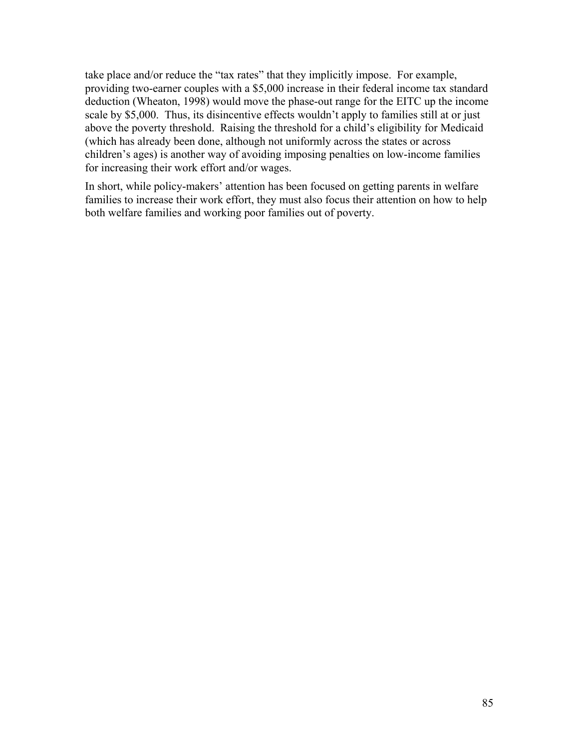take place and/or reduce the "tax rates" that they implicitly impose. For example, providing two-earner couples with a \$5,000 increase in their federal income tax standard deduction (Wheaton, 1998) would move the phase-out range for the EITC up the income scale by \$5,000. Thus, its disincentive effects wouldn't apply to families still at or just above the poverty threshold. Raising the threshold for a child's eligibility for Medicaid (which has already been done, although not uniformly across the states or across children's ages) is another way of avoiding imposing penalties on low-income families for increasing their work effort and/or wages.

In short, while policy-makers' attention has been focused on getting parents in welfare families to increase their work effort, they must also focus their attention on how to help both welfare families and working poor families out of poverty.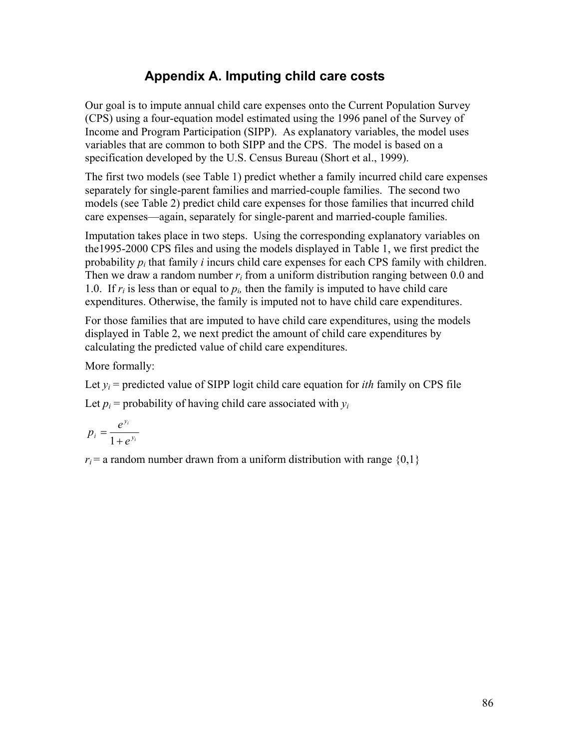# **Appendix A. Imputing child care costs**

Our goal is to impute annual child care expenses onto the Current Population Survey (CPS) using a four-equation model estimated using the 1996 panel of the Survey of Income and Program Participation (SIPP). As explanatory variables, the model uses variables that are common to both SIPP and the CPS. The model is based on a specification developed by the U.S. Census Bureau (Short et al., 1999).

The first two models (see Table 1) predict whether a family incurred child care expenses separately for single-parent families and married-couple families. The second two models (see Table 2) predict child care expenses for those families that incurred child care expenses—again, separately for single-parent and married-couple families.

Imputation takes place in two steps. Using the corresponding explanatory variables on the1995-2000 CPS files and using the models displayed in Table 1, we first predict the probability  $p_i$  that family *i* incurs child care expenses for each CPS family with children. Then we draw a random number  $r_i$  from a uniform distribution ranging between 0.0 and 1.0. If  $r_i$  is less than or equal to  $p_i$ , then the family is imputed to have child care expenditures. Otherwise, the family is imputed not to have child care expenditures.

For those families that are imputed to have child care expenditures, using the models displayed in Table 2, we next predict the amount of child care expenditures by calculating the predicted value of child care expenditures.

More formally:

Let  $y_i$  = predicted value of SIPP logit child care equation for *ith* family on CPS file Let  $p_i$  = probability of having child care associated with  $y_i$ 

$$
p_i = \frac{e^{y_i}}{1 + e^{y_i}}
$$

 $r_i$  = a random number drawn from a uniform distribution with range  $\{0,1\}$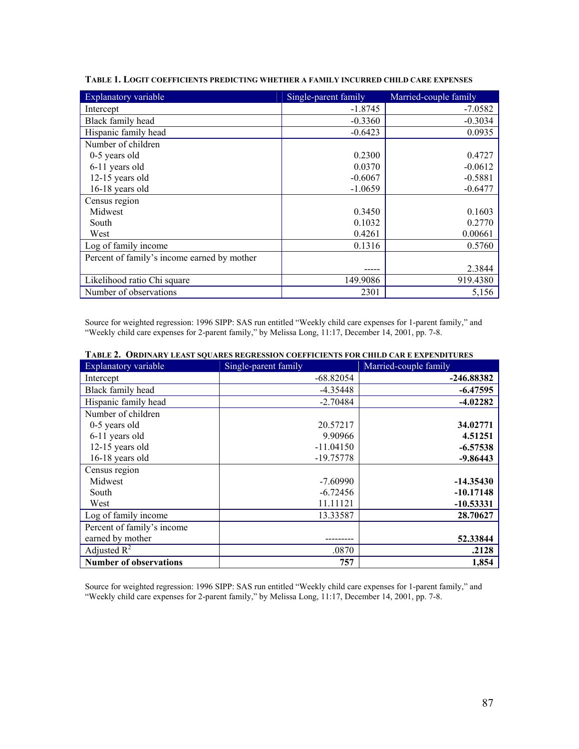| Explanatory variable                        | Single-parent family | Married-couple family |
|---------------------------------------------|----------------------|-----------------------|
| Intercept                                   | $-1.8745$            | $-7.0582$             |
| Black family head                           | $-0.3360$            | $-0.3034$             |
| Hispanic family head                        | $-0.6423$            | 0.0935                |
| Number of children                          |                      |                       |
| 0-5 years old                               | 0.2300               | 0.4727                |
| 6-11 years old                              | 0.0370               | $-0.0612$             |
| 12-15 years old                             | $-0.6067$            | $-0.5881$             |
| 16-18 years old                             | $-1.0659$            | $-0.6477$             |
| Census region                               |                      |                       |
| Midwest                                     | 0.3450               | 0.1603                |
| South                                       | 0.1032               | 0.2770                |
| West                                        | 0.4261               | 0.00661               |
| Log of family income                        | 0.1316               | 0.5760                |
| Percent of family's income earned by mother |                      |                       |
|                                             |                      | 2.3844                |
| Likelihood ratio Chi square                 | 149.9086             | 919.4380              |
| Number of observations                      | 2301                 | 5,156                 |

**TABLE 1. LOGIT COEFFICIENTS PREDICTING WHETHER A FAMILY INCURRED CHILD CARE EXPENSES**

Source for weighted regression: 1996 SIPP: SAS run entitled "Weekly child care expenses for 1-parent family," and "Weekly child care expenses for 2-parent family," by Melissa Long, 11:17, December 14, 2001, pp. 7-8.

| Explanatory variable          | Single-parent family | Married-couple family |
|-------------------------------|----------------------|-----------------------|
| Intercept                     | $-68.82054$          | -246.88382            |
| Black family head             | $-4.35448$           | $-6.47595$            |
| Hispanic family head          | $-2.70484$           | $-4.02282$            |
| Number of children            |                      |                       |
| 0-5 years old                 | 20.57217             | 34.02771              |
| 6-11 years old                | 9.90966              | 4.51251               |
| 12-15 years old               | $-11.04150$          | $-6.57538$            |
| 16-18 years old               | $-19.75778$          | $-9.86443$            |
| Census region                 |                      |                       |
| Midwest                       | $-7.60990$           | $-14.35430$           |
| South                         | $-6.72456$           | $-10.17148$           |
| West                          | 11.11121             | $-10.53331$           |
| Log of family income          | 13.33587             | 28.70627              |
| Percent of family's income    |                      |                       |
| earned by mother              |                      | 52.33844              |
| Adjusted $R^2$                | .0870                | .2128                 |
| <b>Number of observations</b> | 757                  | 1,854                 |

**TABLE 2. ORDINARY LEAST SQUARES REGRESSION COEFFICIENTS FOR CHILD CAR E EXPENDITURES**

Source for weighted regression: 1996 SIPP: SAS run entitled "Weekly child care expenses for 1-parent family," and "Weekly child care expenses for 2-parent family," by Melissa Long, 11:17, December 14, 2001, pp. 7-8.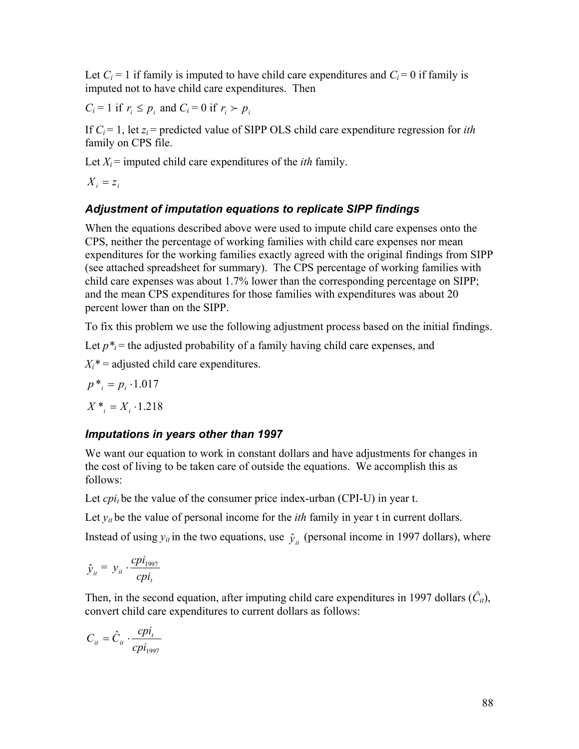Let  $C_i = 1$  if family is imputed to have child care expenditures and  $C_i = 0$  if family is imputed not to have child care expenditures. Then

 $C_i = 1$  if  $r_i \leq p_i$  and  $C_i = 0$  if  $r_i \succ p_i$ 

If  $C_i = 1$ , let  $z_i$  = predicted value of SIPP OLS child care expenditure regression for *ith* family on CPS file.

Let  $X_i$  = imputed child care expenditures of the *ith* family.

 $X_i = z_i$ 

#### *Adjustment of imputation equations to replicate SIPP findings*

When the equations described above were used to impute child care expenses onto the CPS, neither the percentage of working families with child care expenses nor mean expenditures for the working families exactly agreed with the original findings from SIPP (see attached spreadsheet for summary). The CPS percentage of working families with child care expenses was about 1.7% lower than the corresponding percentage on SIPP; and the mean CPS expenditures for those families with expenditures was about 20 percent lower than on the SIPP.

To fix this problem we use the following adjustment process based on the initial findings.

Let  $p^*$  = the adjusted probability of a family having child care expenses, and

 $X_i^*$  = adjusted child care expenditures.

 $p^*$ <sub>*i*</sub> =  $p_i$  ⋅1.017

 $X^*$ <sub>*i*</sub> =  $X$ <sub>*i*</sub> ⋅1.218

#### *Imputations in years other than 1997*

We want our equation to work in constant dollars and have adjustments for changes in the cost of living to be taken care of outside the equations. We accomplish this as follows:

Let  $cpi_t$  be the value of the consumer price index-urban (CPI-U) in year t.

Let  $y_{it}$  be the value of personal income for the *ith* family in year t in current dollars.

Instead of using  $y_{it}$  in the two equations, use  $\hat{y}_{it}$  (personal income in 1997 dollars), where

$$
\hat{y}_{it} = y_{it} \cdot \frac{c p i_{1997}}{c p i_t}
$$

Then, in the second equation, after imputing child care expenditures in 1997 dollars  $(\hat{C}_{it})$ , convert child care expenditures to current dollars as follows:

$$
C_{it} = \hat{C}_{it} \cdot \frac{c p i_t}{c p i_{1997}}
$$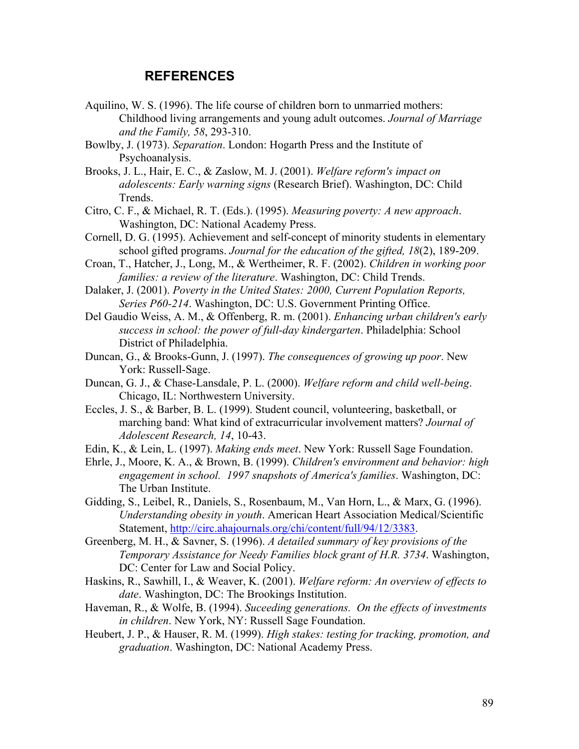#### **REFERENCES**

- Aquilino, W. S. (1996). The life course of children born to unmarried mothers: Childhood living arrangements and young adult outcomes. *Journal of Marriage and the Family, 58*, 293-310.
- Bowlby, J. (1973). *Separation*. London: Hogarth Press and the Institute of Psychoanalysis.
- Brooks, J. L., Hair, E. C., & Zaslow, M. J. (2001). *Welfare reform's impact on adolescents: Early warning signs* (Research Brief). Washington, DC: Child Trends.
- Citro, C. F., & Michael, R. T. (Eds.). (1995). *Measuring poverty: A new approach*. Washington, DC: National Academy Press.
- Cornell, D. G. (1995). Achievement and self-concept of minority students in elementary school gifted programs. *Journal for the education of the gifted, 18*(2), 189-209.
- Croan, T., Hatcher, J., Long, M., & Wertheimer, R. F. (2002). *Children in working poor families: a review of the literature*. Washington, DC: Child Trends.
- Dalaker, J. (2001). *Poverty in the United States: 2000, Current Population Reports, Series P60-214*. Washington, DC: U.S. Government Printing Office.
- Del Gaudio Weiss, A. M., & Offenberg, R. m. (2001). *Enhancing urban children's early success in school: the power of full-day kindergarten*. Philadelphia: School District of Philadelphia.
- Duncan, G., & Brooks-Gunn, J. (1997). *The consequences of growing up poor*. New York: Russell-Sage.
- Duncan, G. J., & Chase-Lansdale, P. L. (2000). *Welfare reform and child well-being*. Chicago, IL: Northwestern University.
- Eccles, J. S., & Barber, B. L. (1999). Student council, volunteering, basketball, or marching band: What kind of extracurricular involvement matters? *Journal of Adolescent Research, 14*, 10-43.
- Edin, K., & Lein, L. (1997). *Making ends meet*. New York: Russell Sage Foundation.
- Ehrle, J., Moore, K. A., & Brown, B. (1999). *Children's environment and behavior: high engagement in school. 1997 snapshots of America's families*. Washington, DC: The Urban Institute.
- Gidding, S., Leibel, R., Daniels, S., Rosenbaum, M., Van Horn, L., & Marx, G. (1996). *Understanding obesity in youth*. American Heart Association Medical/Scientific Statement, http://circ.ahajournals.org/chi/content/full/94/12/3383.
- Greenberg, M. H., & Savner, S. (1996). *A detailed summary of key provisions of the Temporary Assistance for Needy Families block grant of H.R. 3734*. Washington, DC: Center for Law and Social Policy.
- Haskins, R., Sawhill, I., & Weaver, K. (2001). *Welfare reform: An overview of effects to date*. Washington, DC: The Brookings Institution.
- Haveman, R., & Wolfe, B. (1994). *Suceeding generations. On the effects of investments in children*. New York, NY: Russell Sage Foundation.
- Heubert, J. P., & Hauser, R. M. (1999). *High stakes: testing for tracking, promotion, and graduation*. Washington, DC: National Academy Press.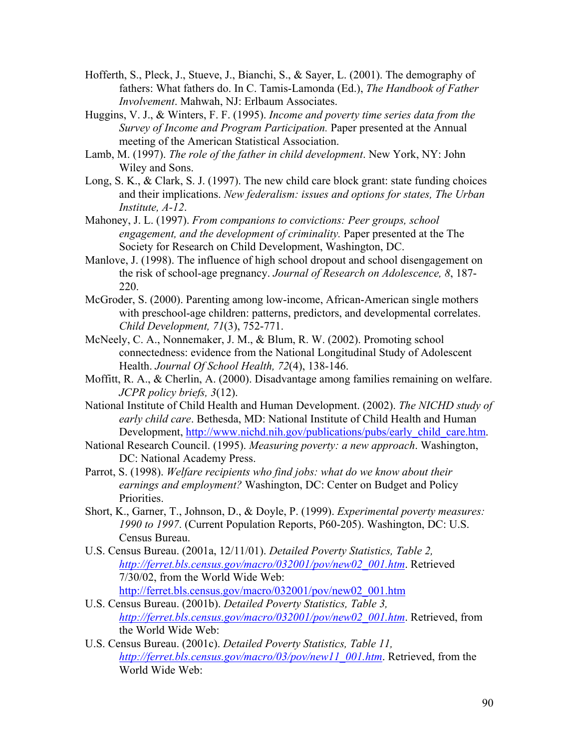- Hofferth, S., Pleck, J., Stueve, J., Bianchi, S., & Sayer, L. (2001). The demography of fathers: What fathers do. In C. Tamis-Lamonda (Ed.), *The Handbook of Father Involvement*. Mahwah, NJ: Erlbaum Associates.
- Huggins, V. J., & Winters, F. F. (1995). *Income and poverty time series data from the Survey of Income and Program Participation.* Paper presented at the Annual meeting of the American Statistical Association.
- Lamb, M. (1997). *The role of the father in child development*. New York, NY: John Wiley and Sons.
- Long, S. K., & Clark, S. J. (1997). The new child care block grant: state funding choices and their implications. *New federalism: issues and options for states, The Urban Institute, A-12*.
- Mahoney, J. L. (1997). *From companions to convictions: Peer groups, school engagement, and the development of criminality.* Paper presented at the The Society for Research on Child Development, Washington, DC.
- Manlove, J. (1998). The influence of high school dropout and school disengagement on the risk of school-age pregnancy. *Journal of Research on Adolescence, 8*, 187- 220.
- McGroder, S. (2000). Parenting among low-income, African-American single mothers with preschool-age children: patterns, predictors, and developmental correlates. *Child Development, 71*(3), 752-771.
- McNeely, C. A., Nonnemaker, J. M., & Blum, R. W. (2002). Promoting school connectedness: evidence from the National Longitudinal Study of Adolescent Health. *Journal Of School Health, 72*(4), 138-146.
- Moffitt, R. A., & Cherlin, A. (2000). Disadvantage among families remaining on welfare. *JCPR policy briefs, 3*(12).
- National Institute of Child Health and Human Development. (2002). *The NICHD study of early child care*. Bethesda, MD: National Institute of Child Health and Human Development, http://www.nichd.nih.gov/publications/pubs/early\_child\_care.htm.
- National Research Council. (1995). *Measuring poverty: a new approach*. Washington, DC: National Academy Press.
- Parrot, S. (1998). *Welfare recipients who find jobs: what do we know about their earnings and employment?* Washington, DC: Center on Budget and Policy Priorities.
- Short, K., Garner, T., Johnson, D., & Doyle, P. (1999). *Experimental poverty measures: 1990 to 1997*. (Current Population Reports, P60-205). Washington, DC: U.S. Census Bureau.
- U.S. Census Bureau. (2001a, 12/11/01). *Detailed Poverty Statistics, Table 2, http://ferret.bls.census.gov/macro/032001/pov/new02\_001.htm*. Retrieved 7/30/02, from the World Wide Web: http://ferret.bls.census.gov/macro/032001/pov/new02\_001.htm
- U.S. Census Bureau. (2001b). *Detailed Poverty Statistics, Table 3, http://ferret.bls.census.gov/macro/032001/pov/new02\_001.htm*. Retrieved, from the World Wide Web:
- U.S. Census Bureau. (2001c). *Detailed Poverty Statistics, Table 11, http://ferret.bls.census.gov/macro/03/pov/new11\_001.htm*. Retrieved, from the World Wide Web: